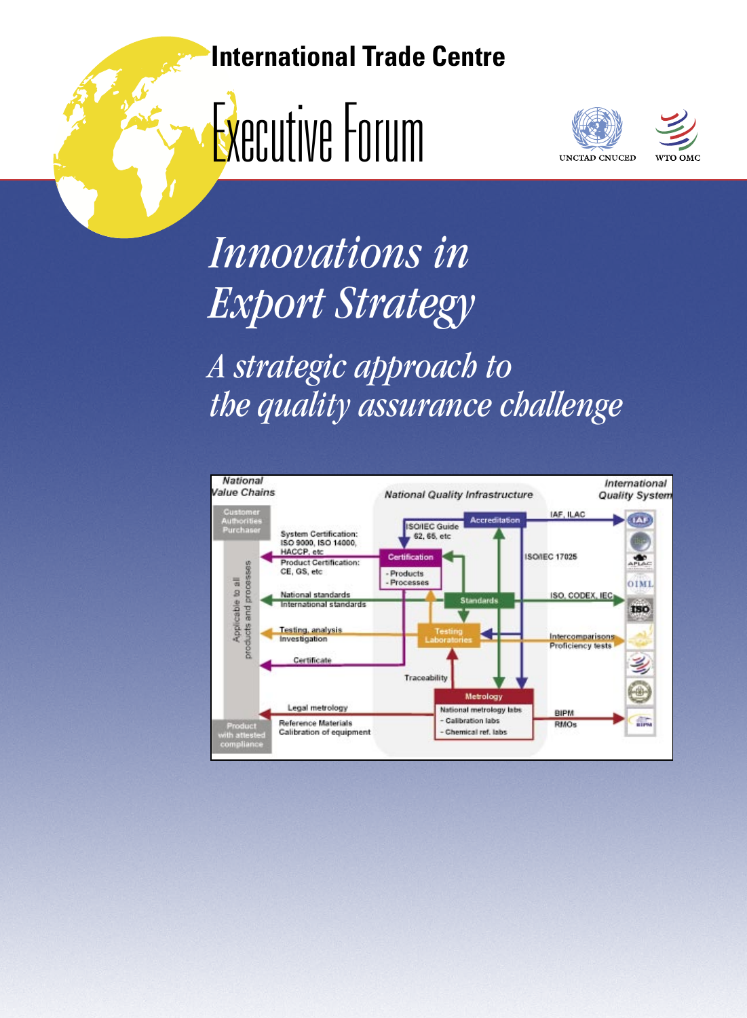# **International Trade Centre**







*Innovations in Export Strategy*

*A strategic approach to the quality assurance challenge*

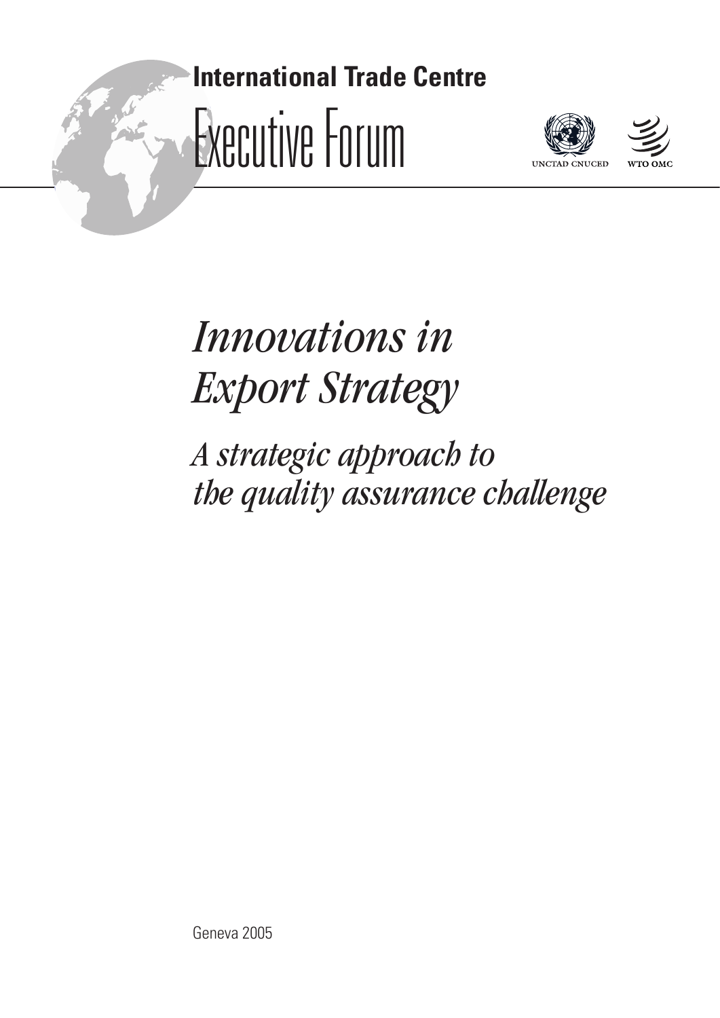# **International Trade Centre** Executive Forum





*Innovations in Export Strategy*

*A strategic approach to the quality assurance challenge*

Geneva 2005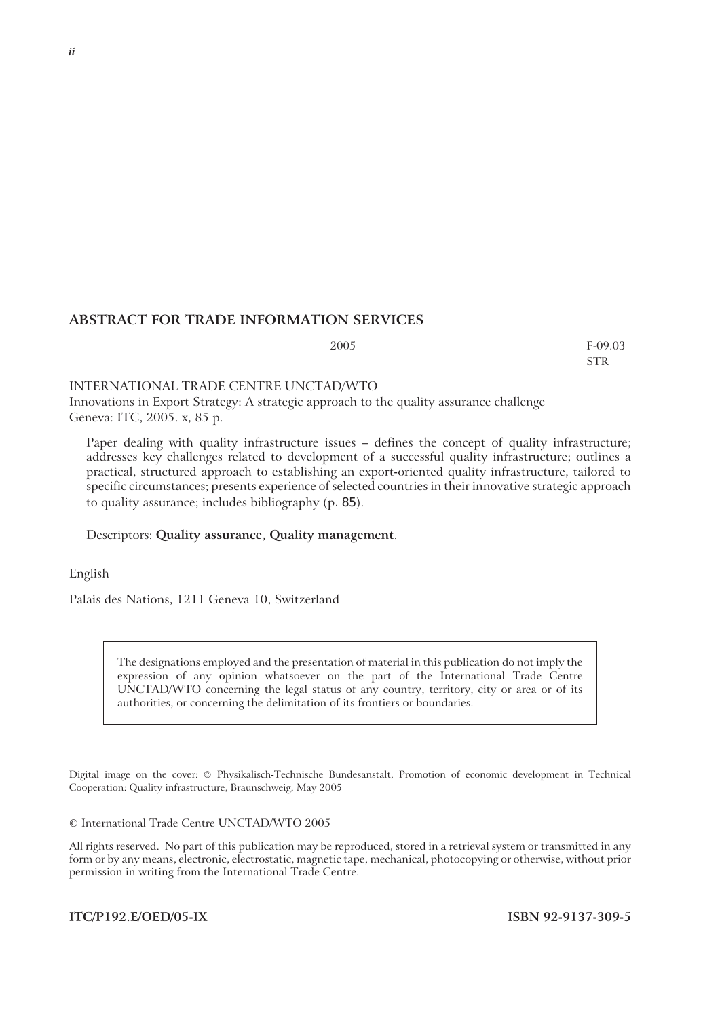#### **ABSTRACT FOR TRADE INFORMATION SERVICES**

2005 F-09.03 STR

#### INTERNATIONAL TRADE CENTRE UNCTAD/WTO

Innovations in Export Strategy: A strategic approach to the quality assurance challenge Geneva: ITC, 2005. x, 85 p.

Paper dealing with quality infrastructure issues – defines the concept of quality infrastructure; addresses key challenges related to development of a successful quality infrastructure; outlines a practical, structured approach to establishing an export-oriented quality infrastructure, tailored to specific circumstances; presents experience of selected countries in their innovative strategic approach to quality assurance; includes bibliography (p. 85).

#### Descriptors: **Quality assurance, Quality management**.

English

Palais des Nations, 1211 Geneva 10, Switzerland

The designations employed and the presentation of material in this publication do not imply the expression of any opinion whatsoever on the part of the International Trade Centre UNCTAD/WTO concerning the legal status of any country, territory, city or area or of its authorities, or concerning the delimitation of its frontiers or boundaries.

Digital image on the cover: © Physikalisch-Technische Bundesanstalt, Promotion of economic development in Technical Cooperation: Quality infrastructure, Braunschweig, May 2005

© International Trade Centre UNCTAD/WTO 2005

All rights reserved. No part of this publication may be reproduced, stored in a retrieval system or transmitted in any form or by any means, electronic, electrostatic, magnetic tape, mechanical, photocopying or otherwise, without prior permission in writing from the International Trade Centre.

**ITC/P192.E/OED/05-IX ISBN 92-9137-309-5**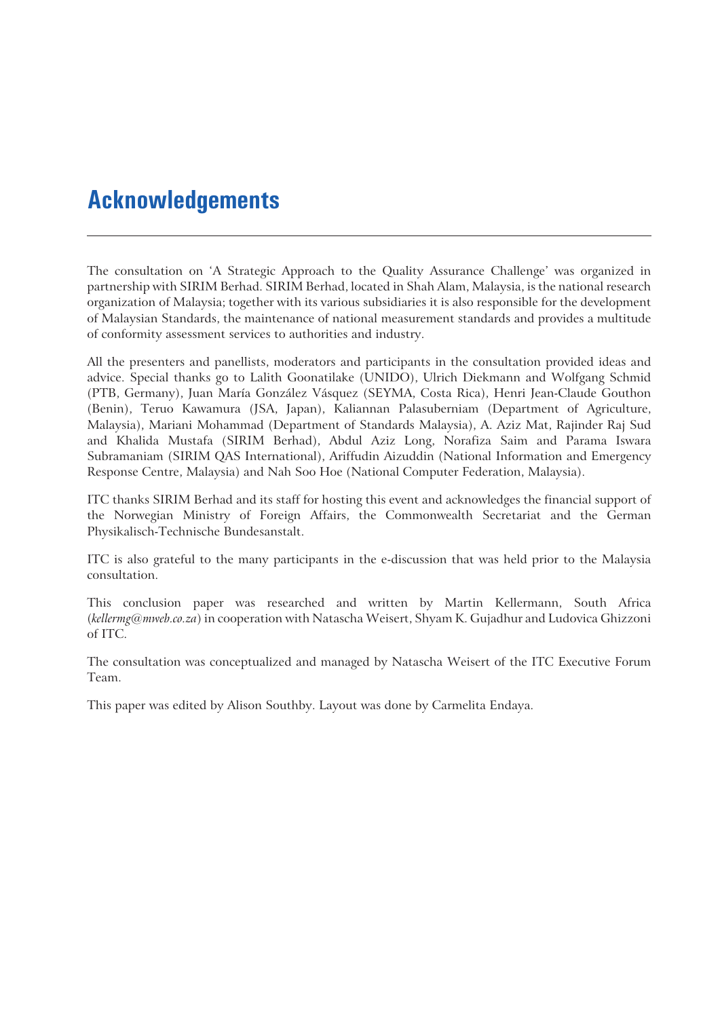# **Acknowledgements**

The consultation on 'A Strategic Approach to the Quality Assurance Challenge' was organized in partnership with SIRIM Berhad. SIRIM Berhad, located in Shah Alam, Malaysia, is the national research organization of Malaysia; together with its various subsidiaries it is also responsible for the development of Malaysian Standards, the maintenance of national measurement standards and provides a multitude of conformity assessment services to authorities and industry.

All the presenters and panellists, moderators and participants in the consultation provided ideas and advice. Special thanks go to Lalith Goonatilake (UNIDO), Ulrich Diekmann and Wolfgang Schmid (PTB, Germany), Juan María González Vásquez (SEYMA, Costa Rica), Henri Jean-Claude Gouthon (Benin), Teruo Kawamura (JSA, Japan), Kaliannan Palasuberniam (Department of Agriculture, Malaysia), Mariani Mohammad (Department of Standards Malaysia), A. Aziz Mat, Rajinder Raj Sud and Khalida Mustafa (SIRIM Berhad), Abdul Aziz Long, Norafiza Saim and Parama Iswara Subramaniam (SIRIM QAS International), Ariffudin Aizuddin (National Information and Emergency Response Centre, Malaysia) and Nah Soo Hoe (National Computer Federation, Malaysia).

ITC thanks SIRIM Berhad and its staff for hosting this event and acknowledges the financial support of the Norwegian Ministry of Foreign Affairs, the Commonwealth Secretariat and the German Physikalisch-Technische Bundesanstalt.

ITC is also grateful to the many participants in the e-discussion that was held prior to the Malaysia consultation.

This conclusion paper was researched and written by Martin Kellermann, South Africa (*kellermg@mweb.co.za*) in cooperation with Natascha Weisert, Shyam K. Gujadhur and Ludovica Ghizzoni of ITC.

The consultation was conceptualized and managed by Natascha Weisert of the ITC Executive Forum Team.

This paper was edited by Alison Southby. Layout was done by Carmelita Endaya.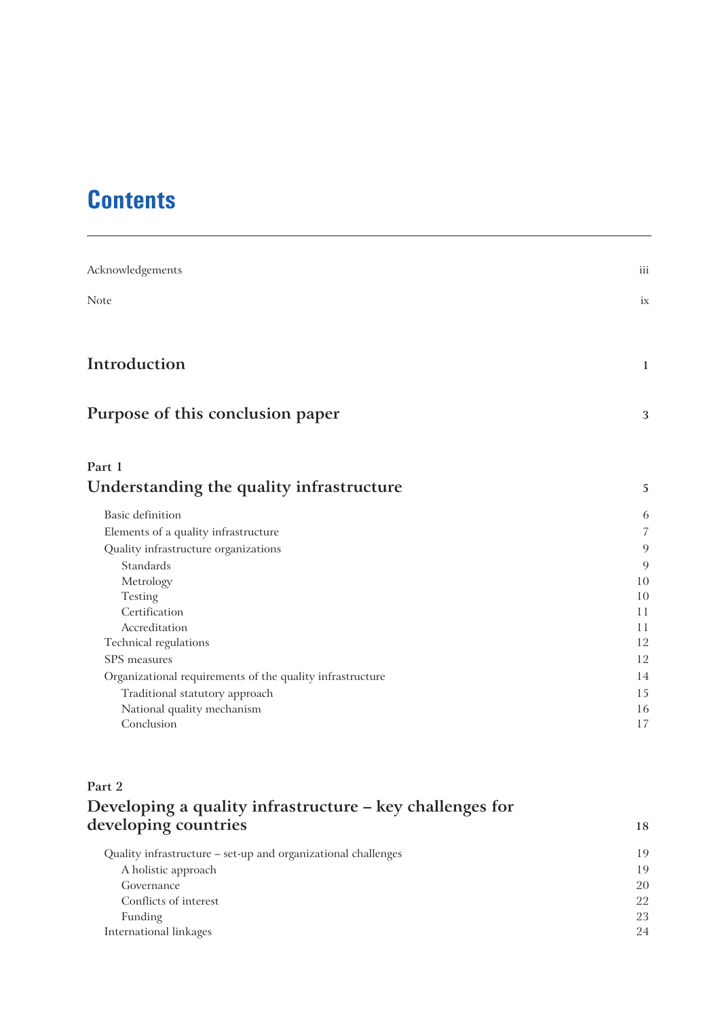# **Contents**

| iii            |
|----------------|
| ix             |
|                |
| 1              |
| 3              |
|                |
| 5              |
| 6              |
| $\overline{7}$ |
| 9              |
| 9              |
| 10             |
| 10             |
| 11             |
| 11             |
| 12<br>12       |
|                |
| 14             |
| 15<br>16       |
| 17             |
|                |

### **Part 2**

# **Developing a quality infrastructure – key challenges for developing countries <sup>18</sup>**

| 19 |
|----|
| 19 |
|    |
| 20 |
| 22 |
| 23 |
| 24 |
|    |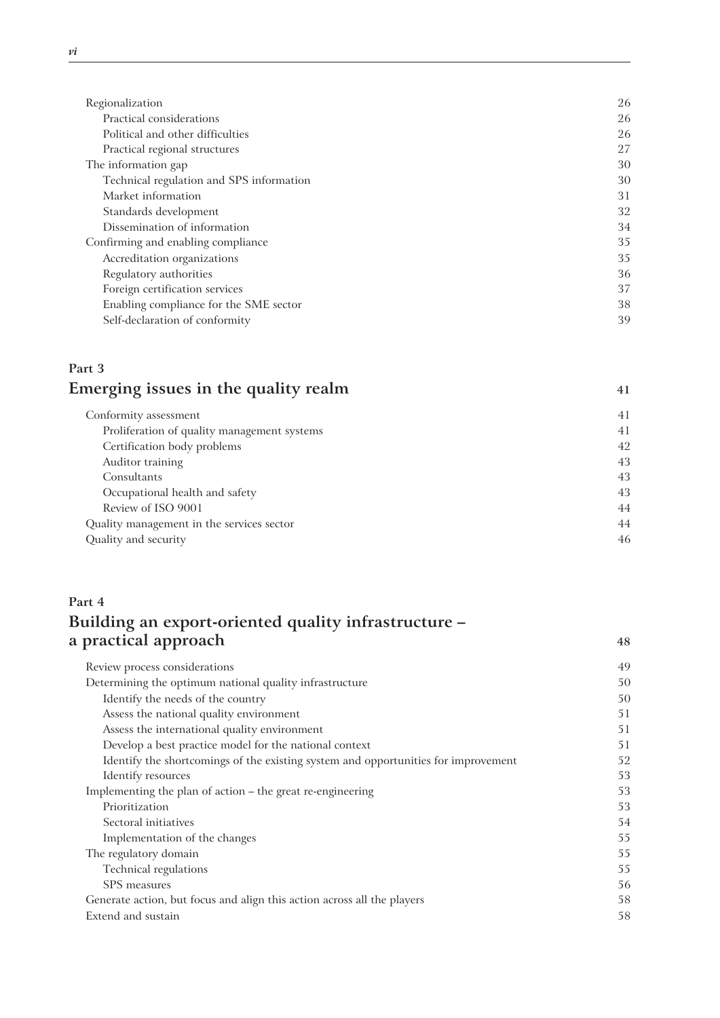| Regionalization                          | 26 |
|------------------------------------------|----|
| Practical considerations                 | 26 |
| Political and other difficulties         | 26 |
| Practical regional structures            | 27 |
| The information gap                      | 30 |
| Technical regulation and SPS information | 30 |
| Market information                       | 31 |
| Standards development                    | 32 |
| Dissemination of information             | 34 |
| Confirming and enabling compliance       | 35 |
| Accreditation organizations              | 35 |
| Regulatory authorities                   | 36 |
| Foreign certification services           | 37 |
| Enabling compliance for the SME sector   | 38 |
| Self-declaration of conformity           | 39 |

### **Part 3 Emerging issues in the quality realm**  $41$

| Conformity assessment                       | 41 |
|---------------------------------------------|----|
| Proliferation of quality management systems | 41 |
| Certification body problems                 | 42 |
| Auditor training                            | 43 |
| Consultants                                 | 43 |
| Occupational health and safety              | 43 |
| Review of ISO 9001                          | 44 |
| Quality management in the services sector   | 44 |
| Quality and security                        | 46 |
|                                             |    |

# **Part 4 Building an export-oriented quality infrastructure – a practical approach <sup>48</sup>**

| Review process considerations                                                      | 49 |
|------------------------------------------------------------------------------------|----|
| Determining the optimum national quality infrastructure                            | 50 |
| Identify the needs of the country                                                  | 50 |
| Assess the national quality environment                                            | 51 |
| Assess the international quality environment                                       | 51 |
| Develop a best practice model for the national context                             | 51 |
| Identify the shortcomings of the existing system and opportunities for improvement | 52 |
| Identify resources                                                                 | 53 |
| Implementing the plan of action – the great re-engineering                         | 53 |
| Prioritization                                                                     | 53 |
| Sectoral initiatives                                                               | 54 |
| Implementation of the changes                                                      | 55 |
| The regulatory domain                                                              | 55 |
| Technical regulations                                                              | 55 |
| SPS measures                                                                       | 56 |
| Generate action, but focus and align this action across all the players            | 58 |
| Extend and sustain                                                                 | 58 |
|                                                                                    |    |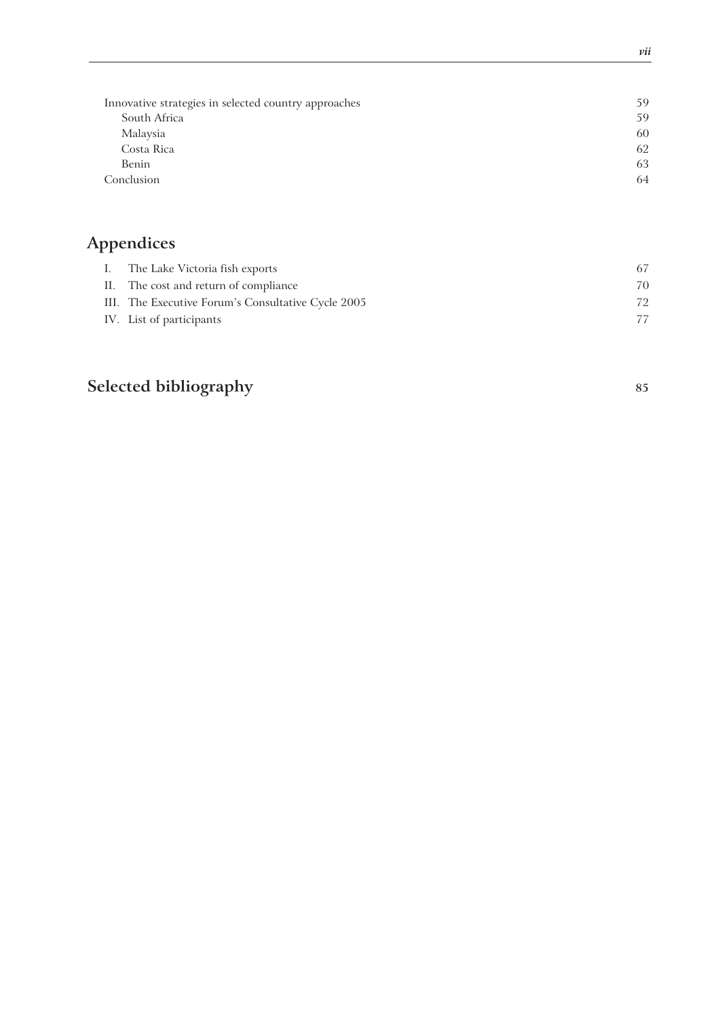| Innovative strategies in selected country approaches | 59 |
|------------------------------------------------------|----|
| South Africa                                         | 59 |
| Malaysia                                             | 60 |
| Costa Rica                                           | 62 |
| Benin                                                | 63 |
| Conclusion                                           | 64 |
|                                                      |    |

# **Appendices**

| I. The Lake Victoria fish exports                  | 67 |
|----------------------------------------------------|----|
| II. The cost and return of compliance              | 70 |
| III. The Executive Forum's Consultative Cycle 2005 | 72 |
| IV. List of participants                           | 77 |
|                                                    |    |

# **Selected bibliography <sup>85</sup>**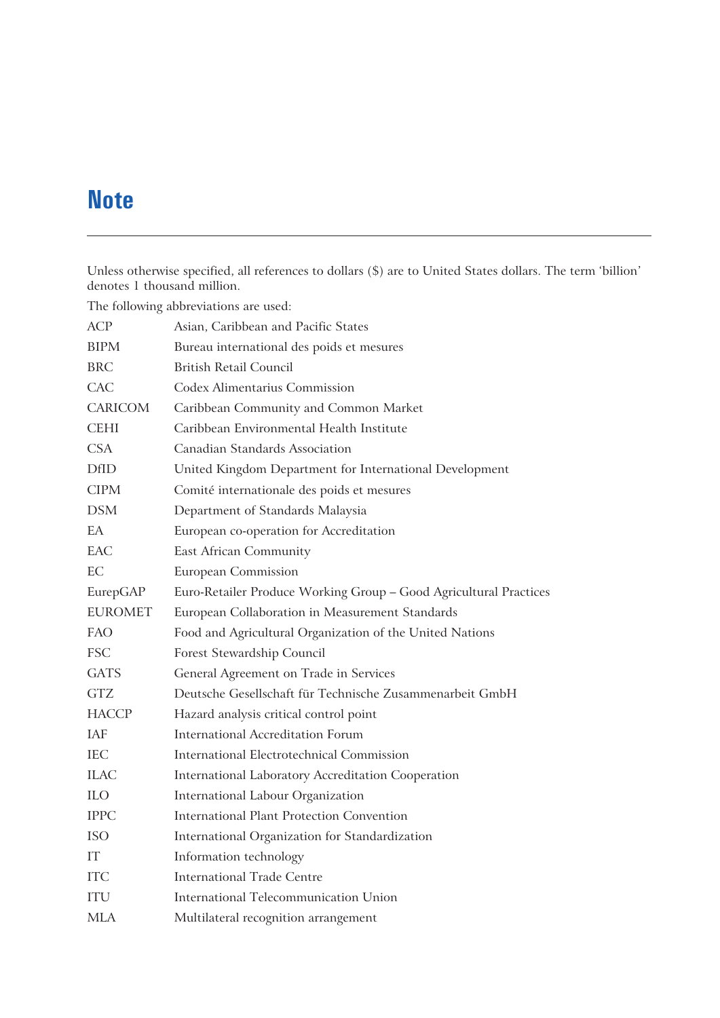# **Note**

Unless otherwise specified, all references to dollars (\$) are to United States dollars. The term 'billion' denotes 1 thousand million.

|                | The following abbreviations are used:                             |
|----------------|-------------------------------------------------------------------|
| <b>ACP</b>     | Asian, Caribbean and Pacific States                               |
| <b>BIPM</b>    | Bureau international des poids et mesures                         |
| <b>BRC</b>     | <b>British Retail Council</b>                                     |
| CAC            | <b>Codex Alimentarius Commission</b>                              |
| <b>CARICOM</b> | Caribbean Community and Common Market                             |
| <b>CEHI</b>    | Caribbean Environmental Health Institute                          |
| <b>CSA</b>     | Canadian Standards Association                                    |
| <b>DfID</b>    | United Kingdom Department for International Development           |
| <b>CIPM</b>    | Comité internationale des poids et mesures                        |
| <b>DSM</b>     | Department of Standards Malaysia                                  |
| EA             | European co-operation for Accreditation                           |
| EAC            | East African Community                                            |
| EС             | <b>European Commission</b>                                        |
| EurepGAP       | Euro-Retailer Produce Working Group - Good Agricultural Practices |
| <b>EUROMET</b> | European Collaboration in Measurement Standards                   |
| FAO            | Food and Agricultural Organization of the United Nations          |
| <b>FSC</b>     | Forest Stewardship Council                                        |
| <b>GATS</b>    | General Agreement on Trade in Services                            |
| <b>GTZ</b>     | Deutsche Gesellschaft für Technische Zusammenarbeit GmbH          |
| <b>HACCP</b>   | Hazard analysis critical control point                            |
| IAF            | <b>International Accreditation Forum</b>                          |
| <b>IEC</b>     | International Electrotechnical Commission                         |
| ILAC           | International Laboratory Accreditation Cooperation                |
| <b>ILO</b>     | International Labour Organization                                 |
| <b>IPPC</b>    | <b>International Plant Protection Convention</b>                  |
| <b>ISO</b>     | International Organization for Standardization                    |
| IТ             | Information technology                                            |
| <b>ITC</b>     | <b>International Trade Centre</b>                                 |
| <b>ITU</b>     | <b>International Telecommunication Union</b>                      |
| <b>MLA</b>     | Multilateral recognition arrangement                              |

The following abbreviations are used: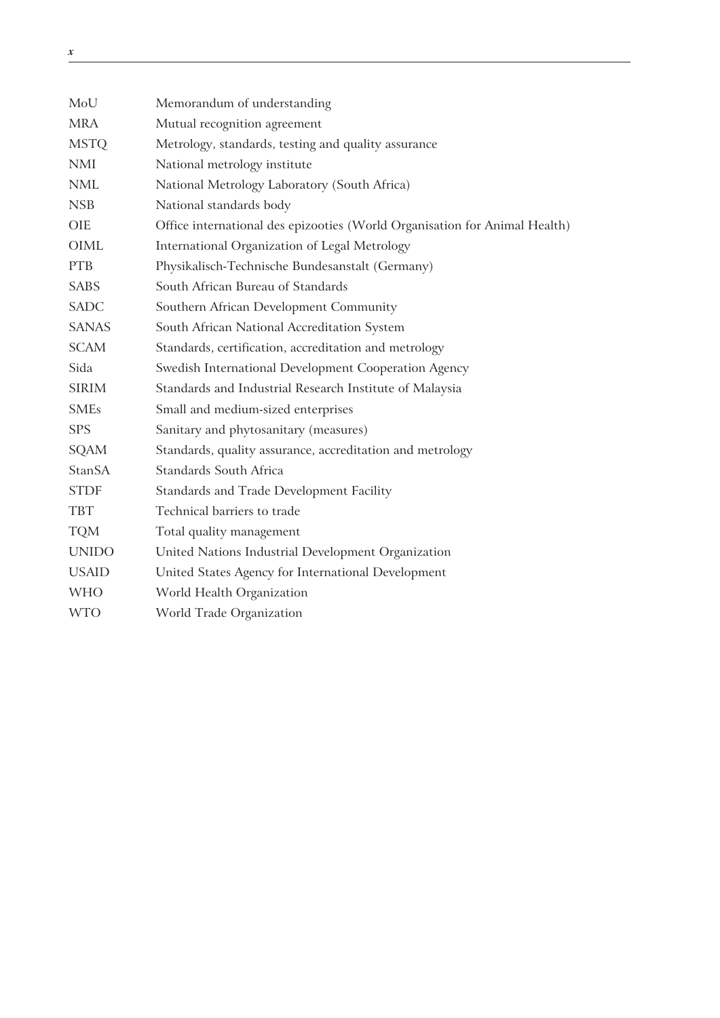| MoU           | Memorandum of understanding                                                |
|---------------|----------------------------------------------------------------------------|
| <b>MRA</b>    | Mutual recognition agreement                                               |
| <b>MSTQ</b>   | Metrology, standards, testing and quality assurance                        |
| <b>NMI</b>    | National metrology institute                                               |
| <b>NML</b>    | National Metrology Laboratory (South Africa)                               |
| <b>NSB</b>    | National standards body                                                    |
| <b>OIE</b>    | Office international des epizooties (World Organisation for Animal Health) |
| <b>OIML</b>   | International Organization of Legal Metrology                              |
| <b>PTB</b>    | Physikalisch-Technische Bundesanstalt (Germany)                            |
| <b>SABS</b>   | South African Bureau of Standards                                          |
| <b>SADC</b>   | Southern African Development Community                                     |
| <b>SANAS</b>  | South African National Accreditation System                                |
| <b>SCAM</b>   | Standards, certification, accreditation and metrology                      |
| Sida          | Swedish International Development Cooperation Agency                       |
| <b>SIRIM</b>  | Standards and Industrial Research Institute of Malaysia                    |
| <b>SMEs</b>   | Small and medium-sized enterprises                                         |
| <b>SPS</b>    | Sanitary and phytosanitary (measures)                                      |
| <b>SQAM</b>   | Standards, quality assurance, accreditation and metrology                  |
| <b>StanSA</b> | <b>Standards South Africa</b>                                              |
| <b>STDF</b>   | Standards and Trade Development Facility                                   |
| <b>TBT</b>    | Technical barriers to trade                                                |
| <b>TQM</b>    | Total quality management                                                   |
| <b>UNIDO</b>  | United Nations Industrial Development Organization                         |
| <b>USAID</b>  | United States Agency for International Development                         |
| <b>WHO</b>    | World Health Organization                                                  |
| <b>WTO</b>    | World Trade Organization                                                   |

<u> 1980 - Johann Barbara, martin a</u>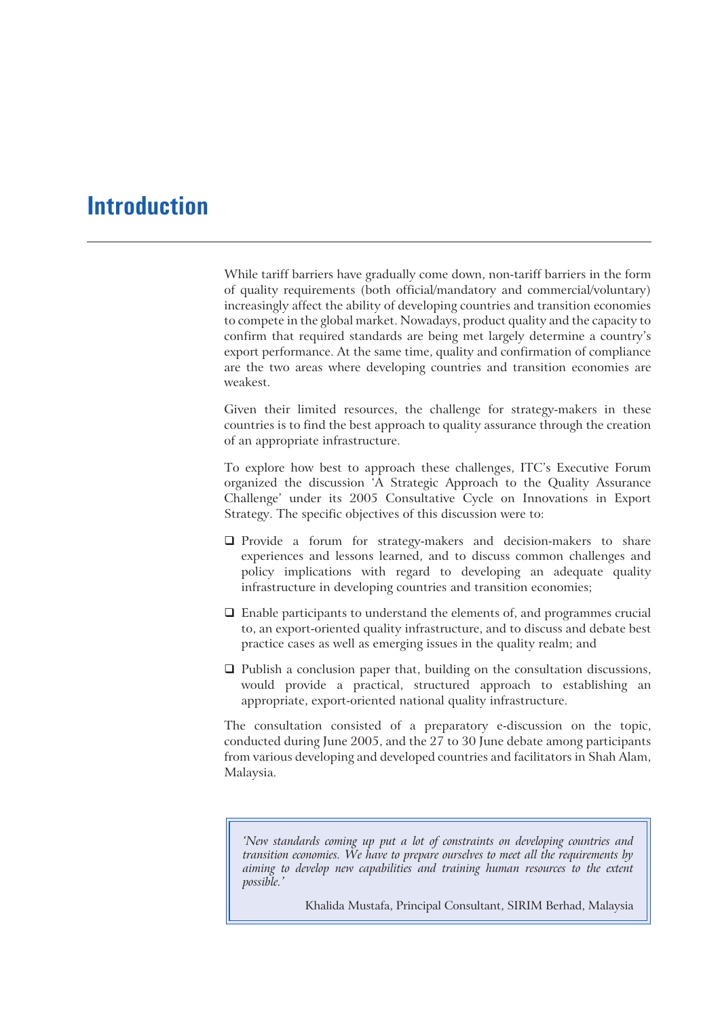# **Introduction**

While tariff barriers have gradually come down, non-tariff barriers in the form of quality requirements (both official/mandatory and commercial/voluntary) increasingly affect the ability of developing countries and transition economies to compete in the global market. Nowadays, product quality and the capacity to confirm that required standards are being met largely determine a country's export performance. At the same time, quality and confirmation of compliance are the two areas where developing countries and transition economies are weakest.

Given their limited resources, the challenge for strategy-makers in these countries is to find the best approach to quality assurance through the creation of an appropriate infrastructure.

To explore how best to approach these challenges, ITC's Executive Forum organized the discussion 'A Strategic Approach to the Quality Assurance Challenge' under its 2005 Consultative Cycle on Innovations in Export Strategy. The specific objectives of this discussion were to:

- $\Box$  Provide a forum for strategy-makers and decision-makers to share experiences and lessons learned, and to discuss common challenges and policy implications with regard to developing an adequate quality infrastructure in developing countries and transition economies;
- $\square$  Enable participants to understand the elements of, and programmes crucial to, an export-oriented quality infrastructure, and to discuss and debate best practice cases as well as emerging issues in the quality realm; and
- $\Box$  Publish a conclusion paper that, building on the consultation discussions, would provide a practical, structured approach to establishing an appropriate, export-oriented national quality infrastructure.

The consultation consisted of a preparatory e-discussion on the topic, conducted during June 2005, and the 27 to 30 June debate among participants from various developing and developed countries and facilitators in Shah Alam, Malaysia.

*'New standards coming up put a lot of constraints on developing countries and transition economies. We have to prepare ourselves to meet all the requirements by aiming to develop new capabilities and training human resources to the extent possible.'*

Khalida Mustafa, Principal Consultant, SIRIM Berhad, Malaysia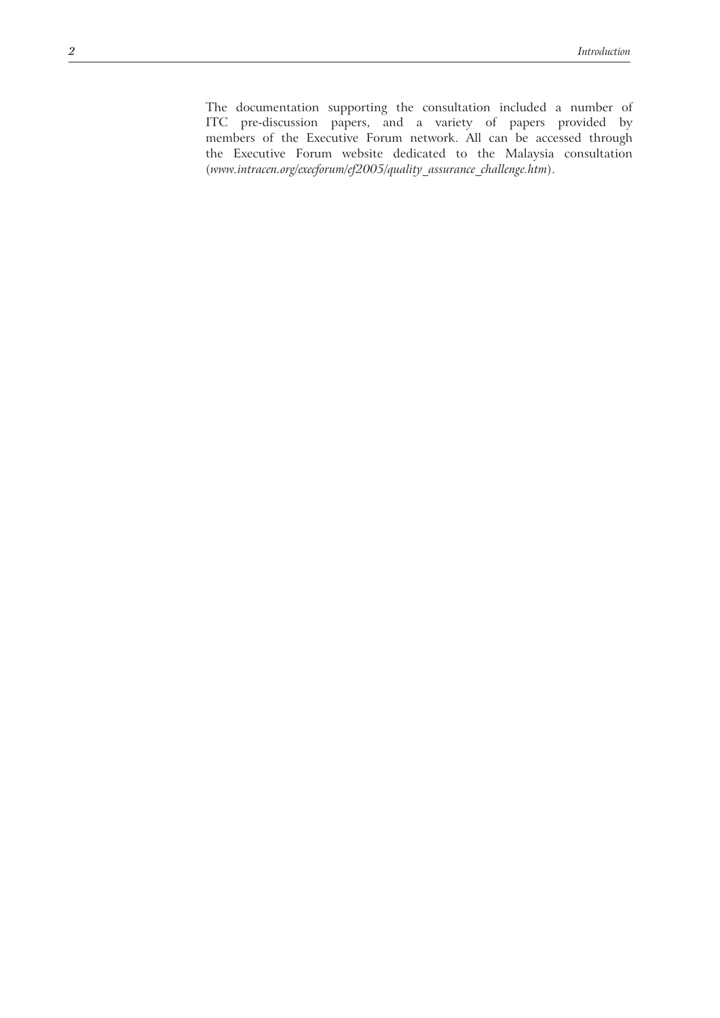The documentation supporting the consultation included a number of ITC pre-discussion papers, and a variety of papers provided by members of the Executive Forum network. All can be accessed through the Executive Forum website dedicated to the Malaysia consultation (*www.intracen.org/execforum/ef2005/quality\_assurance\_challenge.htm*).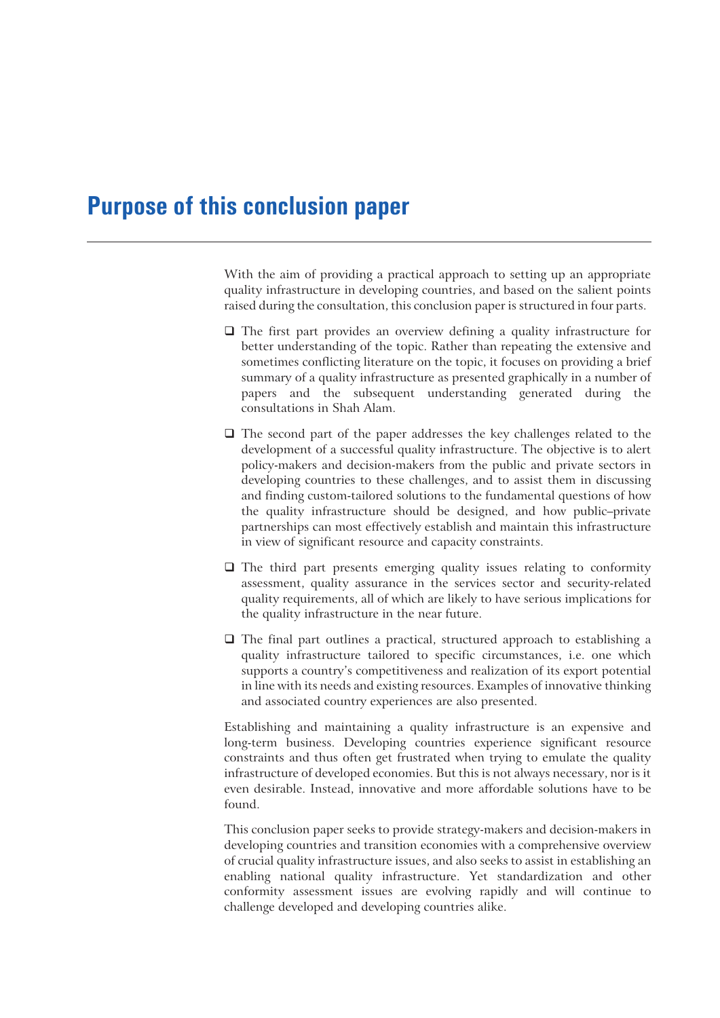# **Purpose of this conclusion paper**

With the aim of providing a practical approach to setting up an appropriate quality infrastructure in developing countries, and based on the salient points raised during the consultation, this conclusion paper is structured in four parts.

- The first part provides an overview defining a quality infrastructure for better understanding of the topic. Rather than repeating the extensive and sometimes conflicting literature on the topic, it focuses on providing a brief summary of a quality infrastructure as presented graphically in a number of papers and the subsequent understanding generated during the consultations in Shah Alam.
- $\Box$  The second part of the paper addresses the key challenges related to the development of a successful quality infrastructure. The objective is to alert policy-makers and decision-makers from the public and private sectors in developing countries to these challenges, and to assist them in discussing and finding custom-tailored solutions to the fundamental questions of how the quality infrastructure should be designed, and how public–private partnerships can most effectively establish and maintain this infrastructure in view of significant resource and capacity constraints.
- $\Box$  The third part presents emerging quality issues relating to conformity assessment, quality assurance in the services sector and security-related quality requirements, all of which are likely to have serious implications for the quality infrastructure in the near future.
- The final part outlines a practical, structured approach to establishing a quality infrastructure tailored to specific circumstances, i.e. one which supports a country's competitiveness and realization of its export potential in line with its needs and existing resources. Examples of innovative thinking and associated country experiences are also presented.

Establishing and maintaining a quality infrastructure is an expensive and long-term business. Developing countries experience significant resource constraints and thus often get frustrated when trying to emulate the quality infrastructure of developed economies. But this is not always necessary, nor is it even desirable. Instead, innovative and more affordable solutions have to be found.

This conclusion paper seeks to provide strategy-makers and decision-makers in developing countries and transition economies with a comprehensive overview of crucial quality infrastructure issues, and also seeks to assist in establishing an enabling national quality infrastructure. Yet standardization and other conformity assessment issues are evolving rapidly and will continue to challenge developed and developing countries alike.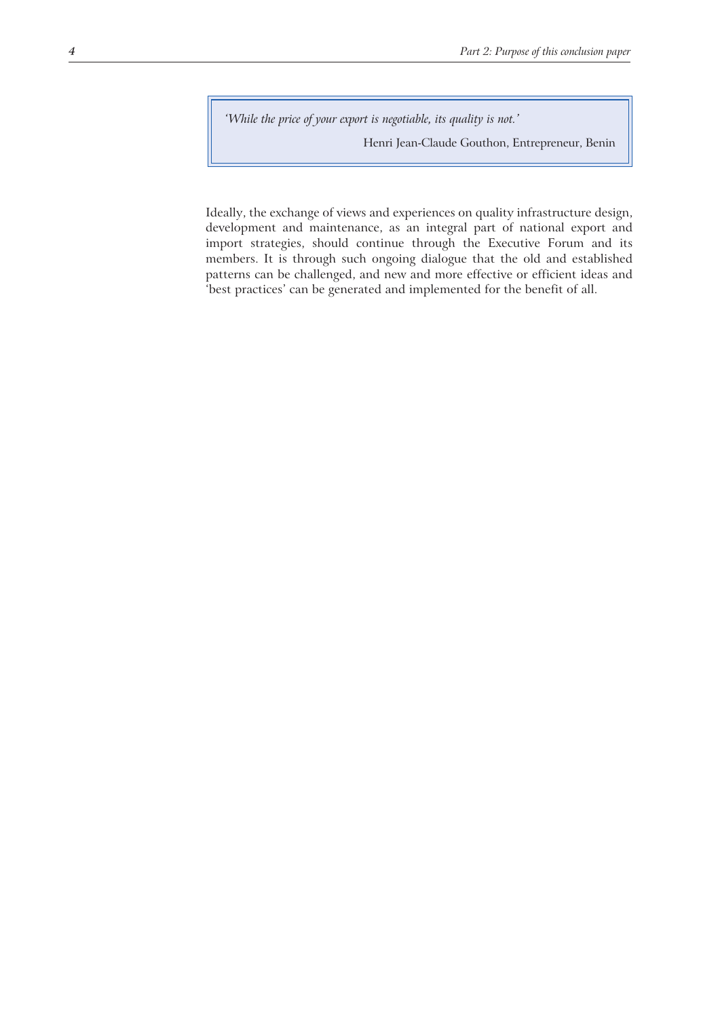*'While the price of your export is negotiable, its quality is not.'*

Henri Jean-Claude Gouthon, Entrepreneur, Benin

Ideally, the exchange of views and experiences on quality infrastructure design, development and maintenance, as an integral part of national export and import strategies, should continue through the Executive Forum and its members. It is through such ongoing dialogue that the old and established patterns can be challenged, and new and more effective or efficient ideas and 'best practices' can be generated and implemented for the benefit of all.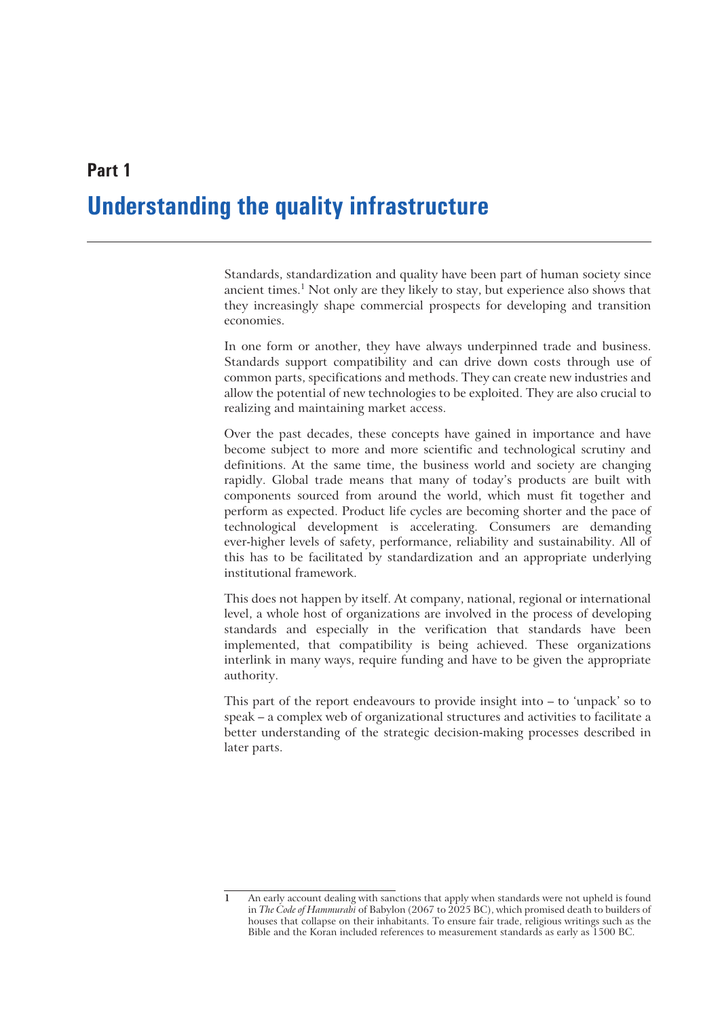# **Understanding the quality infrastructure**

Standards, standardization and quality have been part of human society since ancient times.<sup>1</sup> Not only are they likely to stay, but experience also shows that they increasingly shape commercial prospects for developing and transition economies.

In one form or another, they have always underpinned trade and business. Standards support compatibility and can drive down costs through use of common parts, specifications and methods. They can create new industries and allow the potential of new technologies to be exploited. They are also crucial to realizing and maintaining market access.

Over the past decades, these concepts have gained in importance and have become subject to more and more scientific and technological scrutiny and definitions. At the same time, the business world and society are changing rapidly. Global trade means that many of today's products are built with components sourced from around the world, which must fit together and perform as expected. Product life cycles are becoming shorter and the pace of technological development is accelerating. Consumers are demanding ever-higher levels of safety, performance, reliability and sustainability. All of this has to be facilitated by standardization and an appropriate underlying institutional framework.

This does not happen by itself. At company, national, regional or international level, a whole host of organizations are involved in the process of developing standards and especially in the verification that standards have been implemented, that compatibility is being achieved. These organizations interlink in many ways, require funding and have to be given the appropriate authority.

This part of the report endeavours to provide insight into – to 'unpack' so to speak – a complex web of organizational structures and activities to facilitate a better understanding of the strategic decision-making processes described in later parts.

**Part 1**

**<sup>1</sup>** An early account dealing with sanctions that apply when standards were not upheld is found in *The Code of Hammurabi* of Babylon (2067 to 2025 BC), which promised death to builders of houses that collapse on their inhabitants. To ensure fair trade, religious writings such as the Bible and the Koran included references to measurement standards as early as 1500 BC.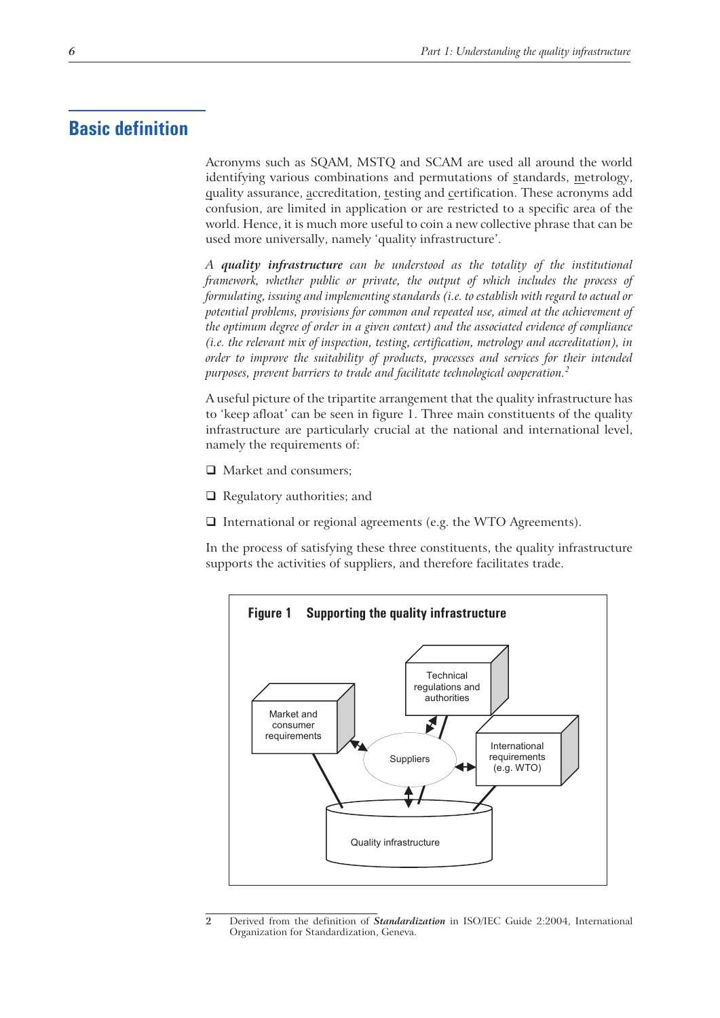## **Basic definition**

Acronyms such as SQAM, MSTQ and SCAM are used all around the world identifying various combinations and permutations of standards, metrology, quality assurance, accreditation, testing and certification. These acronyms add confusion, are limited in application or are restricted to a specific area of the world. Hence, it is much more useful to coin a new collective phrase that can be used more universally, namely 'quality infrastructure'.

*A quality infrastructure can be understood as the totality of the institutional framework, whether public or private, the output of which includes the process of formulating, issuing and implementing standards (i.e. to establish with regard to actual or potential problems, provisions for common and repeated use, aimed at the achievement of the optimum degree of order in a given context) and the associated evidence of compliance (i.e. the relevant mix of inspection, testing, certification, metrology and accreditation), in order to improve the suitability of products, processes and services for their intended purposes, prevent barriers to trade and facilitate technological cooperation.<sup>2</sup>*

A useful picture of the tripartite arrangement that the quality infrastructure has to 'keep afloat' can be seen in figure 1. Three main constituents of the quality infrastructure are particularly crucial at the national and international level, namely the requirements of:

- □ Market and consumers;
- $\Box$  Regulatory authorities; and
- $\Box$  International or regional agreements (e.g. the WTO Agreements).

In the process of satisfying these three constituents, the quality infrastructure supports the activities of suppliers, and therefore facilitates trade.



**<sup>2</sup>** Derived from the definition of *Standardization* in ISO/IEC Guide 2:2004, International Organization for Standardization, Geneva.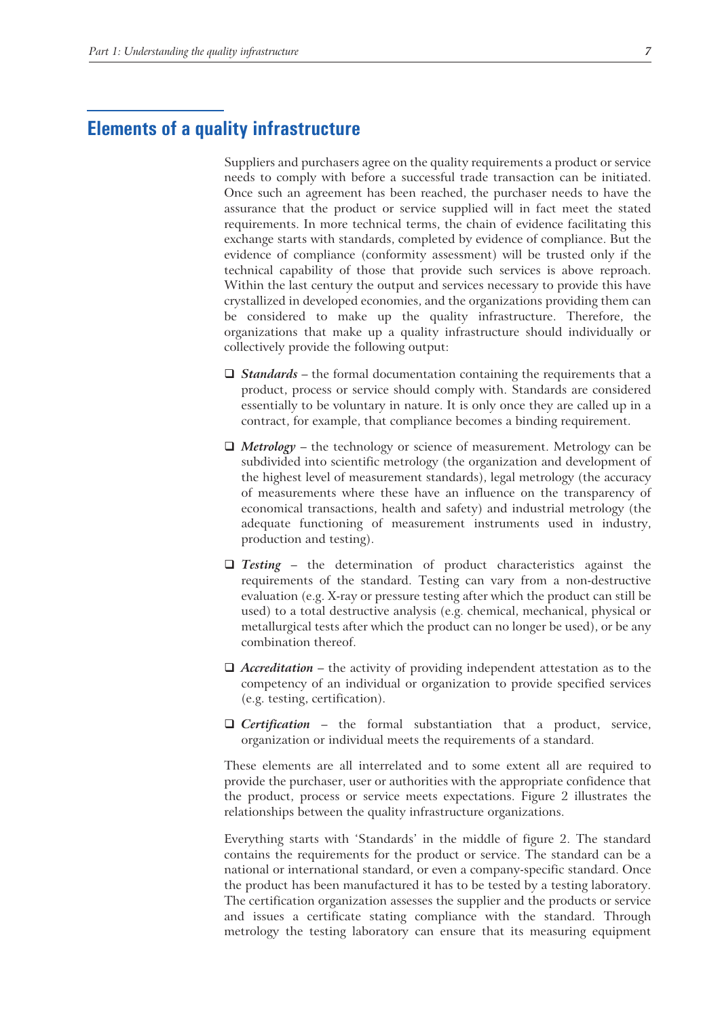# **Elements of a quality infrastructure**

Suppliers and purchasers agree on the quality requirements a product or service needs to comply with before a successful trade transaction can be initiated. Once such an agreement has been reached, the purchaser needs to have the assurance that the product or service supplied will in fact meet the stated requirements. In more technical terms, the chain of evidence facilitating this exchange starts with standards, completed by evidence of compliance. But the evidence of compliance (conformity assessment) will be trusted only if the technical capability of those that provide such services is above reproach. Within the last century the output and services necessary to provide this have crystallized in developed economies, and the organizations providing them can be considered to make up the quality infrastructure. Therefore, the organizations that make up a quality infrastructure should individually or collectively provide the following output:

- □ *Standards* the formal documentation containing the requirements that a product, process or service should comply with. Standards are considered essentially to be voluntary in nature. It is only once they are called up in a contract, for example, that compliance becomes a binding requirement.
- *Metrology* the technology or science of measurement. Metrology can be subdivided into scientific metrology (the organization and development of the highest level of measurement standards), legal metrology (the accuracy of measurements where these have an influence on the transparency of economical transactions, health and safety) and industrial metrology (the adequate functioning of measurement instruments used in industry, production and testing).
- *Testing* the determination of product characteristics against the requirements of the standard. Testing can vary from a non-destructive evaluation (e.g. X-ray or pressure testing after which the product can still be used) to a total destructive analysis (e.g. chemical, mechanical, physical or metallurgical tests after which the product can no longer be used), or be any combination thereof.
- *Accreditation* the activity of providing independent attestation as to the competency of an individual or organization to provide specified services (e.g. testing, certification).
- *Certification* the formal substantiation that a product, service, organization or individual meets the requirements of a standard.

These elements are all interrelated and to some extent all are required to provide the purchaser, user or authorities with the appropriate confidence that the product, process or service meets expectations. Figure 2 illustrates the relationships between the quality infrastructure organizations.

Everything starts with 'Standards' in the middle of figure 2. The standard contains the requirements for the product or service. The standard can be a national or international standard, or even a company-specific standard. Once the product has been manufactured it has to be tested by a testing laboratory. The certification organization assesses the supplier and the products or service and issues a certificate stating compliance with the standard. Through metrology the testing laboratory can ensure that its measuring equipment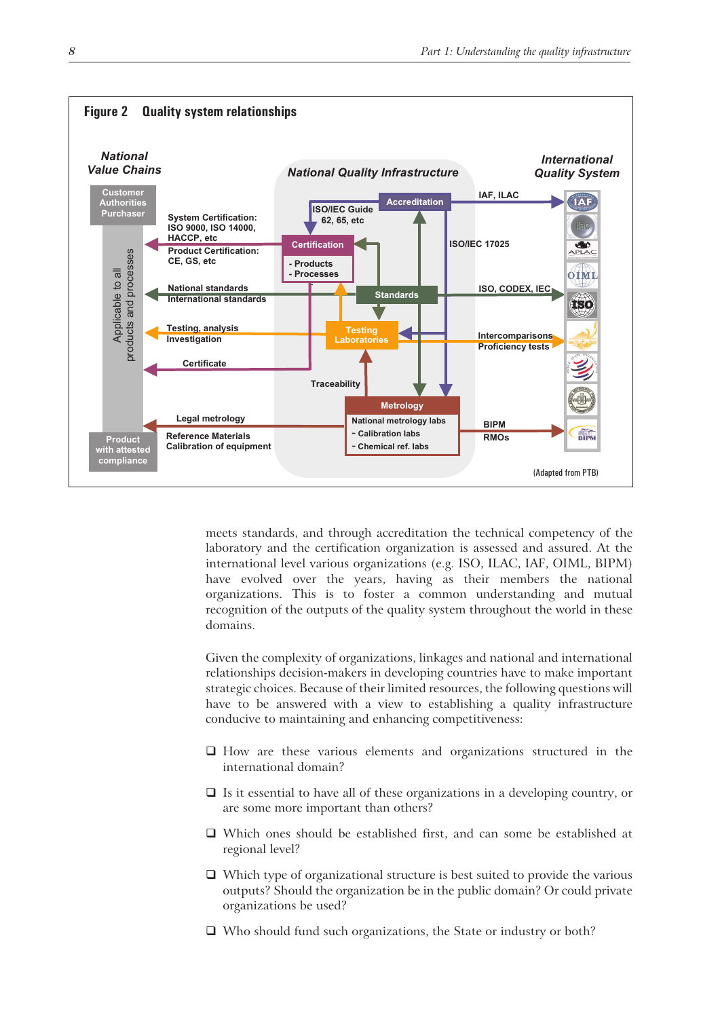

meets standards, and through accreditation the technical competency of the laboratory and the certification organization is assessed and assured. At the international level various organizations (e.g. ISO, ILAC, IAF, OIML, BIPM) have evolved over the years, having as their members the national organizations. This is to foster a common understanding and mutual recognition of the outputs of the quality system throughout the world in these domains.

Given the complexity of organizations, linkages and national and international relationships decision-makers in developing countries have to make important strategic choices. Because of their limited resources, the following questions will have to be answered with a view to establishing a quality infrastructure conducive to maintaining and enhancing competitiveness:

- $\Box$  How are these various elements and organizations structured in the international domain?
- $\Box$  Is it essential to have all of these organizations in a developing country, or are some more important than others?
- Which ones should be established first, and can some be established at regional level?
- $\Box$  Which type of organizational structure is best suited to provide the various outputs? Should the organization be in the public domain? Or could private organizations be used?
- □ Who should fund such organizations, the State or industry or both?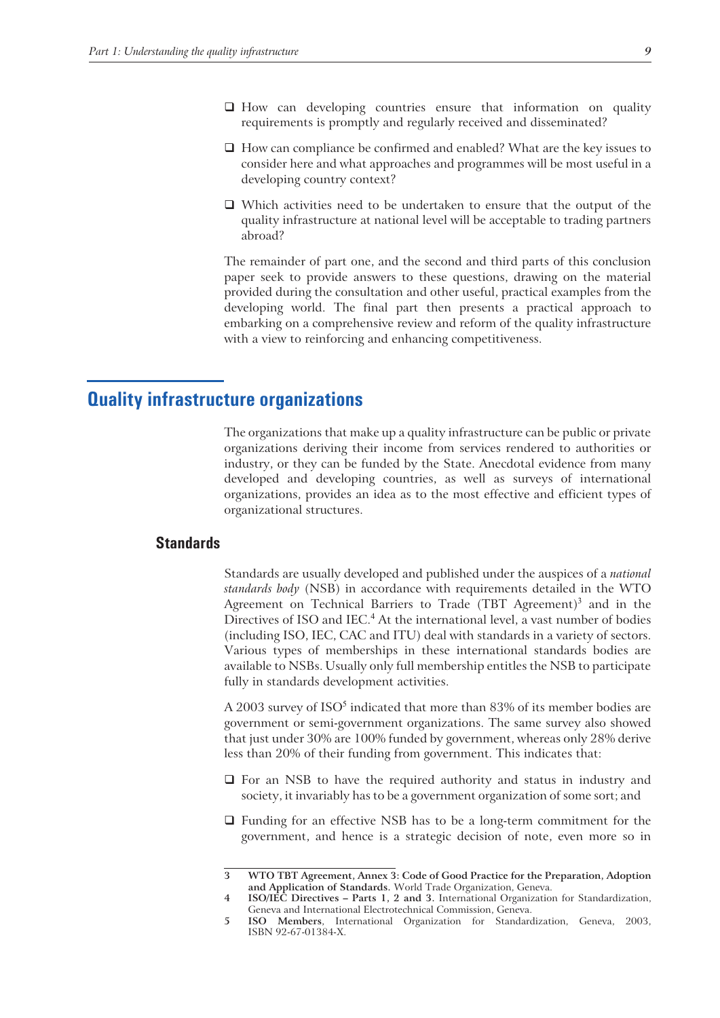- How can developing countries ensure that information on quality requirements is promptly and regularly received and disseminated?
- $\Box$  How can compliance be confirmed and enabled? What are the key issues to consider here and what approaches and programmes will be most useful in a developing country context?
- Which activities need to be undertaken to ensure that the output of the quality infrastructure at national level will be acceptable to trading partners abroad?

The remainder of part one, and the second and third parts of this conclusion paper seek to provide answers to these questions, drawing on the material provided during the consultation and other useful, practical examples from the developing world. The final part then presents a practical approach to embarking on a comprehensive review and reform of the quality infrastructure with a view to reinforcing and enhancing competitiveness.

# **Quality infrastructure organizations**

The organizations that make up a quality infrastructure can be public or private organizations deriving their income from services rendered to authorities or industry, or they can be funded by the State. Anecdotal evidence from many developed and developing countries, as well as surveys of international organizations, provides an idea as to the most effective and efficient types of organizational structures.

#### **Standards**

Standards are usually developed and published under the auspices of a *national standards body* (NSB) in accordance with requirements detailed in the WTO Agreement on Technical Barriers to Trade  $(TBT$  Agreement)<sup>3</sup> and in the Directives of ISO and IEC.<sup>4</sup> At the international level, a vast number of bodies (including ISO, IEC, CAC and ITU) deal with standards in a variety of sectors. Various types of memberships in these international standards bodies are available to NSBs. Usually only full membership entitles the NSB to participate fully in standards development activities.

A 2003 survey of  $ISO<sup>5</sup>$  indicated that more than 83% of its member bodies are government or semi-government organizations. The same survey also showed that just under 30% are 100% funded by government, whereas only 28% derive less than 20% of their funding from government. This indicates that:

- $\Box$  For an NSB to have the required authority and status in industry and society, it invariably has to be a government organization of some sort; and
- Funding for an effective NSB has to be a long-term commitment for the government, and hence is a strategic decision of note, even more so in

**<sup>3</sup> WTO TBT Agreement, Annex 3: Code of Good Practice for the Preparation, Adoption and Application of Standards.** World Trade Organization, Geneva.

**<sup>4</sup> ISO/IEC Directives – Parts 1, 2 and 3.** International Organization for Standardization, Geneva and International Electrotechnical Commission, Geneva.

**<sup>5</sup> ISO Members**, International Organization for Standardization, Geneva, 2003, ISBN 92-67-01384-X.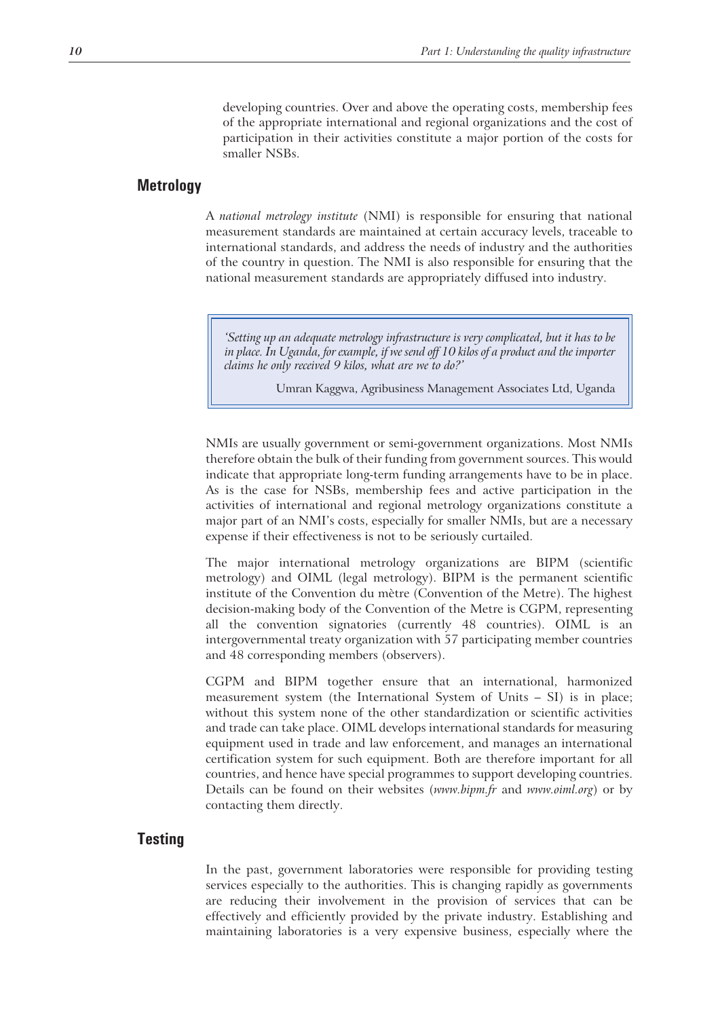developing countries. Over and above the operating costs, membership fees of the appropriate international and regional organizations and the cost of participation in their activities constitute a major portion of the costs for smaller NSBs.

#### **Metrology**

A *national metrology institute* (NMI) is responsible for ensuring that national measurement standards are maintained at certain accuracy levels, traceable to international standards, and address the needs of industry and the authorities of the country in question. The NMI is also responsible for ensuring that the national measurement standards are appropriately diffused into industry.

*'Setting up an adequate metrology infrastructure is very complicated, but it has to be in place. In Uganda, for example, if we send off 10 kilos of a product and the importer claims he only received 9 kilos, what are we to do?'*

Umran Kaggwa, Agribusiness Management Associates Ltd, Uganda

NMIs are usually government or semi-government organizations. Most NMIs therefore obtain the bulk of their funding from government sources. This would indicate that appropriate long-term funding arrangements have to be in place. As is the case for NSBs, membership fees and active participation in the activities of international and regional metrology organizations constitute a major part of an NMI's costs, especially for smaller NMIs, but are a necessary expense if their effectiveness is not to be seriously curtailed.

The major international metrology organizations are BIPM (scientific metrology) and OIML (legal metrology). BIPM is the permanent scientific institute of the Convention du mètre (Convention of the Metre). The highest decision-making body of the Convention of the Metre is CGPM, representing all the convention signatories (currently 48 countries). OIML is an intergovernmental treaty organization with 57 participating member countries and 48 corresponding members (observers).

CGPM and BIPM together ensure that an international, harmonized measurement system (the International System of Units – SI) is in place; without this system none of the other standardization or scientific activities and trade can take place. OIML develops international standards for measuring equipment used in trade and law enforcement, and manages an international certification system for such equipment. Both are therefore important for all countries, and hence have special programmes to support developing countries. Details can be found on their websites (*www.bipm.fr* and *www.oiml.org*) or by contacting them directly.

### **Testing**

In the past, government laboratories were responsible for providing testing services especially to the authorities. This is changing rapidly as governments are reducing their involvement in the provision of services that can be effectively and efficiently provided by the private industry. Establishing and maintaining laboratories is a very expensive business, especially where the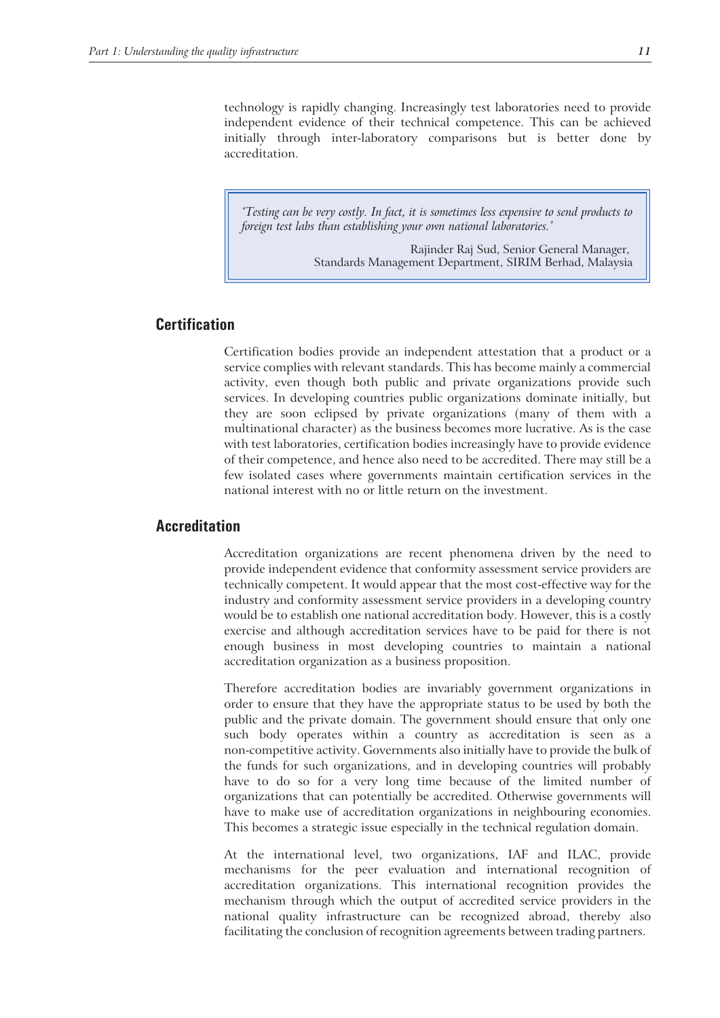technology is rapidly changing. Increasingly test laboratories need to provide independent evidence of their technical competence. This can be achieved initially through inter-laboratory comparisons but is better done by accreditation.

*'Testing can be very costly. In fact, it is sometimes less expensive to send products to foreign test labs than establishing your own national laboratories.'*

> Rajinder Raj Sud, Senior General Manager, Standards Management Department, SIRIM Berhad, Malaysia

#### **Certification**

Certification bodies provide an independent attestation that a product or a service complies with relevant standards. This has become mainly a commercial activity, even though both public and private organizations provide such services. In developing countries public organizations dominate initially, but they are soon eclipsed by private organizations (many of them with a multinational character) as the business becomes more lucrative. As is the case with test laboratories, certification bodies increasingly have to provide evidence of their competence, and hence also need to be accredited. There may still be a few isolated cases where governments maintain certification services in the national interest with no or little return on the investment.

#### **Accreditation**

Accreditation organizations are recent phenomena driven by the need to provide independent evidence that conformity assessment service providers are technically competent. It would appear that the most cost-effective way for the industry and conformity assessment service providers in a developing country would be to establish one national accreditation body. However, this is a costly exercise and although accreditation services have to be paid for there is not enough business in most developing countries to maintain a national accreditation organization as a business proposition.

Therefore accreditation bodies are invariably government organizations in order to ensure that they have the appropriate status to be used by both the public and the private domain. The government should ensure that only one such body operates within a country as accreditation is seen as a non-competitive activity. Governments also initially have to provide the bulk of the funds for such organizations, and in developing countries will probably have to do so for a very long time because of the limited number of organizations that can potentially be accredited. Otherwise governments will have to make use of accreditation organizations in neighbouring economies. This becomes a strategic issue especially in the technical regulation domain.

At the international level, two organizations, IAF and ILAC, provide mechanisms for the peer evaluation and international recognition of accreditation organizations. This international recognition provides the mechanism through which the output of accredited service providers in the national quality infrastructure can be recognized abroad, thereby also facilitating the conclusion of recognition agreements between trading partners.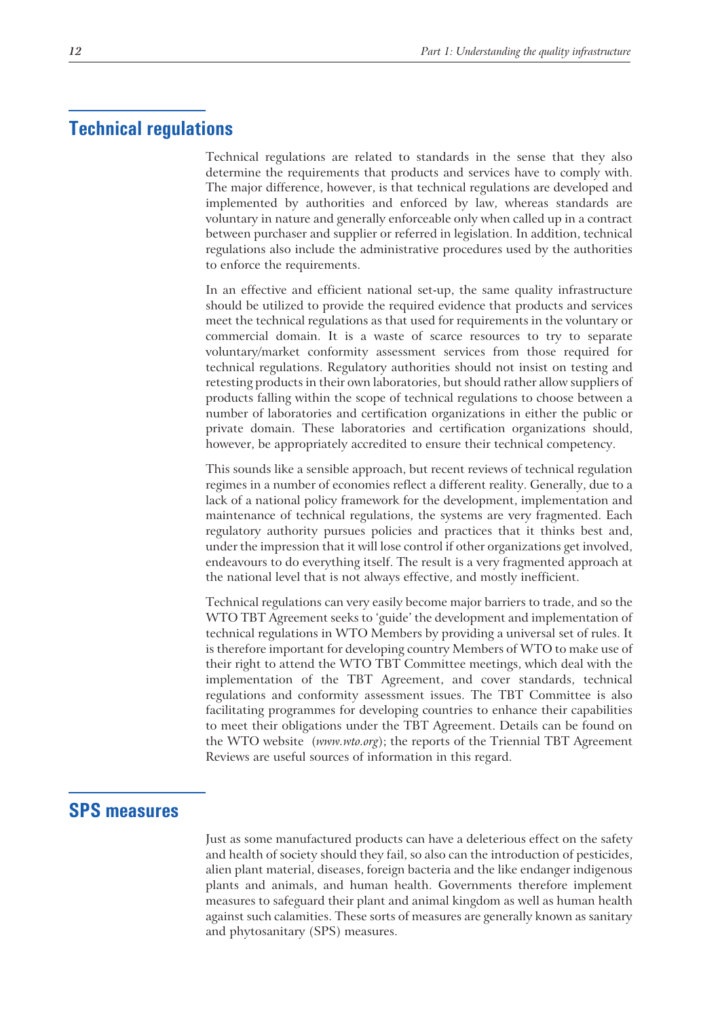### **Technical regulations**

Technical regulations are related to standards in the sense that they also determine the requirements that products and services have to comply with. The major difference, however, is that technical regulations are developed and implemented by authorities and enforced by law, whereas standards are voluntary in nature and generally enforceable only when called up in a contract between purchaser and supplier or referred in legislation. In addition, technical regulations also include the administrative procedures used by the authorities to enforce the requirements.

In an effective and efficient national set-up, the same quality infrastructure should be utilized to provide the required evidence that products and services meet the technical regulations as that used for requirements in the voluntary or commercial domain. It is a waste of scarce resources to try to separate voluntary/market conformity assessment services from those required for technical regulations. Regulatory authorities should not insist on testing and retesting products in their own laboratories, but should rather allow suppliers of products falling within the scope of technical regulations to choose between a number of laboratories and certification organizations in either the public or private domain. These laboratories and certification organizations should, however, be appropriately accredited to ensure their technical competency.

This sounds like a sensible approach, but recent reviews of technical regulation regimes in a number of economies reflect a different reality. Generally, due to a lack of a national policy framework for the development, implementation and maintenance of technical regulations, the systems are very fragmented. Each regulatory authority pursues policies and practices that it thinks best and, under the impression that it will lose control if other organizations get involved, endeavours to do everything itself. The result is a very fragmented approach at the national level that is not always effective, and mostly inefficient.

Technical regulations can very easily become major barriers to trade, and so the WTO TBT Agreement seeks to 'guide' the development and implementation of technical regulations in WTO Members by providing a universal set of rules. It is therefore important for developing country Members of WTO to make use of their right to attend the WTO TBT Committee meetings, which deal with the implementation of the TBT Agreement, and cover standards, technical regulations and conformity assessment issues. The TBT Committee is also facilitating programmes for developing countries to enhance their capabilities to meet their obligations under the TBT Agreement. Details can be found on the WTO website (*www.wto.org*); the reports of the Triennial TBT Agreement Reviews are useful sources of information in this regard.

### **SPS measures**

Just as some manufactured products can have a deleterious effect on the safety and health of society should they fail, so also can the introduction of pesticides, alien plant material, diseases, foreign bacteria and the like endanger indigenous plants and animals, and human health. Governments therefore implement measures to safeguard their plant and animal kingdom as well as human health against such calamities. These sorts of measures are generally known as sanitary and phytosanitary (SPS) measures.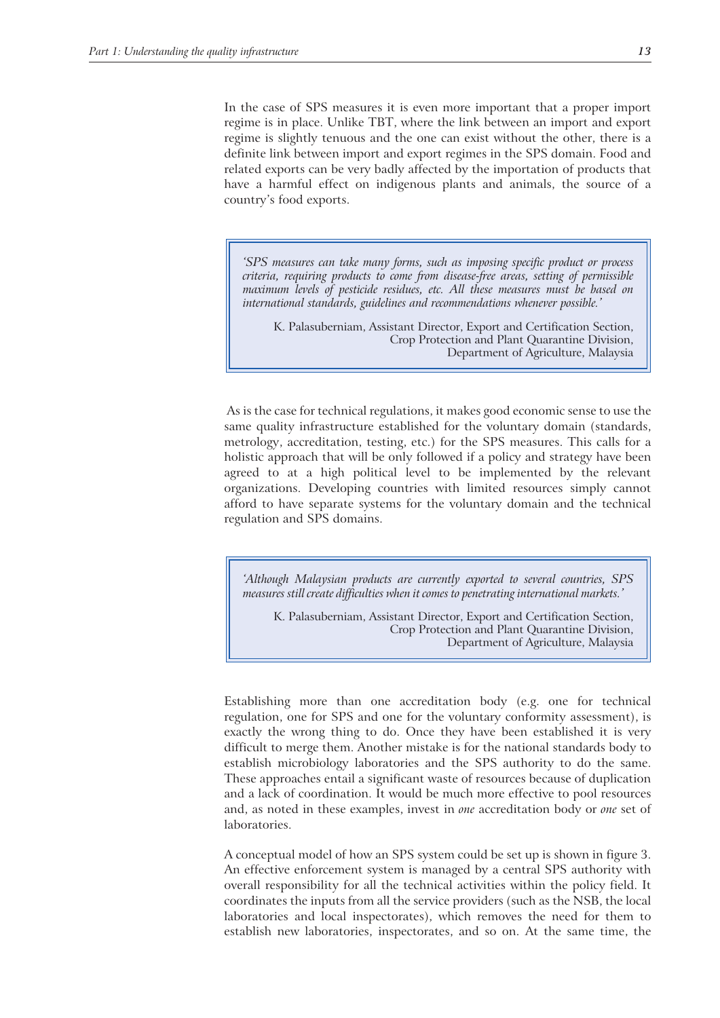In the case of SPS measures it is even more important that a proper import regime is in place. Unlike TBT, where the link between an import and export regime is slightly tenuous and the one can exist without the other, there is a definite link between import and export regimes in the SPS domain. Food and related exports can be very badly affected by the importation of products that have a harmful effect on indigenous plants and animals, the source of a country's food exports.

*'SPS measures can take many forms, such as imposing specific product or process criteria, requiring products to come from disease-free areas, setting of permissible maximum levels of pesticide residues, etc. All these measures must be based on international standards, guidelines and recommendations whenever possible.'*

K. Palasuberniam, Assistant Director, Export and Certification Section, Crop Protection and Plant Quarantine Division, Department of Agriculture, Malaysia

As is the case for technical regulations, it makes good economic sense to use the same quality infrastructure established for the voluntary domain (standards, metrology, accreditation, testing, etc.) for the SPS measures. This calls for a holistic approach that will be only followed if a policy and strategy have been agreed to at a high political level to be implemented by the relevant organizations. Developing countries with limited resources simply cannot afford to have separate systems for the voluntary domain and the technical regulation and SPS domains.

*'Although Malaysian products are currently exported to several countries, SPS measures still create difficulties when it comes to penetrating international markets.'*

K. Palasuberniam, Assistant Director, Export and Certification Section, Crop Protection and Plant Quarantine Division, Department of Agriculture, Malaysia

Establishing more than one accreditation body (e.g. one for technical regulation, one for SPS and one for the voluntary conformity assessment), is exactly the wrong thing to do. Once they have been established it is very difficult to merge them. Another mistake is for the national standards body to establish microbiology laboratories and the SPS authority to do the same. These approaches entail a significant waste of resources because of duplication and a lack of coordination. It would be much more effective to pool resources and, as noted in these examples, invest in *one* accreditation body or *one* set of laboratories.

A conceptual model of how an SPS system could be set up is shown in figure 3. An effective enforcement system is managed by a central SPS authority with overall responsibility for all the technical activities within the policy field. It coordinates the inputs from all the service providers (such as the NSB, the local laboratories and local inspectorates), which removes the need for them to establish new laboratories, inspectorates, and so on. At the same time, the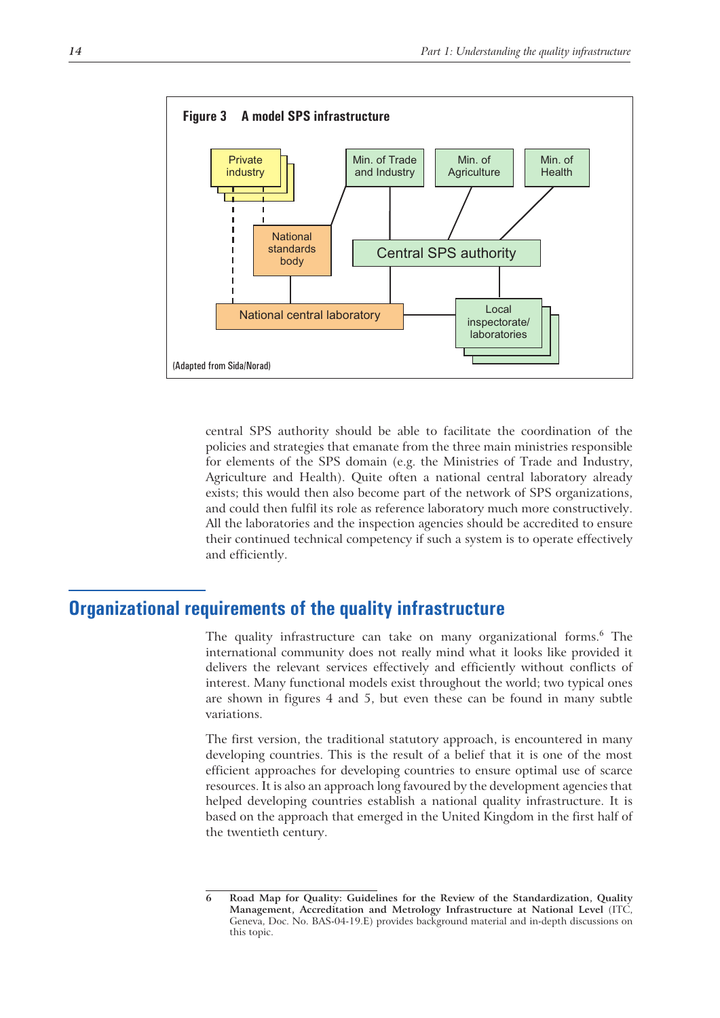

central SPS authority should be able to facilitate the coordination of the policies and strategies that emanate from the three main ministries responsible for elements of the SPS domain (e.g. the Ministries of Trade and Industry, Agriculture and Health). Quite often a national central laboratory already exists; this would then also become part of the network of SPS organizations, and could then fulfil its role as reference laboratory much more constructively. All the laboratories and the inspection agencies should be accredited to ensure their continued technical competency if such a system is to operate effectively and efficiently.

# **Organizational requirements of the quality infrastructure**

The quality infrastructure can take on many organizational forms.<sup>6</sup> The international community does not really mind what it looks like provided it delivers the relevant services effectively and efficiently without conflicts of interest. Many functional models exist throughout the world; two typical ones are shown in figures 4 and 5, but even these can be found in many subtle variations.

The first version, the traditional statutory approach, is encountered in many developing countries. This is the result of a belief that it is one of the most efficient approaches for developing countries to ensure optimal use of scarce resources. It is also an approach long favoured by the development agencies that helped developing countries establish a national quality infrastructure. It is based on the approach that emerged in the United Kingdom in the first half of the twentieth century.

**<sup>6</sup> Road Map for Quality: Guidelines for the Review of the Standardization, Quality Management, Accreditation and Metrology Infrastructure at National Level** (ITC, Geneva, Doc. No. BAS-04-19.E) provides background material and in-depth discussions on this topic.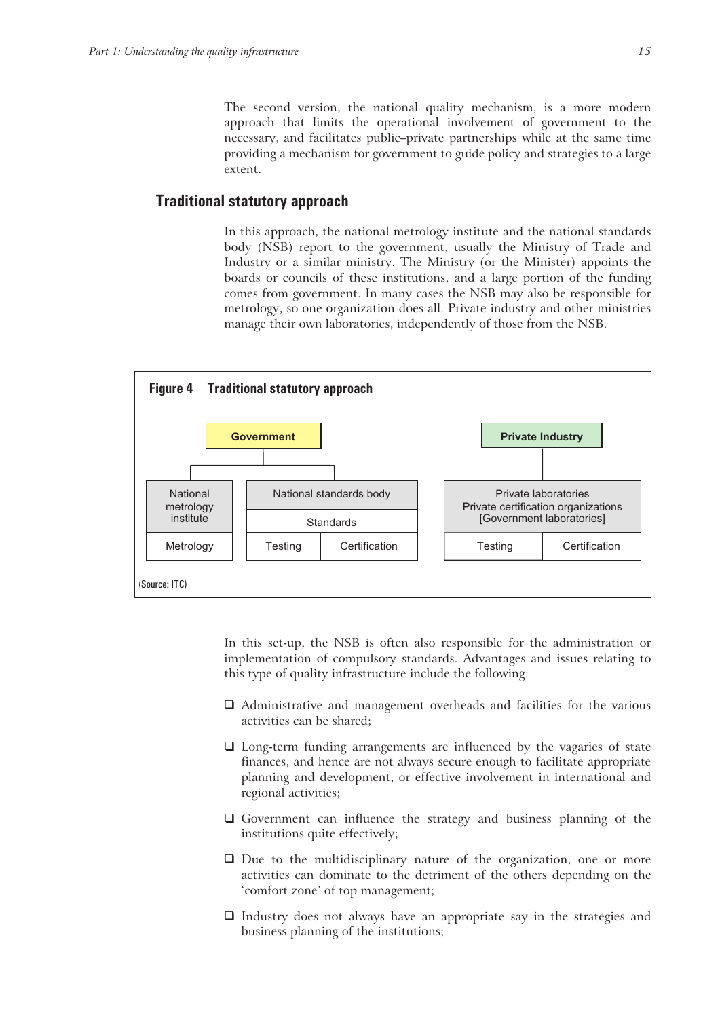The second version, the national quality mechanism, is a more modern approach that limits the operational involvement of government to the necessary, and facilitates public–private partnerships while at the same time providing a mechanism for government to guide policy and strategies to a large extent.

#### **Traditional statutory approach**

In this approach, the national metrology institute and the national standards body (NSB) report to the government, usually the Ministry of Trade and Industry or a similar ministry. The Ministry (or the Minister) appoints the boards or councils of these institutions, and a large portion of the funding comes from government. In many cases the NSB may also be responsible for metrology, so one organization does all. Private industry and other ministries manage their own laboratories, independently of those from the NSB.



In this set-up, the NSB is often also responsible for the administration or implementation of compulsory standards. Advantages and issues relating to this type of quality infrastructure include the following:

- Administrative and management overheads and facilities for the various activities can be shared;
- Long-term funding arrangements are influenced by the vagaries of state finances, and hence are not always secure enough to facilitate appropriate planning and development, or effective involvement in international and regional activities;
- Government can influence the strategy and business planning of the institutions quite effectively;
- $\Box$  Due to the multidisciplinary nature of the organization, one or more activities can dominate to the detriment of the others depending on the 'comfort zone' of top management;
- $\Box$  Industry does not always have an appropriate say in the strategies and business planning of the institutions;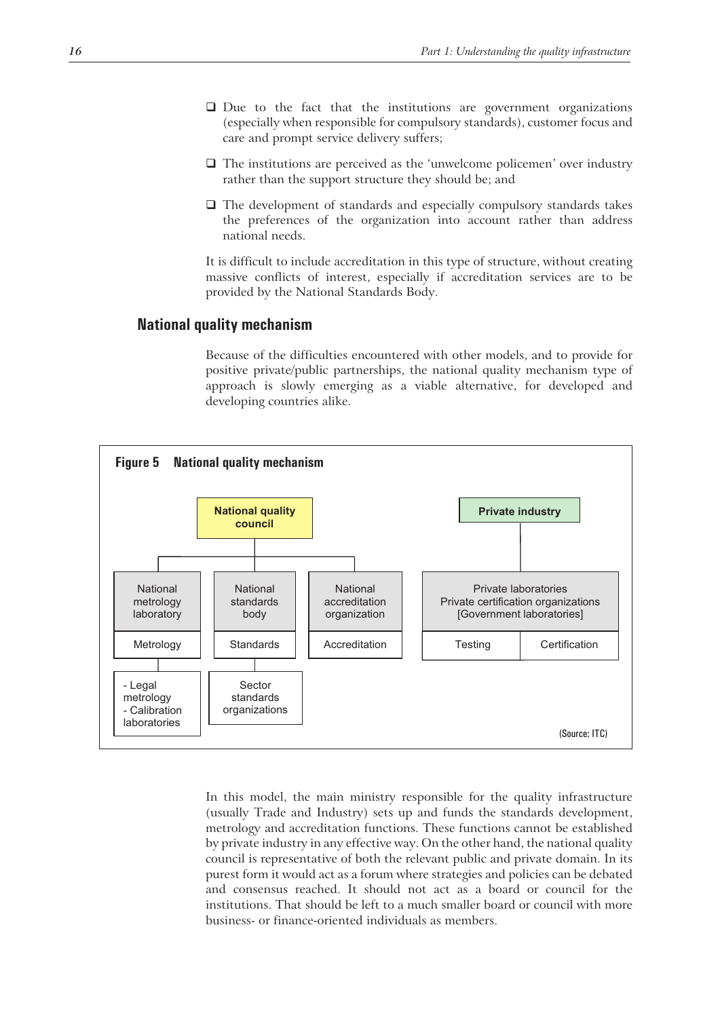- Due to the fact that the institutions are government organizations (especially when responsible for compulsory standards), customer focus and care and prompt service delivery suffers;
- $\Box$  The institutions are perceived as the 'unwelcome policemen' over industry rather than the support structure they should be; and
- $\Box$  The development of standards and especially compulsory standards takes the preferences of the organization into account rather than address national needs.

It is difficult to include accreditation in this type of structure, without creating massive conflicts of interest, especially if accreditation services are to be provided by the National Standards Body.

#### **National quality mechanism**

Because of the difficulties encountered with other models, and to provide for positive private/public partnerships, the national quality mechanism type of approach is slowly emerging as a viable alternative, for developed and developing countries alike.



In this model, the main ministry responsible for the quality infrastructure (usually Trade and Industry) sets up and funds the standards development, metrology and accreditation functions. These functions cannot be established by private industry in any effective way. On the other hand, the national quality council is representative of both the relevant public and private domain. In its purest form it would act as a forum where strategies and policies can be debated and consensus reached. It should not act as a board or council for the institutions. That should be left to a much smaller board or council with more business- or finance-oriented individuals as members.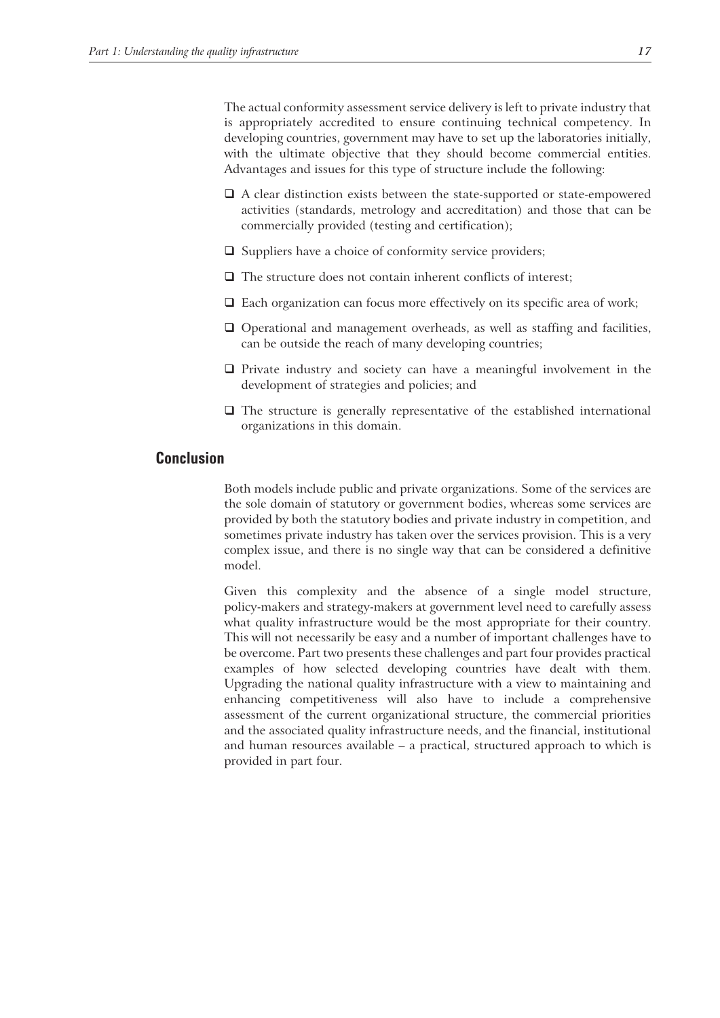The actual conformity assessment service delivery is left to private industry that is appropriately accredited to ensure continuing technical competency. In developing countries, government may have to set up the laboratories initially, with the ultimate objective that they should become commercial entities. Advantages and issues for this type of structure include the following:

- $\Box$  A clear distinction exists between the state-supported or state-empowered activities (standards, metrology and accreditation) and those that can be commercially provided (testing and certification);
- $\Box$  Suppliers have a choice of conformity service providers;
- $\Box$  The structure does not contain inherent conflicts of interest;
- $\Box$  Each organization can focus more effectively on its specific area of work;
- $\Box$  Operational and management overheads, as well as staffing and facilities, can be outside the reach of many developing countries;
- $\Box$  Private industry and society can have a meaningful involvement in the development of strategies and policies; and
- $\square$  The structure is generally representative of the established international organizations in this domain.

#### **Conclusion**

Both models include public and private organizations. Some of the services are the sole domain of statutory or government bodies, whereas some services are provided by both the statutory bodies and private industry in competition, and sometimes private industry has taken over the services provision. This is a very complex issue, and there is no single way that can be considered a definitive model.

Given this complexity and the absence of a single model structure, policy-makers and strategy-makers at government level need to carefully assess what quality infrastructure would be the most appropriate for their country. This will not necessarily be easy and a number of important challenges have to be overcome. Part two presents these challenges and part four provides practical examples of how selected developing countries have dealt with them. Upgrading the national quality infrastructure with a view to maintaining and enhancing competitiveness will also have to include a comprehensive assessment of the current organizational structure, the commercial priorities and the associated quality infrastructure needs, and the financial, institutional and human resources available – a practical, structured approach to which is provided in part four.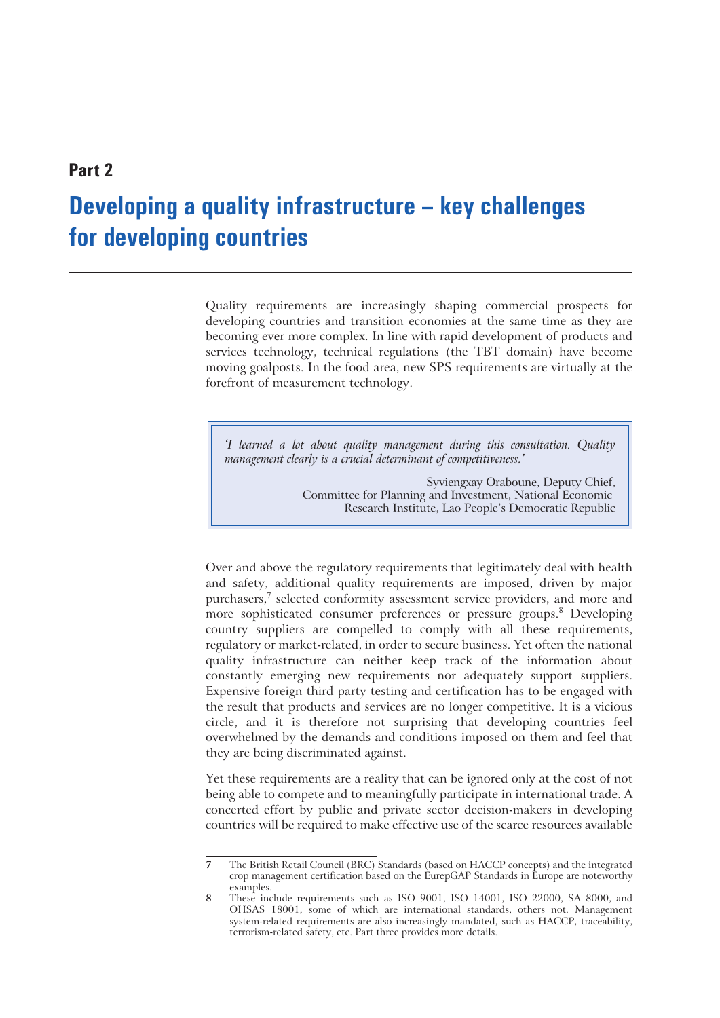### **Part 2**

# **Developing a quality infrastructure – key challenges for developing countries**

Quality requirements are increasingly shaping commercial prospects for developing countries and transition economies at the same time as they are becoming ever more complex. In line with rapid development of products and services technology, technical regulations (the TBT domain) have become moving goalposts. In the food area, new SPS requirements are virtually at the forefront of measurement technology.

*'I learned a lot about quality management during this consultation. Quality management clearly is a crucial determinant of competitiveness.'*

> Syviengxay Oraboune, Deputy Chief, Committee for Planning and Investment, National Economic Research Institute, Lao People's Democratic Republic

Over and above the regulatory requirements that legitimately deal with health and safety, additional quality requirements are imposed, driven by major purchasers,<sup>7</sup> selected conformity assessment service providers, and more and more sophisticated consumer preferences or pressure groups.<sup>8</sup> Developing country suppliers are compelled to comply with all these requirements, regulatory or market-related, in order to secure business. Yet often the national quality infrastructure can neither keep track of the information about constantly emerging new requirements nor adequately support suppliers. Expensive foreign third party testing and certification has to be engaged with the result that products and services are no longer competitive. It is a vicious circle, and it is therefore not surprising that developing countries feel overwhelmed by the demands and conditions imposed on them and feel that they are being discriminated against.

Yet these requirements are a reality that can be ignored only at the cost of not being able to compete and to meaningfully participate in international trade. A concerted effort by public and private sector decision-makers in developing countries will be required to make effective use of the scarce resources available

**<sup>7</sup>** The British Retail Council (BRC) Standards (based on HACCP concepts) and the integrated crop management certification based on the EurepGAP Standards in Europe are noteworthy examples.

**<sup>8</sup>** These include requirements such as ISO 9001, ISO 14001, ISO 22000, SA 8000, and OHSAS 18001, some of which are international standards, others not. Management system-related requirements are also increasingly mandated, such as HACCP, traceability, terrorism-related safety, etc. Part three provides more details.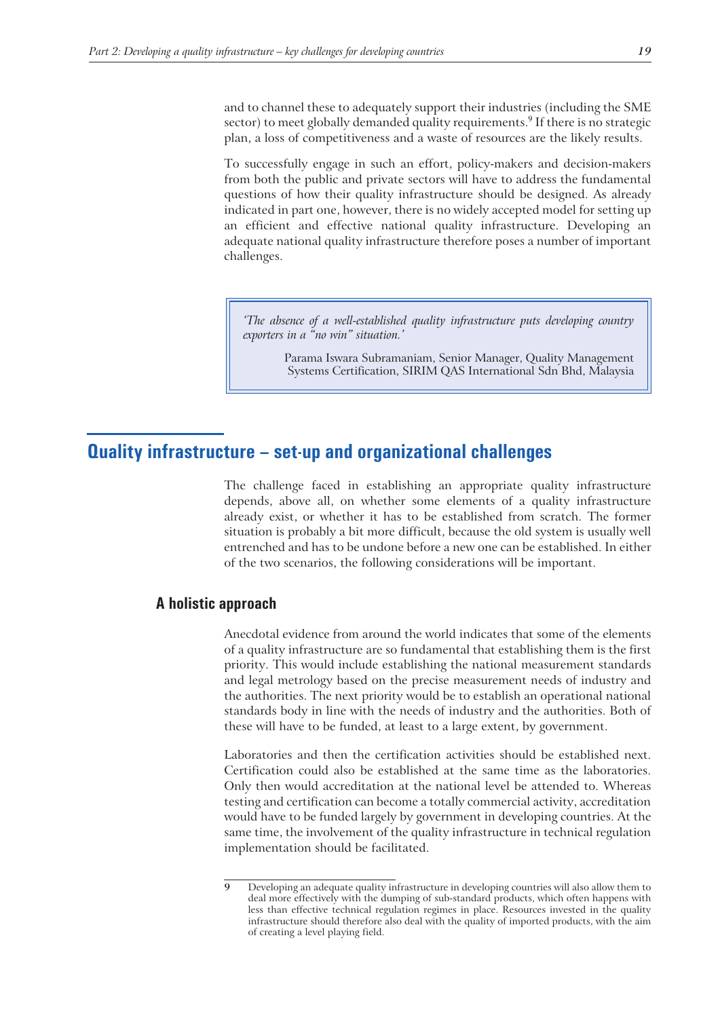and to channel these to adequately support their industries (including the SME sector) to meet globally demanded quality requirements.<sup>9</sup> If there is no strategic plan, a loss of competitiveness and a waste of resources are the likely results.

To successfully engage in such an effort, policy-makers and decision-makers from both the public and private sectors will have to address the fundamental questions of how their quality infrastructure should be designed. As already indicated in part one, however, there is no widely accepted model for setting up an efficient and effective national quality infrastructure. Developing an adequate national quality infrastructure therefore poses a number of important challenges.

*'The absence of a well-established quality infrastructure puts developing country exporters in a "no win" situation.'*

> Parama Iswara Subramaniam, Senior Manager, Quality Management Systems Certification, SIRIM QAS International Sdn Bhd, Malaysia

### **Quality infrastructure – set-up and organizational challenges**

The challenge faced in establishing an appropriate quality infrastructure depends, above all, on whether some elements of a quality infrastructure already exist, or whether it has to be established from scratch. The former situation is probably a bit more difficult, because the old system is usually well entrenched and has to be undone before a new one can be established. In either of the two scenarios, the following considerations will be important.

### **A holistic approach**

Anecdotal evidence from around the world indicates that some of the elements of a quality infrastructure are so fundamental that establishing them is the first priority. This would include establishing the national measurement standards and legal metrology based on the precise measurement needs of industry and the authorities. The next priority would be to establish an operational national standards body in line with the needs of industry and the authorities. Both of these will have to be funded, at least to a large extent, by government.

Laboratories and then the certification activities should be established next. Certification could also be established at the same time as the laboratories. Only then would accreditation at the national level be attended to. Whereas testing and certification can become a totally commercial activity, accreditation would have to be funded largely by government in developing countries. At the same time, the involvement of the quality infrastructure in technical regulation implementation should be facilitated.

**<sup>9</sup>** Developing an adequate quality infrastructure in developing countries will also allow them to deal more effectively with the dumping of sub-standard products, which often happens with less than effective technical regulation regimes in place. Resources invested in the quality infrastructure should therefore also deal with the quality of imported products, with the aim of creating a level playing field.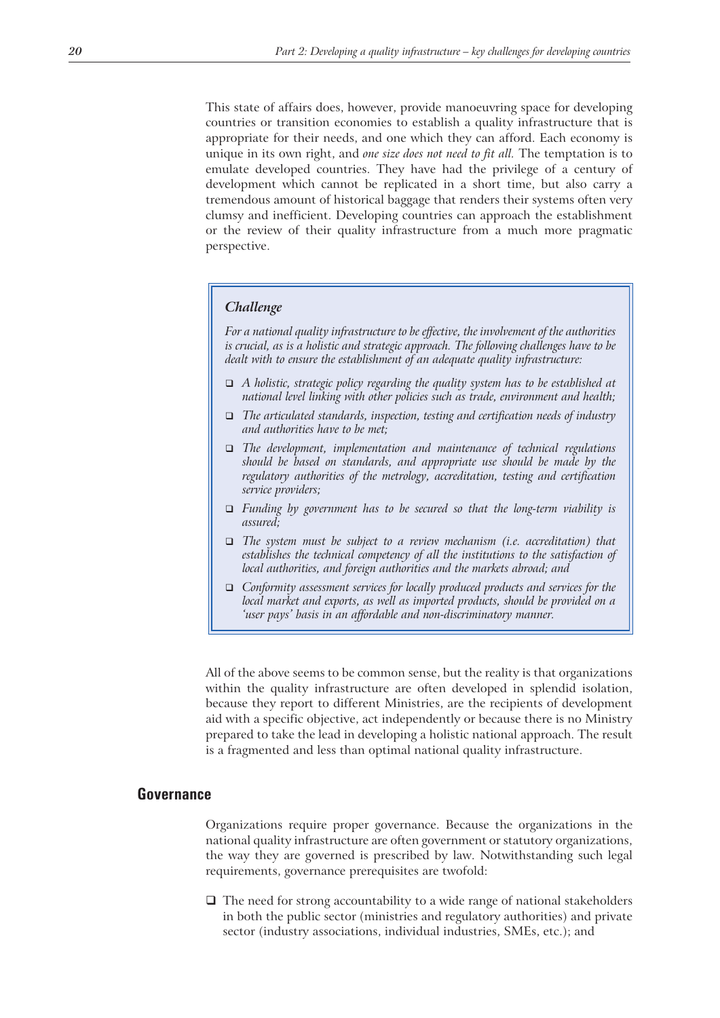This state of affairs does, however, provide manoeuvring space for developing countries or transition economies to establish a quality infrastructure that is appropriate for their needs, and one which they can afford. Each economy is unique in its own right, and *one size does not need to fit all.* The temptation is to emulate developed countries. They have had the privilege of a century of development which cannot be replicated in a short time, but also carry a tremendous amount of historical baggage that renders their systems often very clumsy and inefficient. Developing countries can approach the establishment or the review of their quality infrastructure from a much more pragmatic perspective.

#### *Challenge*

*For a national quality infrastructure to be effective, the involvement of the authorities is crucial, as is a holistic and strategic approach. The following challenges have to be dealt with to ensure the establishment of an adequate quality infrastructure:*

- *A holistic, strategic policy regarding the quality system has to be established at national level linking with other policies such as trade, environment and health;*
- *The articulated standards, inspection, testing and certification needs of industry and authorities have to be met;*
- *The development, implementation and maintenance of technical regulations should be based on standards, and appropriate use should be made by the regulatory authorities of the metrology, accreditation, testing and certification service providers;*
- *Funding by government has to be secured so that the long-term viability is assured;*
- *The system must be subject to a review mechanism (i.e. accreditation) that establishes the technical competency of all the institutions to the satisfaction of local authorities, and foreign authorities and the markets abroad; and*
- *Conformity assessment services for locally produced products and services for the local market and exports, as well as imported products, should be provided on a 'user pays' basis in an affordable and non-discriminatory manner.*

All of the above seems to be common sense, but the reality is that organizations within the quality infrastructure are often developed in splendid isolation, because they report to different Ministries, are the recipients of development aid with a specific objective, act independently or because there is no Ministry prepared to take the lead in developing a holistic national approach. The result is a fragmented and less than optimal national quality infrastructure.

#### **Governance**

Organizations require proper governance. Because the organizations in the national quality infrastructure are often government or statutory organizations, the way they are governed is prescribed by law. Notwithstanding such legal requirements, governance prerequisites are twofold:

 $\Box$  The need for strong accountability to a wide range of national stakeholders in both the public sector (ministries and regulatory authorities) and private sector (industry associations, individual industries, SMEs, etc.); and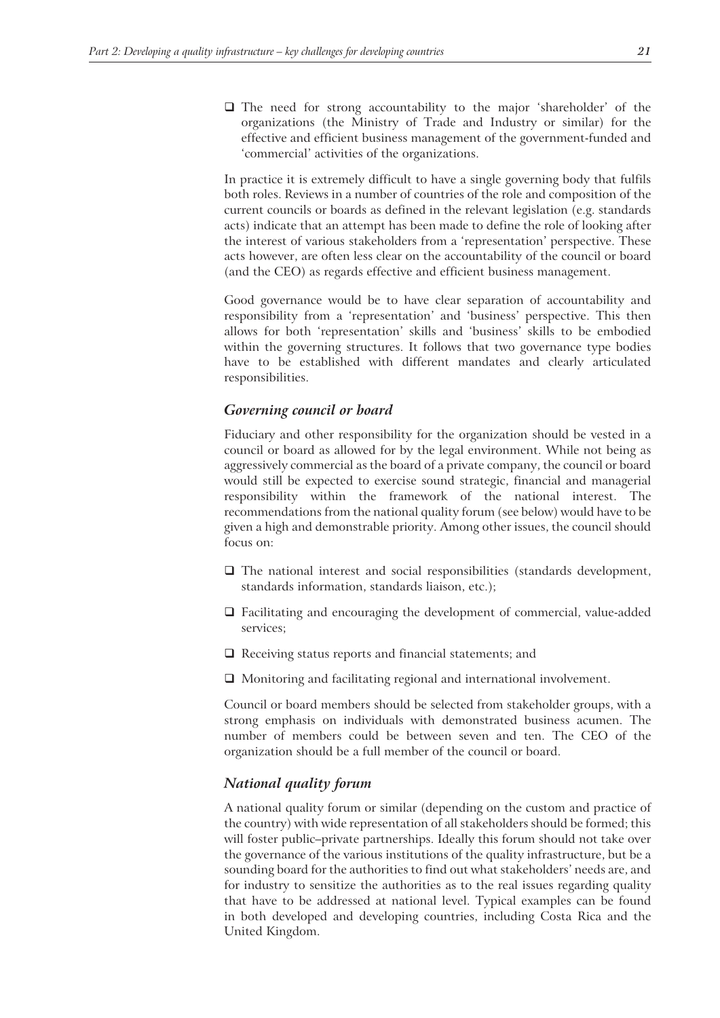The need for strong accountability to the major 'shareholder' of the organizations (the Ministry of Trade and Industry or similar) for the effective and efficient business management of the government-funded and 'commercial' activities of the organizations.

In practice it is extremely difficult to have a single governing body that fulfils both roles. Reviews in a number of countries of the role and composition of the current councils or boards as defined in the relevant legislation (e.g. standards acts) indicate that an attempt has been made to define the role of looking after the interest of various stakeholders from a 'representation' perspective. These acts however, are often less clear on the accountability of the council or board (and the CEO) as regards effective and efficient business management.

Good governance would be to have clear separation of accountability and responsibility from a 'representation' and 'business' perspective. This then allows for both 'representation' skills and 'business' skills to be embodied within the governing structures. It follows that two governance type bodies have to be established with different mandates and clearly articulated responsibilities.

#### *Governing council or board*

Fiduciary and other responsibility for the organization should be vested in a council or board as allowed for by the legal environment. While not being as aggressively commercial as the board of a private company, the council or board would still be expected to exercise sound strategic, financial and managerial responsibility within the framework of the national interest. The recommendations from the national quality forum (see below) would have to be given a high and demonstrable priority. Among other issues, the council should focus on:

- $\Box$  The national interest and social responsibilities (standards development, standards information, standards liaison, etc.);
- Facilitating and encouraging the development of commercial, value-added services;
- $\Box$  Receiving status reports and financial statements; and
- Monitoring and facilitating regional and international involvement.

Council or board members should be selected from stakeholder groups, with a strong emphasis on individuals with demonstrated business acumen. The number of members could be between seven and ten. The CEO of the organization should be a full member of the council or board.

#### *National quality forum*

A national quality forum or similar (depending on the custom and practice of the country) with wide representation of all stakeholders should be formed; this will foster public–private partnerships. Ideally this forum should not take over the governance of the various institutions of the quality infrastructure, but be a sounding board for the authorities to find out what stakeholders' needs are, and for industry to sensitize the authorities as to the real issues regarding quality that have to be addressed at national level. Typical examples can be found in both developed and developing countries, including Costa Rica and the United Kingdom.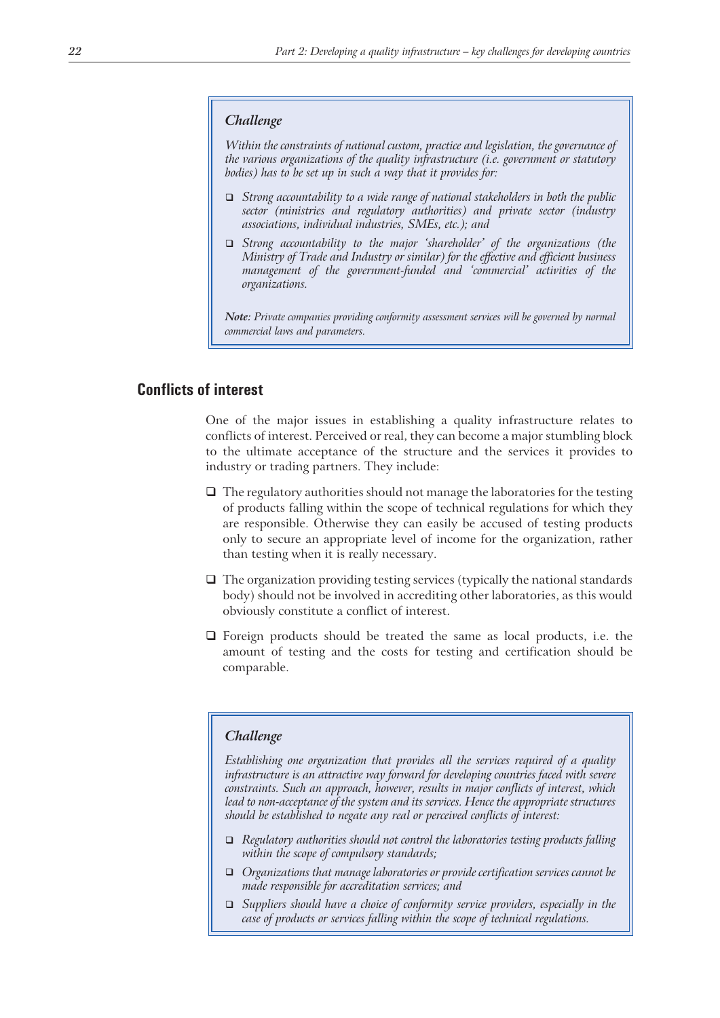#### *Challenge*

*Within the constraints of national custom, practice and legislation, the governance of the various organizations of the quality infrastructure (i.e. government or statutory bodies) has to be set up in such a way that it provides for:*

- *Strong accountability to a wide range of national stakeholders in both the public sector (ministries and regulatory authorities) and private sector (industry associations, individual industries, SMEs, etc.); and*
- *Strong accountability to the major 'shareholder' of the organizations (the Ministry of Trade and Industry or similar) for the effective and efficient business management of the government-funded and 'commercial' activities of the organizations.*

*Note: Private companies providing conformity assessment services will be governed by normal commercial laws and parameters.*

### **Conflicts of interest**

One of the major issues in establishing a quality infrastructure relates to conflicts of interest. Perceived or real, they can become a major stumbling block to the ultimate acceptance of the structure and the services it provides to industry or trading partners. They include:

- $\Box$  The regulatory authorities should not manage the laboratories for the testing of products falling within the scope of technical regulations for which they are responsible. Otherwise they can easily be accused of testing products only to secure an appropriate level of income for the organization, rather than testing when it is really necessary.
- $\Box$  The organization providing testing services (typically the national standards body) should not be involved in accrediting other laboratories, as this would obviously constitute a conflict of interest.
- $\Box$  Foreign products should be treated the same as local products, i.e. the amount of testing and the costs for testing and certification should be comparable.

#### *Challenge*

*Establishing one organization that provides all the services required of a quality infrastructure is an attractive way forward for developing countries faced with severe constraints. Such an approach, however, results in major conflicts of interest, which lead to non-acceptance of the system and its services. Hence the appropriate structures should be established to negate any real or perceived conflicts of interest:*

- *Regulatory authorities should not control the laboratories testing products falling within the scope of compulsory standards;*
- *Organizations that manage laboratories or provide certification services cannot be made responsible for accreditation services; and*
- *Suppliers should have a choice of conformity service providers, especially in the case of products or services falling within the scope of technical regulations.*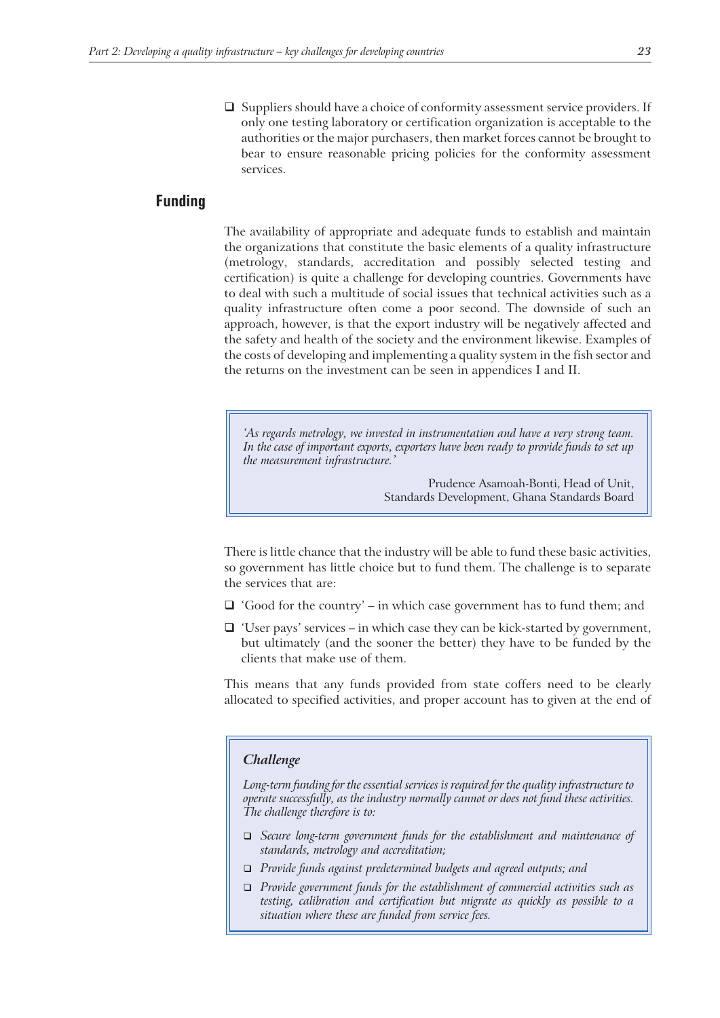$\Box$  Suppliers should have a choice of conformity assessment service providers. If only one testing laboratory or certification organization is acceptable to the authorities or the major purchasers, then market forces cannot be brought to bear to ensure reasonable pricing policies for the conformity assessment services.

#### **Funding**

The availability of appropriate and adequate funds to establish and maintain the organizations that constitute the basic elements of a quality infrastructure (metrology, standards, accreditation and possibly selected testing and certification) is quite a challenge for developing countries. Governments have to deal with such a multitude of social issues that technical activities such as a quality infrastructure often come a poor second. The downside of such an approach, however, is that the export industry will be negatively affected and the safety and health of the society and the environment likewise. Examples of the costs of developing and implementing a quality system in the fish sector and the returns on the investment can be seen in appendices I and II.

*'As regards metrology, we invested in instrumentation and have a very strong team. In the case of important exports, exporters have been ready to provide funds to set up the measurement infrastructure.'*

> Prudence Asamoah-Bonti, Head of Unit, Standards Development, Ghana Standards Board

There is little chance that the industry will be able to fund these basic activities, so government has little choice but to fund them. The challenge is to separate the services that are:

- $\Box$  'Good for the country' in which case government has to fund them; and
- $\Box$  'User pays' services in which case they can be kick-started by government, but ultimately (and the sooner the better) they have to be funded by the clients that make use of them.

This means that any funds provided from state coffers need to be clearly allocated to specified activities, and proper account has to given at the end of

#### *Challenge*

*Long-term funding for the essential services is required for the quality infrastructure to operate successfully, as the industry normally cannot or does not fund these activities. The challenge therefore is to:*

- *Secure long-term government funds for the establishment and maintenance of standards, metrology and accreditation;*
- *Provide funds against predetermined budgets and agreed outputs; and*
- *Provide government funds for the establishment of commercial activities such as testing, calibration and certification but migrate as quickly as possible to a situation where these are funded from service fees.*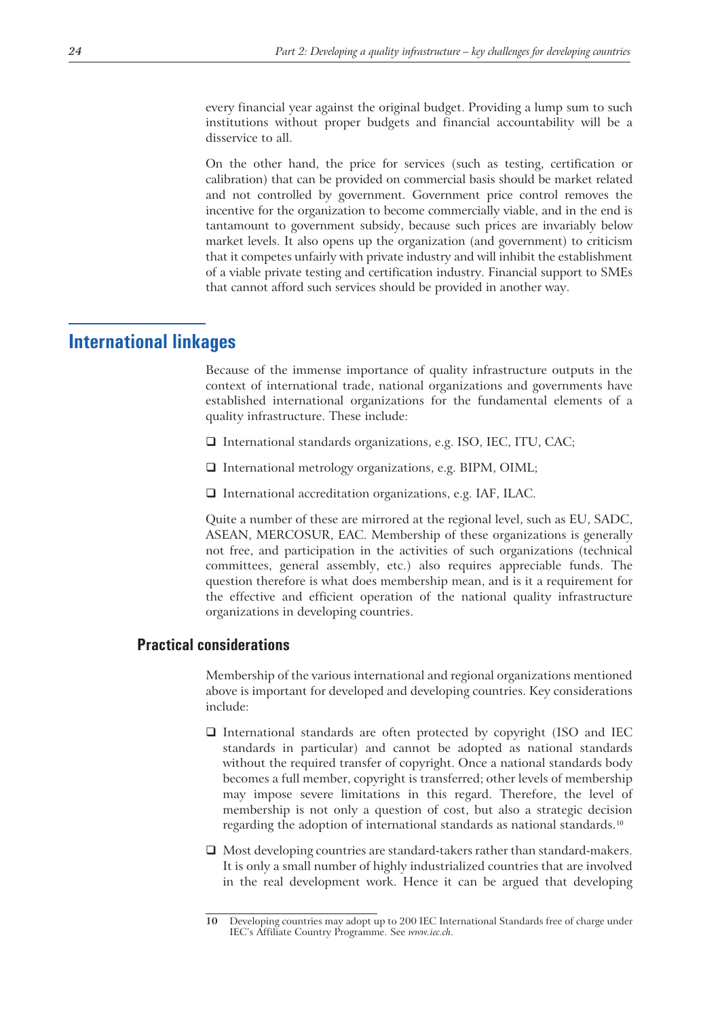every financial year against the original budget. Providing a lump sum to such institutions without proper budgets and financial accountability will be a disservice to all.

On the other hand, the price for services (such as testing, certification or calibration) that can be provided on commercial basis should be market related and not controlled by government. Government price control removes the incentive for the organization to become commercially viable, and in the end is tantamount to government subsidy, because such prices are invariably below market levels. It also opens up the organization (and government) to criticism that it competes unfairly with private industry and will inhibit the establishment of a viable private testing and certification industry. Financial support to SMEs that cannot afford such services should be provided in another way.

# **International linkages**

Because of the immense importance of quality infrastructure outputs in the context of international trade, national organizations and governments have established international organizations for the fundamental elements of a quality infrastructure. These include:

- $\Box$  International standards organizations, e.g. ISO, IEC, ITU, CAC;
- International metrology organizations, e.g. BIPM, OIML;
- $\Box$  International accreditation organizations, e.g. IAF, ILAC.

Quite a number of these are mirrored at the regional level, such as EU, SADC, ASEAN, MERCOSUR, EAC. Membership of these organizations is generally not free, and participation in the activities of such organizations (technical committees, general assembly, etc.) also requires appreciable funds. The question therefore is what does membership mean, and is it a requirement for the effective and efficient operation of the national quality infrastructure organizations in developing countries.

#### **Practical considerations**

Membership of the various international and regional organizations mentioned above is important for developed and developing countries. Key considerations include:

- $\Box$  International standards are often protected by copyright (ISO and IEC standards in particular) and cannot be adopted as national standards without the required transfer of copyright. Once a national standards body becomes a full member, copyright is transferred; other levels of membership may impose severe limitations in this regard. Therefore, the level of membership is not only a question of cost, but also a strategic decision regarding the adoption of international standards as national standards.<sup>10</sup>
- □ Most developing countries are standard-takers rather than standard-makers. It is only a small number of highly industrialized countries that are involved in the real development work. Hence it can be argued that developing

**<sup>10</sup>** Developing countries may adopt up to 200 IEC International Standards free of charge under IEC's Affiliate Country Programme. See *www.iec.ch*.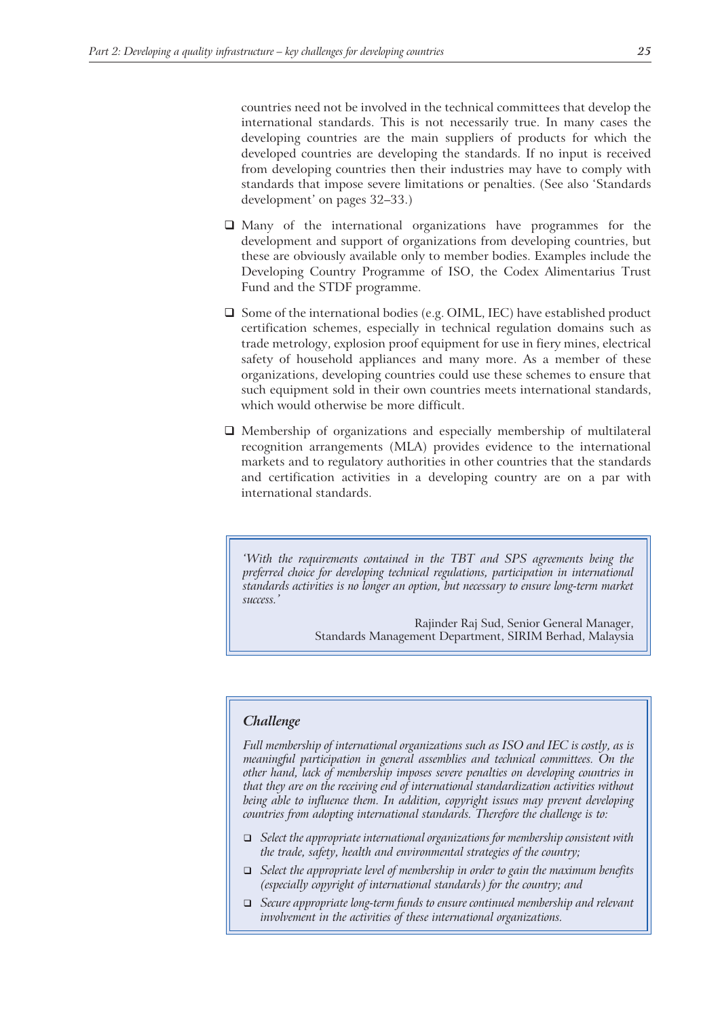countries need not be involved in the technical committees that develop the international standards. This is not necessarily true. In many cases the developing countries are the main suppliers of products for which the developed countries are developing the standards. If no input is received from developing countries then their industries may have to comply with standards that impose severe limitations or penalties. (See also 'Standards development' on pages 32–33.)

- Many of the international organizations have programmes for the development and support of organizations from developing countries, but these are obviously available only to member bodies. Examples include the Developing Country Programme of ISO, the Codex Alimentarius Trust Fund and the STDF programme.
- $\square$  Some of the international bodies (e.g. OIML, IEC) have established product certification schemes, especially in technical regulation domains such as trade metrology, explosion proof equipment for use in fiery mines, electrical safety of household appliances and many more. As a member of these organizations, developing countries could use these schemes to ensure that such equipment sold in their own countries meets international standards, which would otherwise be more difficult.
- $\Box$  Membership of organizations and especially membership of multilateral recognition arrangements (MLA) provides evidence to the international markets and to regulatory authorities in other countries that the standards and certification activities in a developing country are on a par with international standards.

*'With the requirements contained in the TBT and SPS agreements being the preferred choice for developing technical regulations, participation in international standards activities is no longer an option, but necessary to ensure long-term market success.'*

> Rajinder Raj Sud, Senior General Manager, Standards Management Department, SIRIM Berhad, Malaysia

## *Challenge*

*Full membership of international organizations such as ISO and IEC is costly, as is meaningful participation in general assemblies and technical committees. On the other hand, lack of membership imposes severe penalties on developing countries in that they are on the receiving end of international standardization activities without being able to influence them. In addition, copyright issues may prevent developing countries from adopting international standards. Therefore the challenge is to:*

- *Select the appropriate international organizations for membership consistent with the trade, safety, health and environmental strategies of the country;*
- *Select the appropriate level of membership in order to gain the maximum benefits (especially copyright of international standards) for the country; and*
- *Secure appropriate long-term funds to ensure continued membership and relevant involvement in the activities of these international organizations.*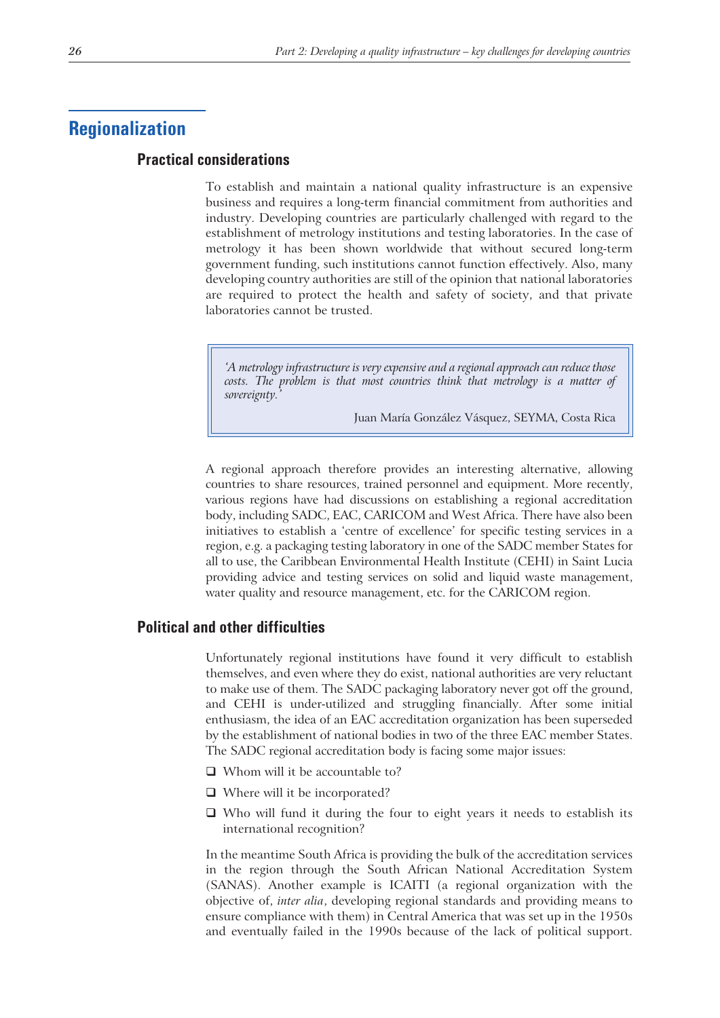# **Regionalization**

# **Practical considerations**

To establish and maintain a national quality infrastructure is an expensive business and requires a long-term financial commitment from authorities and industry. Developing countries are particularly challenged with regard to the establishment of metrology institutions and testing laboratories. In the case of metrology it has been shown worldwide that without secured long-term government funding, such institutions cannot function effectively. Also, many developing country authorities are still of the opinion that national laboratories are required to protect the health and safety of society, and that private laboratories cannot be trusted.

*'A metrology infrastructure is very expensive and a regional approach can reduce those costs. The problem is that most countries think that metrology is a matter of sovereignty.'*

Juan María González Vásquez, SEYMA, Costa Rica

A regional approach therefore provides an interesting alternative, allowing countries to share resources, trained personnel and equipment. More recently, various regions have had discussions on establishing a regional accreditation body, including SADC, EAC, CARICOM and West Africa. There have also been initiatives to establish a 'centre of excellence' for specific testing services in a region, e.g. a packaging testing laboratory in one of the SADC member States for all to use, the Caribbean Environmental Health Institute (CEHI) in Saint Lucia providing advice and testing services on solid and liquid waste management, water quality and resource management, etc. for the CARICOM region.

## **Political and other difficulties**

Unfortunately regional institutions have found it very difficult to establish themselves, and even where they do exist, national authorities are very reluctant to make use of them. The SADC packaging laboratory never got off the ground, and CEHI is under-utilized and struggling financially. After some initial enthusiasm, the idea of an EAC accreditation organization has been superseded by the establishment of national bodies in two of the three EAC member States. The SADC regional accreditation body is facing some major issues:

- □ Whom will it be accountable to?
- □ Where will it be incorporated?
- $\Box$  Who will fund it during the four to eight years it needs to establish its international recognition?

In the meantime South Africa is providing the bulk of the accreditation services in the region through the South African National Accreditation System (SANAS). Another example is ICAITI (a regional organization with the objective of, *inter alia*, developing regional standards and providing means to ensure compliance with them) in Central America that was set up in the 1950s and eventually failed in the 1990s because of the lack of political support.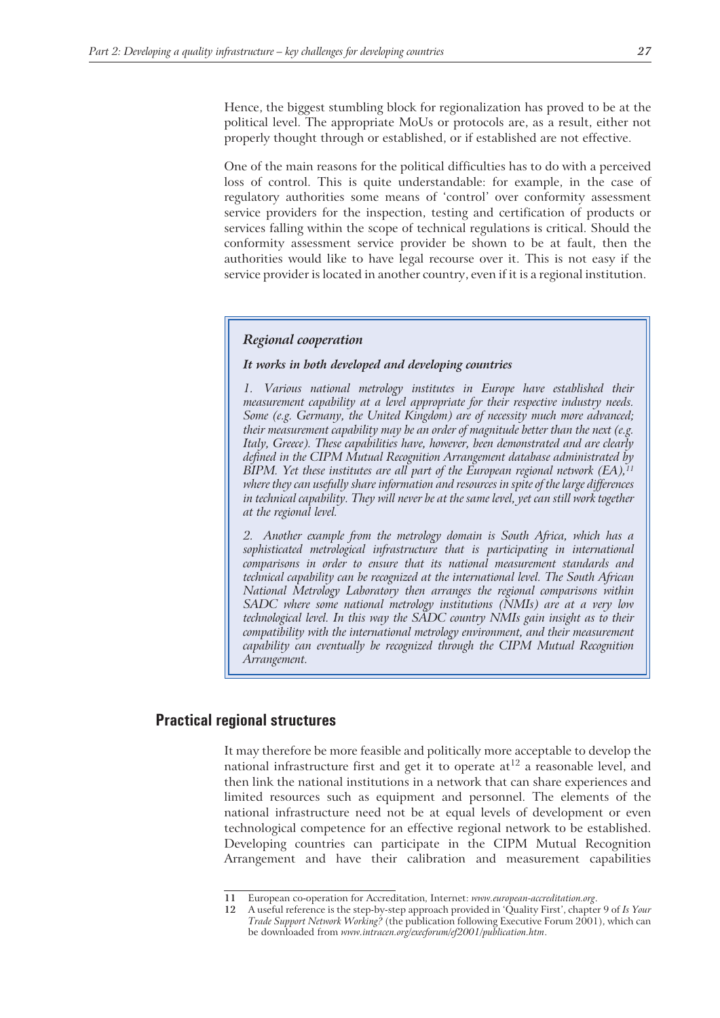Hence, the biggest stumbling block for regionalization has proved to be at the political level. The appropriate MoUs or protocols are, as a result, either not properly thought through or established, or if established are not effective.

One of the main reasons for the political difficulties has to do with a perceived loss of control. This is quite understandable: for example, in the case of regulatory authorities some means of 'control' over conformity assessment service providers for the inspection, testing and certification of products or services falling within the scope of technical regulations is critical. Should the conformity assessment service provider be shown to be at fault, then the authorities would like to have legal recourse over it. This is not easy if the service provider is located in another country, even if it is a regional institution.

#### *Regional cooperation*

#### *It works in both developed and developing countries*

*1. Various national metrology institutes in Europe have established their measurement capability at a level appropriate for their respective industry needs. Some (e.g. Germany, the United Kingdom) are of necessity much more advanced; their measurement capability may be an order of magnitude better than the next (e.g. Italy, Greece). These capabilities have, however, been demonstrated and are clearly defined in the CIPM Mutual Recognition Arrangement database administrated by BIPM. Yet these institutes are all part of the European regional network (EA),*<sup>11</sup> *where they can usefully share information and resources in spite of the large differences in technical capability. They will never be at the same level, yet can still work together at the regional level.*

*2. Another example from the metrology domain is South Africa, which has a sophisticated metrological infrastructure that is participating in international comparisons in order to ensure that its national measurement standards and technical capability can be recognized at the international level. The South African National Metrology Laboratory then arranges the regional comparisons within SADC where some national metrology institutions (NMIs) are at a very low technological level. In this way the SADC country NMIs gain insight as to their compatibility with the international metrology environment, and their measurement capability can eventually be recognized through the CIPM Mutual Recognition Arrangement.*

## **Practical regional structures**

It may therefore be more feasible and politically more acceptable to develop the national infrastructure first and get it to operate  $at^{12}$  a reasonable level, and then link the national institutions in a network that can share experiences and limited resources such as equipment and personnel. The elements of the national infrastructure need not be at equal levels of development or even technological competence for an effective regional network to be established. Developing countries can participate in the CIPM Mutual Recognition Arrangement and have their calibration and measurement capabilities

**<sup>11</sup>** European co-operation for Accreditation, Internet: *www.european-accreditation.org*.

**<sup>12</sup>** A useful reference is the step-by-step approach provided in 'Quality First', chapter 9 of *Is Your Trade Support Network Working?* (the publication following Executive Forum 2001), which can be downloaded from *www.intracen.org/execforum/ef2001/publication.htm*.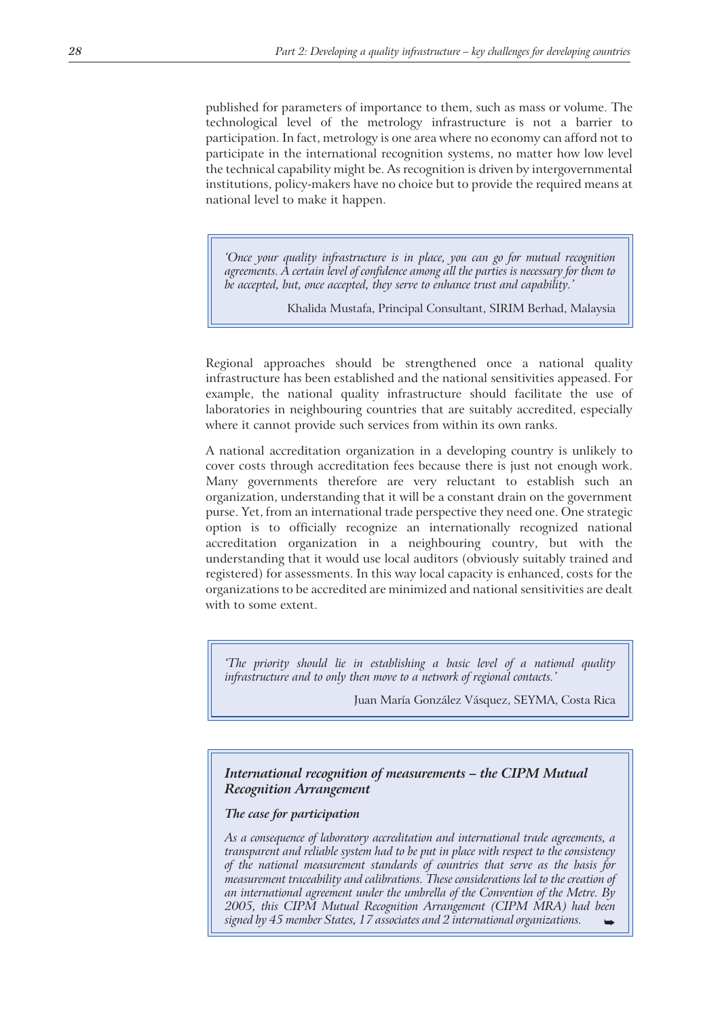published for parameters of importance to them, such as mass or volume. The technological level of the metrology infrastructure is not a barrier to participation. In fact, metrology is one area where no economy can afford not to participate in the international recognition systems, no matter how low level the technical capability might be. As recognition is driven by intergovernmental institutions, policy-makers have no choice but to provide the required means at national level to make it happen.

*'Once your quality infrastructure is in place, you can go for mutual recognition agreements. A certain level of confidence among all the parties is necessary for them to be accepted, but, once accepted, they serve to enhance trust and capability.'*

Khalida Mustafa, Principal Consultant, SIRIM Berhad, Malaysia

Regional approaches should be strengthened once a national quality infrastructure has been established and the national sensitivities appeased. For example, the national quality infrastructure should facilitate the use of laboratories in neighbouring countries that are suitably accredited, especially where it cannot provide such services from within its own ranks.

A national accreditation organization in a developing country is unlikely to cover costs through accreditation fees because there is just not enough work. Many governments therefore are very reluctant to establish such an organization, understanding that it will be a constant drain on the government purse. Yet, from an international trade perspective they need one. One strategic option is to officially recognize an internationally recognized national accreditation organization in a neighbouring country, but with the understanding that it would use local auditors (obviously suitably trained and registered) for assessments. In this way local capacity is enhanced, costs for the organizations to be accredited are minimized and national sensitivities are dealt with to some extent.

*'The priority should lie in establishing a basic level of a national quality infrastructure and to only then move to a network of regional contacts.'*

Juan María González Vásquez, SEYMA, Costa Rica

## *International recognition of measurements – the CIPM Mutual Recognition Arrangement*

#### *The case for participation*

*As a consequence of laboratory accreditation and international trade agreements, a transparent and reliable system had to be put in place with respect to the consistency of the national measurement standards of countries that serve as the basis for measurement traceability and calibrations. These considerations led to the creation of an international agreement under the umbrella of the Convention of the Metre. By 2005, this CIPM Mutual Recognition Arrangement (CIPM MRA) had been signed by 45 member States, 17 associates and 2 international organizations.*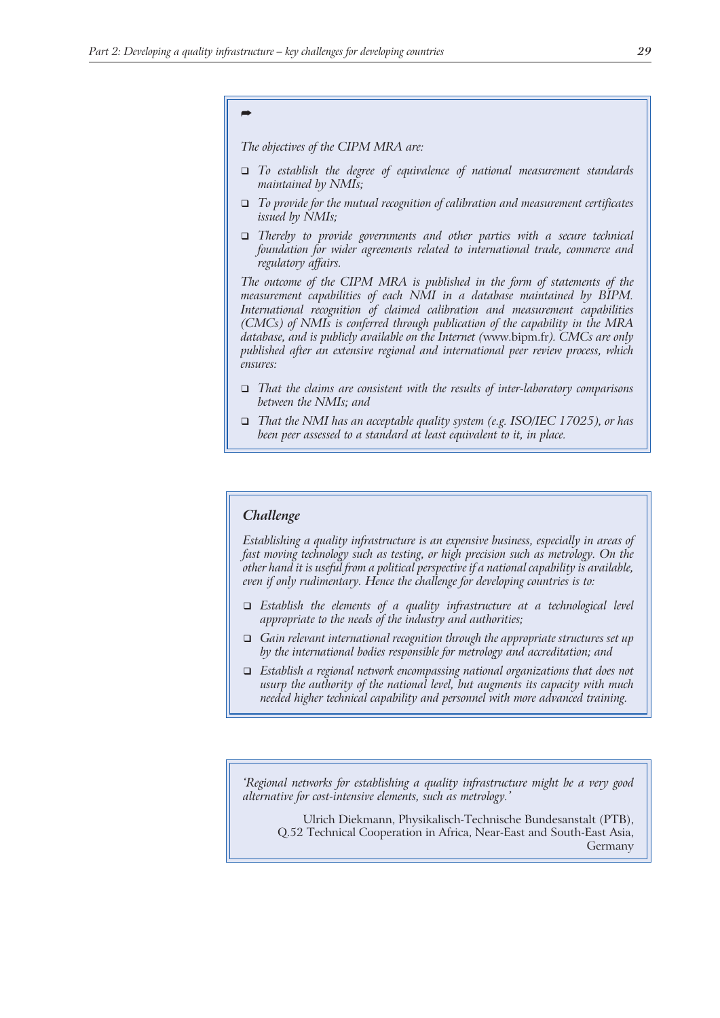# *-*

*The objectives of the CIPM MRA are:*

- *To establish the degree of equivalence of national measurement standards maintained by NMIs;*
- *To provide for the mutual recognition of calibration and measurement certificates issued by NMIs;*
- *Thereby to provide governments and other parties with a secure technical foundation for wider agreements related to international trade, commerce and regulatory affairs.*

*The outcome of the CIPM MRA is published in the form of statements of the measurement capabilities of each NMI in a database maintained by BIPM. International recognition of claimed calibration and measurement capabilities (CMCs) of NMIs is conferred through publication of the capability in the MRA database, and is publicly available on the Internet (*www.bipm.fr*). CMCs are only published after an extensive regional and international peer review process, which ensures:*

- *That the claims are consistent with the results of inter-laboratory comparisons between the NMIs; and*
- *That the NMI has an acceptable quality system (e.g. ISO/IEC 17025), or has been peer assessed to a standard at least equivalent to it, in place.*

#### *Challenge*

*Establishing a quality infrastructure is an expensive business, especially in areas of fast moving technology such as testing, or high precision such as metrology. On the other hand it is useful from a political perspective if a national capability is available, even if only rudimentary. Hence the challenge for developing countries is to:*

- *Establish the elements of a quality infrastructure at a technological level appropriate to the needs of the industry and authorities;*
- *Gain relevant international recognition through the appropriate structures set up by the international bodies responsible for metrology and accreditation; and*
- *Establish a regional network encompassing national organizations that does not usurp the authority of the national level, but augments its capacity with much needed higher technical capability and personnel with more advanced training.*

*'Regional networks for establishing a quality infrastructure might be a very good alternative for cost-intensive elements, such as metrology.'*

Ulrich Diekmann, Physikalisch-Technische Bundesanstalt (PTB), Q.52 Technical Cooperation in Africa, Near-East and South-East Asia, Germany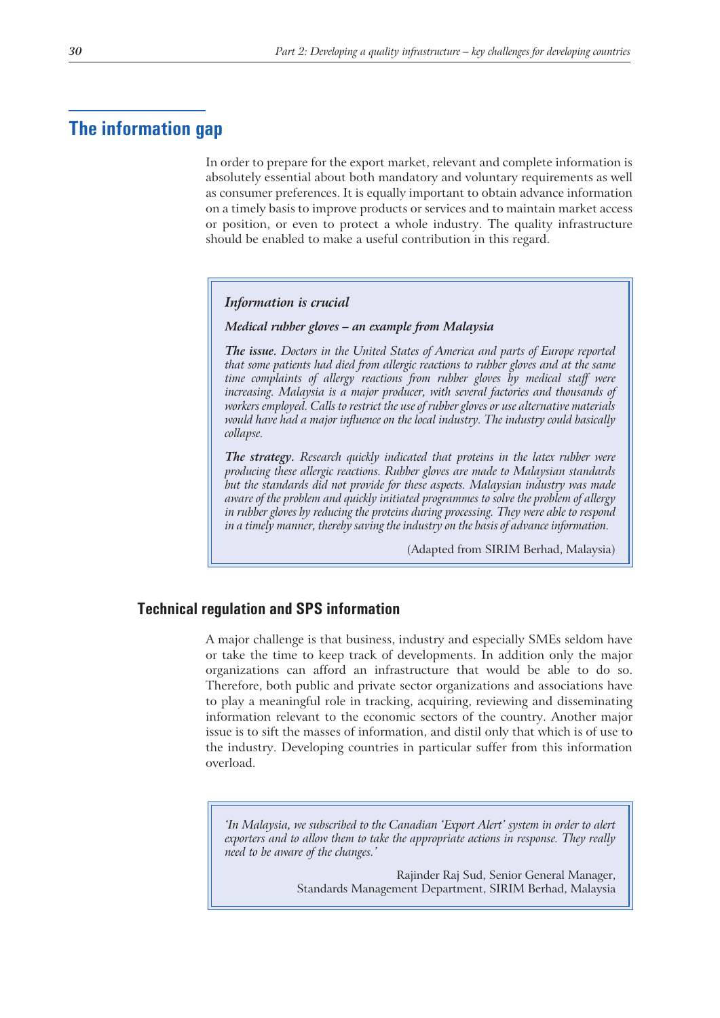# **The information gap**

In order to prepare for the export market, relevant and complete information is absolutely essential about both mandatory and voluntary requirements as well as consumer preferences. It is equally important to obtain advance information on a timely basis to improve products or services and to maintain market access or position, or even to protect a whole industry. The quality infrastructure should be enabled to make a useful contribution in this regard.

#### *Information is crucial*

*Medical rubber gloves – an example from Malaysia*

*The issue. Doctors in the United States of America and parts of Europe reported that some patients had died from allergic reactions to rubber gloves and at the same time complaints of allergy reactions from rubber gloves by medical staff were increasing. Malaysia is a major producer, with several factories and thousands of workers employed. Calls to restrict the use of rubber gloves or use alternative materials would have had a major influence on the local industry. The industry could basically collapse.*

*The strategy. Research quickly indicated that proteins in the latex rubber were producing these allergic reactions. Rubber gloves are made to Malaysian standards but the standards did not provide for these aspects. Malaysian industry was made aware of the problem and quickly initiated programmes to solve the problem of allergy in rubber gloves by reducing the proteins during processing. They were able to respond in a timely manner, thereby saving the industry on the basis of advance information.*

(Adapted from SIRIM Berhad, Malaysia)

# **Technical regulation and SPS information**

A major challenge is that business, industry and especially SMEs seldom have or take the time to keep track of developments. In addition only the major organizations can afford an infrastructure that would be able to do so. Therefore, both public and private sector organizations and associations have to play a meaningful role in tracking, acquiring, reviewing and disseminating information relevant to the economic sectors of the country. Another major issue is to sift the masses of information, and distil only that which is of use to the industry. Developing countries in particular suffer from this information overload.

*'In Malaysia, we subscribed to the Canadian 'Export Alert' system in order to alert exporters and to allow them to take the appropriate actions in response. They really need to be aware of the changes.'*

> Rajinder Raj Sud, Senior General Manager, Standards Management Department, SIRIM Berhad, Malaysia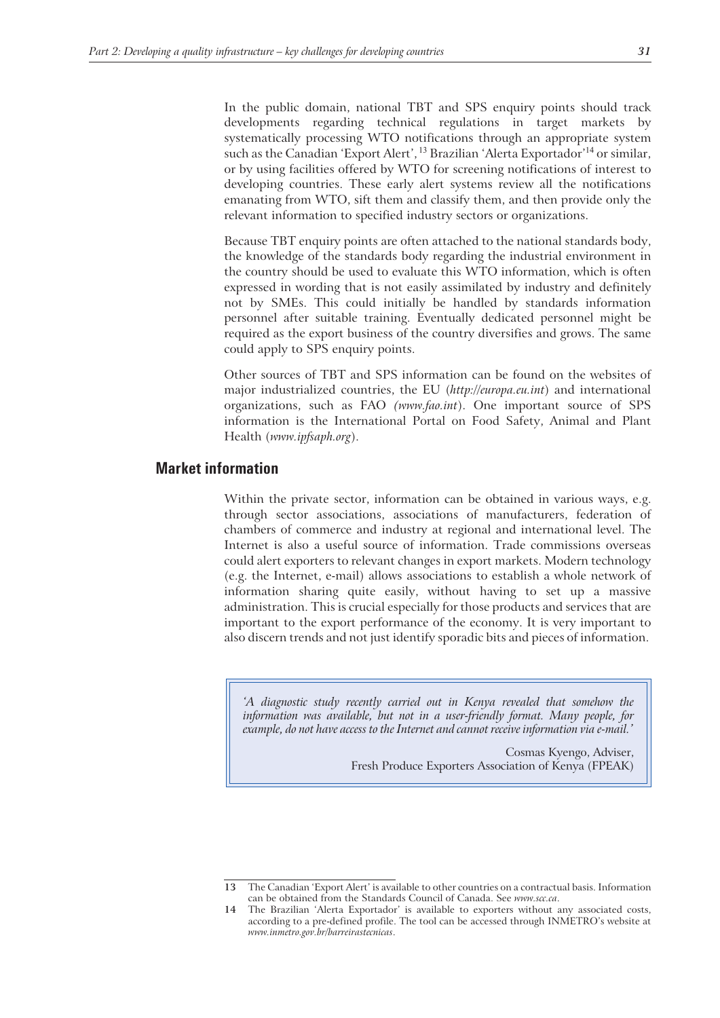In the public domain, national TBT and SPS enquiry points should track developments regarding technical regulations in target markets by systematically processing WTO notifications through an appropriate system such as the Canadian 'Export Alert', <sup>13</sup> Brazilian 'Alerta Exportador'<sup>14</sup> or similar, or by using facilities offered by WTO for screening notifications of interest to developing countries. These early alert systems review all the notifications emanating from WTO, sift them and classify them, and then provide only the relevant information to specified industry sectors or organizations.

Because TBT enquiry points are often attached to the national standards body, the knowledge of the standards body regarding the industrial environment in the country should be used to evaluate this WTO information, which is often expressed in wording that is not easily assimilated by industry and definitely not by SMEs. This could initially be handled by standards information personnel after suitable training. Eventually dedicated personnel might be required as the export business of the country diversifies and grows. The same could apply to SPS enquiry points.

Other sources of TBT and SPS information can be found on the websites of major industrialized countries, the EU (*http://europa.eu.int*) and international organizations, such as FAO *(www.fao.int*). One important source of SPS information is the International Portal on Food Safety, Animal and Plant Health (*www.ipfsaph.org*).

# **Market information**

Within the private sector, information can be obtained in various ways, e.g. through sector associations, associations of manufacturers, federation of chambers of commerce and industry at regional and international level. The Internet is also a useful source of information. Trade commissions overseas could alert exporters to relevant changes in export markets. Modern technology (e.g. the Internet, e-mail) allows associations to establish a whole network of information sharing quite easily, without having to set up a massive administration. This is crucial especially for those products and services that are important to the export performance of the economy. It is very important to also discern trends and not just identify sporadic bits and pieces of information.

*'A diagnostic study recently carried out in Kenya revealed that somehow the information was available, but not in a user-friendly format. Many people, for example, do not have access to the Internet and cannot receive information via e-mail.'*

> Cosmas Kyengo, Adviser, Fresh Produce Exporters Association of Kenya (FPEAK)

**<sup>13</sup>** The Canadian 'Export Alert' is available to other countries on a contractual basis. Information can be obtained from the Standards Council of Canada. See *www.scc.ca*.

**<sup>14</sup>** The Brazilian 'Alerta Exportador' is available to exporters without any associated costs, according to a pre-defined profile. The tool can be accessed through INMETRO's website at *www.inmetro.gov.br/barreirastecnicas*.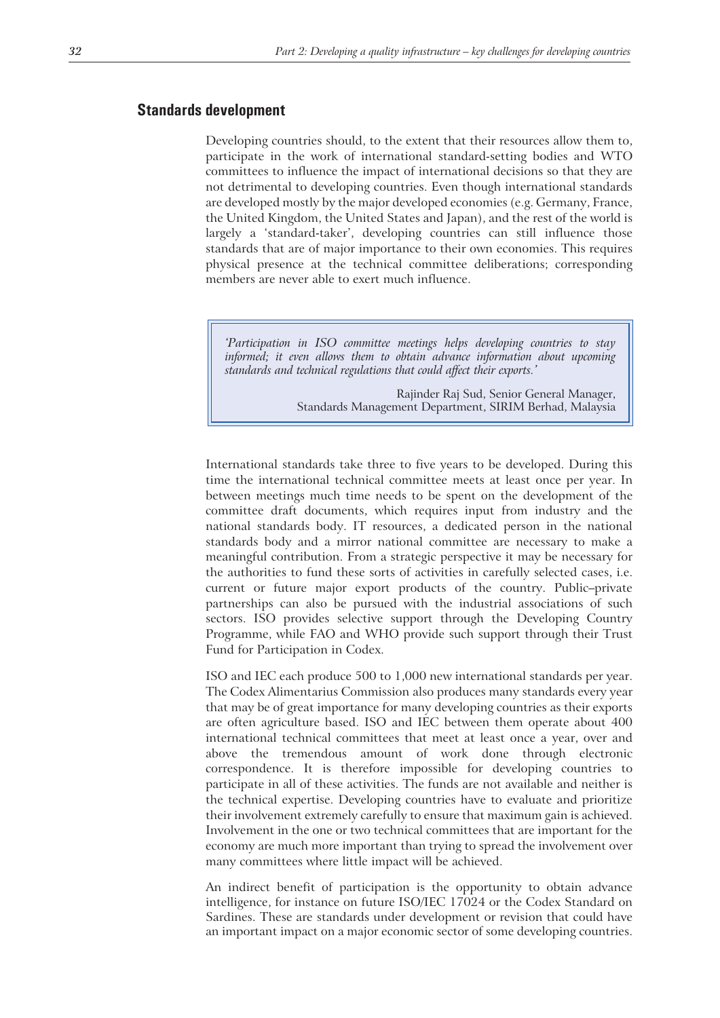#### **Standards development**

Developing countries should, to the extent that their resources allow them to, participate in the work of international standard-setting bodies and WTO committees to influence the impact of international decisions so that they are not detrimental to developing countries. Even though international standards are developed mostly by the major developed economies (e.g. Germany, France, the United Kingdom, the United States and Japan), and the rest of the world is largely a 'standard-taker', developing countries can still influence those standards that are of major importance to their own economies. This requires physical presence at the technical committee deliberations; corresponding members are never able to exert much influence.

*'Participation in ISO committee meetings helps developing countries to stay informed; it even allows them to obtain advance information about upcoming standards and technical regulations that could affect their exports.'*

> Rajinder Raj Sud, Senior General Manager, Standards Management Department, SIRIM Berhad, Malaysia

International standards take three to five years to be developed. During this time the international technical committee meets at least once per year. In between meetings much time needs to be spent on the development of the committee draft documents, which requires input from industry and the national standards body. IT resources, a dedicated person in the national standards body and a mirror national committee are necessary to make a meaningful contribution. From a strategic perspective it may be necessary for the authorities to fund these sorts of activities in carefully selected cases, i.e. current or future major export products of the country. Public–private partnerships can also be pursued with the industrial associations of such sectors. ISO provides selective support through the Developing Country Programme, while FAO and WHO provide such support through their Trust Fund for Participation in Codex.

ISO and IEC each produce 500 to 1,000 new international standards per year. The Codex Alimentarius Commission also produces many standards every year that may be of great importance for many developing countries as their exports are often agriculture based. ISO and IEC between them operate about 400 international technical committees that meet at least once a year, over and above the tremendous amount of work done through electronic correspondence. It is therefore impossible for developing countries to participate in all of these activities. The funds are not available and neither is the technical expertise. Developing countries have to evaluate and prioritize their involvement extremely carefully to ensure that maximum gain is achieved. Involvement in the one or two technical committees that are important for the economy are much more important than trying to spread the involvement over many committees where little impact will be achieved.

An indirect benefit of participation is the opportunity to obtain advance intelligence, for instance on future ISO/IEC 17024 or the Codex Standard on Sardines. These are standards under development or revision that could have an important impact on a major economic sector of some developing countries.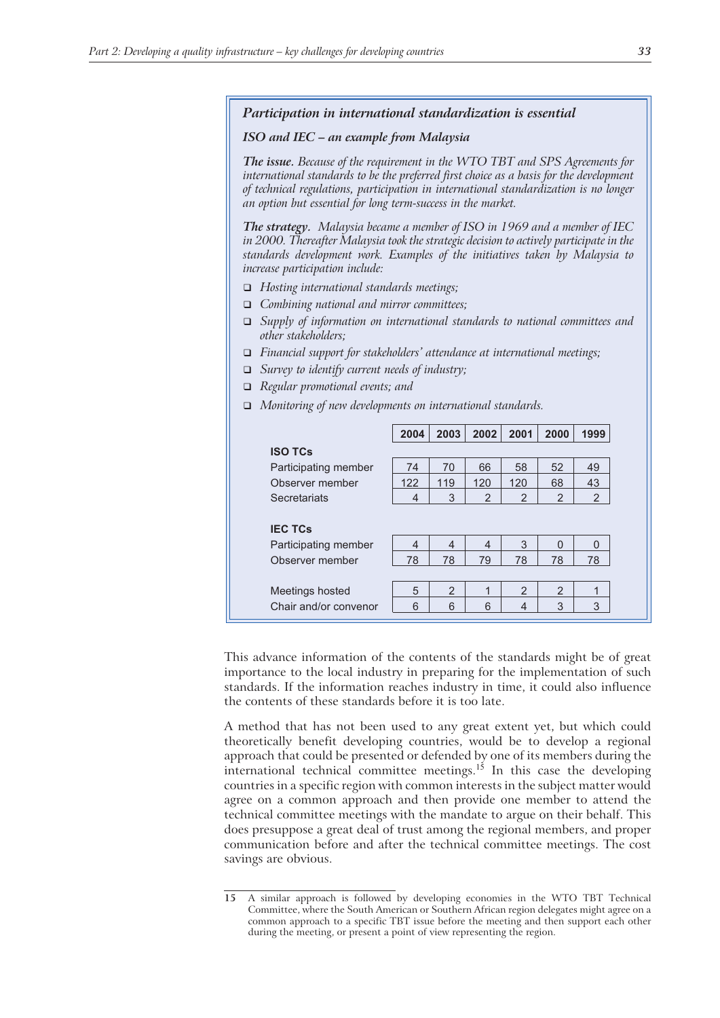#### *Participation in international standardization is essential*

#### *ISO and IEC – an example from Malaysia*

*The issue. Because of the requirement in the WTO TBT and SPS Agreements for international standards to be the preferred first choice as a basis for the development of technical regulations, participation in international standardization is no longer an option but essential for long term-success in the market.*

*The strategy. Malaysia became a member of ISO in 1969 and a member of IEC in 2000. Thereafter Malaysia took the strategic decision to actively participate in the standards development work. Examples of the initiatives taken by Malaysia to increase participation include:*

- *Hosting international standards meetings;*
- *Combining national and mirror committees;*
- *Supply of information on international standards to national committees and other stakeholders;*
- *Financial support for stakeholders' attendance at international meetings;*
- *Survey to identify current needs of industry;*
- *Regular promotional events; and*
- *Monitoring of new developments on international standards.*

|                      | 2004 | 2003           | 2002          | 2001           | 2000           | 1999          |
|----------------------|------|----------------|---------------|----------------|----------------|---------------|
| <b>ISO TCs</b>       |      |                |               |                |                |               |
| Participating member | 74   | 70             | 66            | 58             | 52             | 49            |
| Observer member      | 122  | 119            | 120           | 120            | 68             | 43            |
| Secretariats         | 4    | 3              | $\mathcal{P}$ | 2              | $\overline{2}$ | $\mathcal{P}$ |
|                      |      |                |               |                |                |               |
| <b>IEC TCs</b>       |      |                |               |                |                |               |
| Participating member | 4    | 4              | 4             | 3              | 0              | $\Omega$      |
| Observer member      | 78   | 78             | 79            | 78             | 78             | 78            |
|                      |      |                |               |                |                |               |
|                      | 5    | $\mathfrak{p}$ | 1             | $\mathfrak{p}$ | $\overline{2}$ |               |
| Meetings hosted      |      |                |               |                |                | 1             |

This advance information of the contents of the standards might be of great importance to the local industry in preparing for the implementation of such standards. If the information reaches industry in time, it could also influence the contents of these standards before it is too late.

A method that has not been used to any great extent yet, but which could theoretically benefit developing countries, would be to develop a regional approach that could be presented or defended by one of its members during the international technical committee meetings.<sup>15</sup> In this case the developing countries in a specific region with common interests in the subject matter would agree on a common approach and then provide one member to attend the technical committee meetings with the mandate to argue on their behalf. This does presuppose a great deal of trust among the regional members, and proper communication before and after the technical committee meetings. The cost savings are obvious.

**<sup>15</sup>** A similar approach is followed by developing economies in the WTO TBT Technical Committee, where the South American or Southern African region delegates might agree on a common approach to a specific TBT issue before the meeting and then support each other during the meeting, or present a point of view representing the region.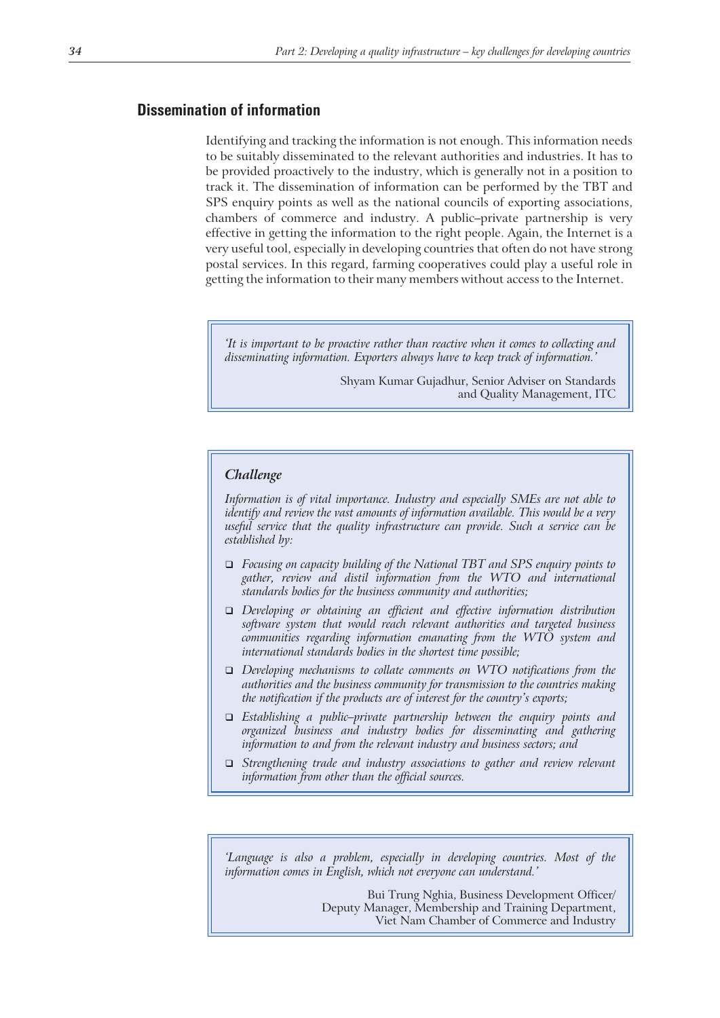# **Dissemination of information**

Identifying and tracking the information is not enough. This information needs to be suitably disseminated to the relevant authorities and industries. It has to be provided proactively to the industry, which is generally not in a position to track it. The dissemination of information can be performed by the TBT and SPS enquiry points as well as the national councils of exporting associations, chambers of commerce and industry. A public–private partnership is very effective in getting the information to the right people. Again, the Internet is a very useful tool, especially in developing countries that often do not have strong postal services. In this regard, farming cooperatives could play a useful role in getting the information to their many members without access to the Internet.

*'It is important to be proactive rather than reactive when it comes to collecting and disseminating information. Exporters always have to keep track of information.'*

> Shyam Kumar Gujadhur, Senior Adviser on Standards and Quality Management, ITC

#### *Challenge*

*Information is of vital importance. Industry and especially SMEs are not able to identify and review the vast amounts of information available. This would be a very useful service that the quality infrastructure can provide. Such a service can be established by:*

- *Focusing on capacity building of the National TBT and SPS enquiry points to gather, review and distil information from the WTO and international standards bodies for the business community and authorities;*
- *Developing or obtaining an efficient and effective information distribution software system that would reach relevant authorities and targeted business communities regarding information emanating from the WTO system and international standards bodies in the shortest time possible;*
- *Developing mechanisms to collate comments on WTO notifications from the authorities and the business community for transmission to the countries making the notification if the products are of interest for the country's exports;*
- *Establishing a public–private partnership between the enquiry points and organized business and industry bodies for disseminating and gathering information to and from the relevant industry and business sectors; and*
- *Strengthening trade and industry associations to gather and review relevant information from other than the official sources.*

*'Language is also a problem, especially in developing countries. Most of the information comes in English, which not everyone can understand.'*

> Bui Trung Nghia, Business Development Officer/ Deputy Manager, Membership and Training Department, Viet Nam Chamber of Commerce and Industry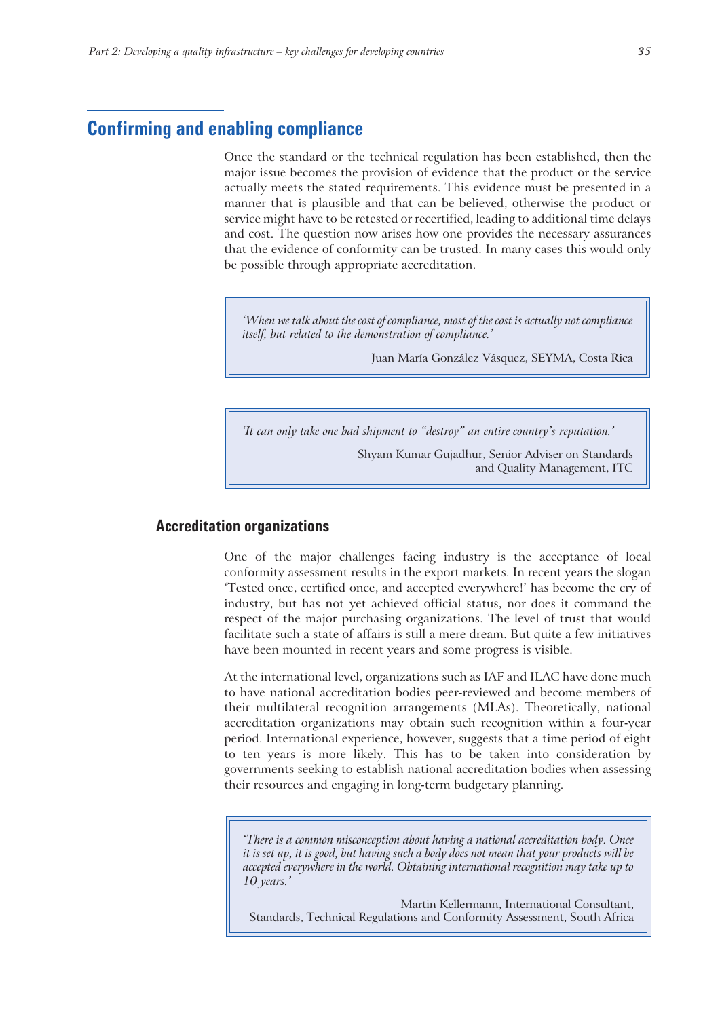# **Confirming and enabling compliance**

Once the standard or the technical regulation has been established, then the major issue becomes the provision of evidence that the product or the service actually meets the stated requirements. This evidence must be presented in a manner that is plausible and that can be believed, otherwise the product or service might have to be retested or recertified, leading to additional time delays and cost. The question now arises how one provides the necessary assurances that the evidence of conformity can be trusted. In many cases this would only be possible through appropriate accreditation.

*'When we talk about the cost of compliance, most of the cost is actually not compliance itself, but related to the demonstration of compliance.'*

Juan María González Vásquez, SEYMA, Costa Rica

*'It can only take one bad shipment to "destroy" an entire country's reputation.'*

Shyam Kumar Gujadhur, Senior Adviser on Standards and Quality Management, ITC

# **Accreditation organizations**

One of the major challenges facing industry is the acceptance of local conformity assessment results in the export markets. In recent years the slogan 'Tested once, certified once, and accepted everywhere!' has become the cry of industry, but has not yet achieved official status, nor does it command the respect of the major purchasing organizations. The level of trust that would facilitate such a state of affairs is still a mere dream. But quite a few initiatives have been mounted in recent years and some progress is visible.

At the international level, organizations such as IAF and ILAC have done much to have national accreditation bodies peer-reviewed and become members of their multilateral recognition arrangements (MLAs). Theoretically, national accreditation organizations may obtain such recognition within a four-year period. International experience, however, suggests that a time period of eight to ten years is more likely. This has to be taken into consideration by governments seeking to establish national accreditation bodies when assessing their resources and engaging in long-term budgetary planning.

*'There is a common misconception about having a national accreditation body. Once it is set up, it is good, but having such a body does not mean that your products will be accepted everywhere in the world. Obtaining international recognition may take up to 10 years.'*

Martin Kellermann, International Consultant, Standards, Technical Regulations and Conformity Assessment, South Africa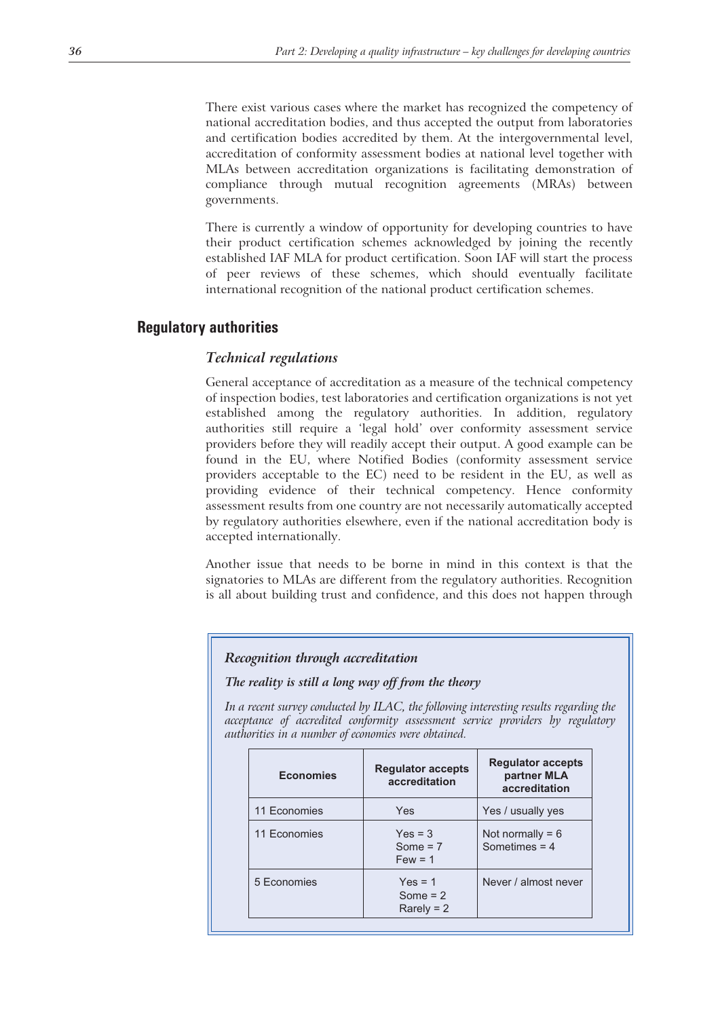There exist various cases where the market has recognized the competency of national accreditation bodies, and thus accepted the output from laboratories and certification bodies accredited by them. At the intergovernmental level, accreditation of conformity assessment bodies at national level together with MLAs between accreditation organizations is facilitating demonstration of compliance through mutual recognition agreements (MRAs) between governments.

There is currently a window of opportunity for developing countries to have their product certification schemes acknowledged by joining the recently established IAF MLA for product certification. Soon IAF will start the process of peer reviews of these schemes, which should eventually facilitate international recognition of the national product certification schemes.

# **Regulatory authorities**

#### *Technical regulations*

General acceptance of accreditation as a measure of the technical competency of inspection bodies, test laboratories and certification organizations is not yet established among the regulatory authorities. In addition, regulatory authorities still require a 'legal hold' over conformity assessment service providers before they will readily accept their output. A good example can be found in the EU, where Notified Bodies (conformity assessment service providers acceptable to the EC) need to be resident in the EU, as well as providing evidence of their technical competency. Hence conformity assessment results from one country are not necessarily automatically accepted by regulatory authorities elsewhere, even if the national accreditation body is accepted internationally.

Another issue that needs to be borne in mind in this context is that the signatories to MLAs are different from the regulatory authorities. Recognition is all about building trust and confidence, and this does not happen through

#### *Recognition through accreditation*

#### *The reality is still a long way off from the theory*

*In a recent survey conducted by ILAC, the following interesting results regarding the acceptance of accredited conformity assessment service providers by regulatory authorities in a number of economies were obtained.*

| <b>Economies</b> | <b>Regulator accepts</b><br>accreditation | <b>Regulator accepts</b><br>partner MLA<br>accreditation |  |
|------------------|-------------------------------------------|----------------------------------------------------------|--|
| 11 Economies     | Yes                                       | Yes / usually yes                                        |  |
| 11 Economies     | $Yes = 3$<br>Some $= 7$<br>$Few = 1$      | Not normally = $6$<br>Sometimes $= 4$                    |  |
| 5 Economies      | $Yes = 1$<br>Some $= 2$<br>$Rare N = 2$   | Never / almost never                                     |  |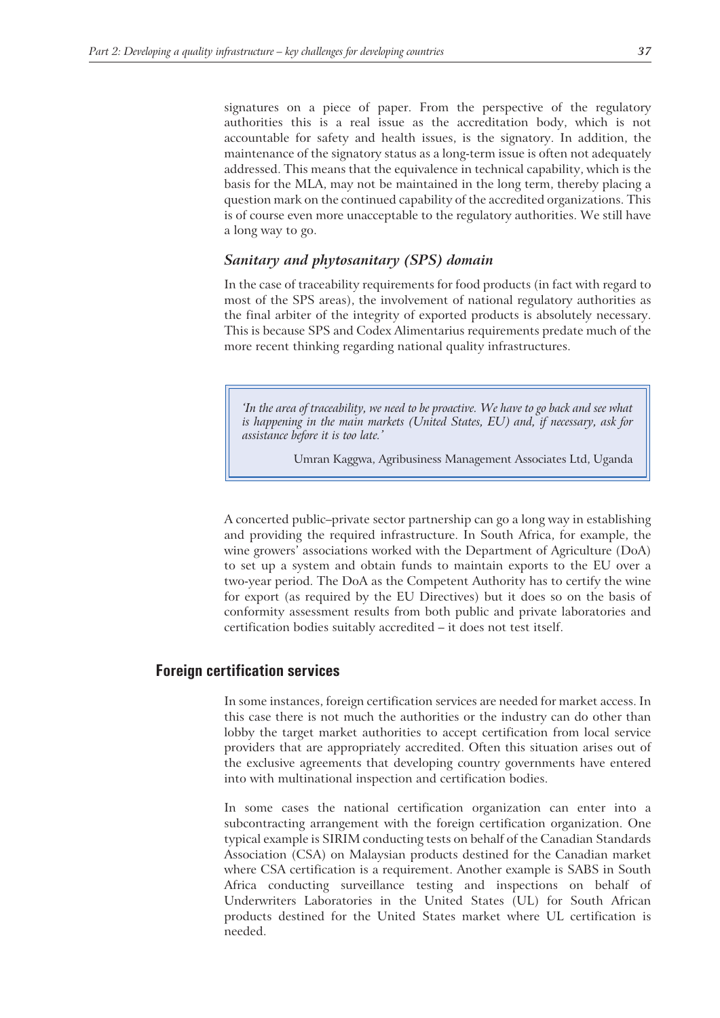signatures on a piece of paper. From the perspective of the regulatory authorities this is a real issue as the accreditation body, which is not accountable for safety and health issues, is the signatory. In addition, the maintenance of the signatory status as a long-term issue is often not adequately addressed. This means that the equivalence in technical capability, which is the basis for the MLA, may not be maintained in the long term, thereby placing a question mark on the continued capability of the accredited organizations. This is of course even more unacceptable to the regulatory authorities. We still have a long way to go.

#### *Sanitary and phytosanitary (SPS) domain*

In the case of traceability requirements for food products (in fact with regard to most of the SPS areas), the involvement of national regulatory authorities as the final arbiter of the integrity of exported products is absolutely necessary. This is because SPS and Codex Alimentarius requirements predate much of the more recent thinking regarding national quality infrastructures.

*'In the area of traceability, we need to be proactive. We have to go back and see what is happening in the main markets (United States, EU) and, if necessary, ask for assistance before it is too late.'*

Umran Kaggwa, Agribusiness Management Associates Ltd, Uganda

A concerted public–private sector partnership can go a long way in establishing and providing the required infrastructure. In South Africa, for example, the wine growers' associations worked with the Department of Agriculture (DoA) to set up a system and obtain funds to maintain exports to the EU over a two-year period. The DoA as the Competent Authority has to certify the wine for export (as required by the EU Directives) but it does so on the basis of conformity assessment results from both public and private laboratories and certification bodies suitably accredited – it does not test itself.

## **Foreign certification services**

In some instances, foreign certification services are needed for market access. In this case there is not much the authorities or the industry can do other than lobby the target market authorities to accept certification from local service providers that are appropriately accredited. Often this situation arises out of the exclusive agreements that developing country governments have entered into with multinational inspection and certification bodies.

In some cases the national certification organization can enter into a subcontracting arrangement with the foreign certification organization. One typical example is SIRIM conducting tests on behalf of the Canadian Standards Association (CSA) on Malaysian products destined for the Canadian market where CSA certification is a requirement. Another example is SABS in South Africa conducting surveillance testing and inspections on behalf of Underwriters Laboratories in the United States (UL) for South African products destined for the United States market where UL certification is needed.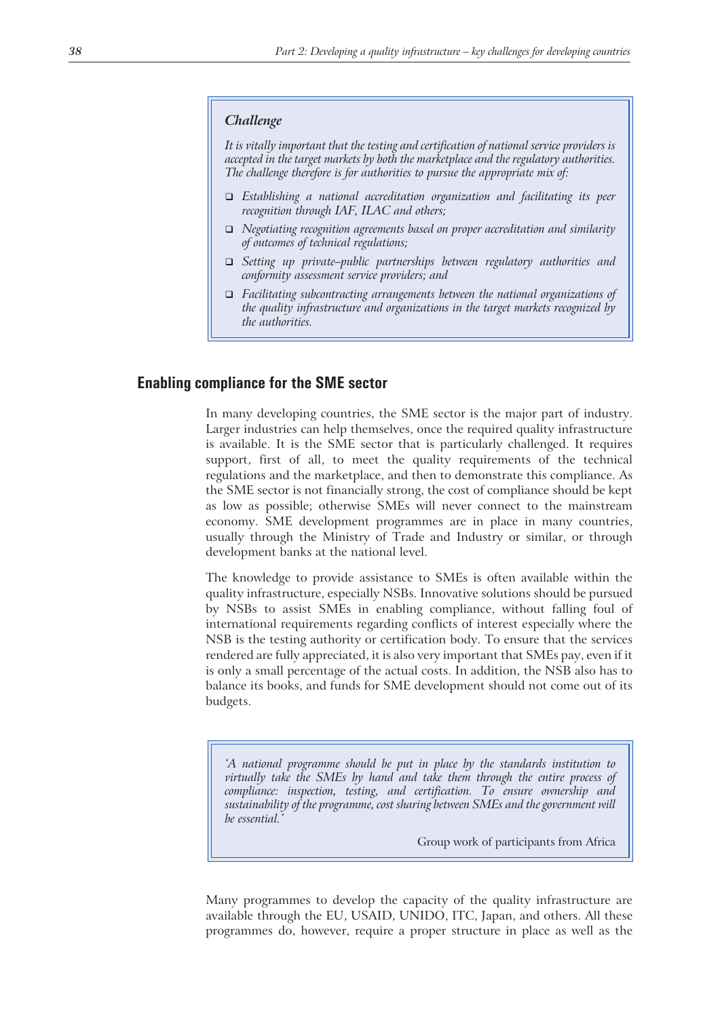#### *Challenge*

*It is vitally important that the testing and certification of national service providers is accepted in the target markets by both the marketplace and the regulatory authorities. The challenge therefore is for authorities to pursue the appropriate mix of:*

- *Establishing a national accreditation organization and facilitating its peer recognition through IAF, ILAC and others;*
- *Negotiating recognition agreements based on proper accreditation and similarity of outcomes of technical regulations;*
- *Setting up private–public partnerships between regulatory authorities and conformity assessment service providers; and*
- *Facilitating subcontracting arrangements between the national organizations of the quality infrastructure and organizations in the target markets recognized by the authorities.*

#### **Enabling compliance for the SME sector**

In many developing countries, the SME sector is the major part of industry. Larger industries can help themselves, once the required quality infrastructure is available. It is the SME sector that is particularly challenged. It requires support, first of all, to meet the quality requirements of the technical regulations and the marketplace, and then to demonstrate this compliance. As the SME sector is not financially strong, the cost of compliance should be kept as low as possible; otherwise SMEs will never connect to the mainstream economy. SME development programmes are in place in many countries, usually through the Ministry of Trade and Industry or similar, or through development banks at the national level.

The knowledge to provide assistance to SMEs is often available within the quality infrastructure, especially NSBs. Innovative solutions should be pursued by NSBs to assist SMEs in enabling compliance, without falling foul of international requirements regarding conflicts of interest especially where the NSB is the testing authority or certification body. To ensure that the services rendered are fully appreciated, it is also very important that SMEs pay, even if it is only a small percentage of the actual costs. In addition, the NSB also has to balance its books, and funds for SME development should not come out of its budgets.

*'A national programme should be put in place by the standards institution to virtually take the SMEs by hand and take them through the entire process of compliance: inspection, testing, and certification. To ensure ownership and sustainability of the programme, cost sharing between SMEs and the government will be essential.'*

Group work of participants from Africa

Many programmes to develop the capacity of the quality infrastructure are available through the EU, USAID, UNIDO, ITC, Japan, and others. All these programmes do, however, require a proper structure in place as well as the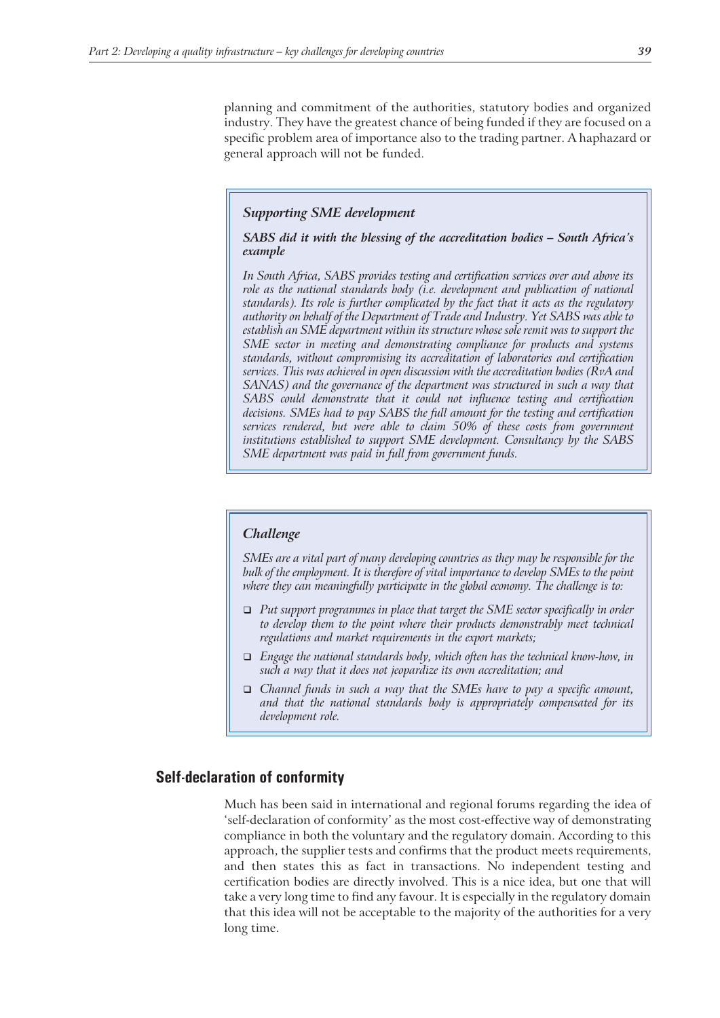planning and commitment of the authorities, statutory bodies and organized industry. They have the greatest chance of being funded if they are focused on a specific problem area of importance also to the trading partner. A haphazard or general approach will not be funded.

#### *Supporting SME development*

*SABS did it with the blessing of the accreditation bodies – South Africa's example*

*In South Africa, SABS provides testing and certification services over and above its role as the national standards body (i.e. development and publication of national standards). Its role is further complicated by the fact that it acts as the regulatory authority on behalf of the Department of Trade and Industry. Yet SABS was able to establish an SME department within its structure whose sole remit was to support the SME sector in meeting and demonstrating compliance for products and systems standards, without compromising its accreditation of laboratories and certification services. This was achieved in open discussion with the accreditation bodies (RvA and SANAS) and the governance of the department was structured in such a way that SABS could demonstrate that it could not influence testing and certification decisions. SMEs had to pay SABS the full amount for the testing and certification services rendered, but were able to claim 50% of these costs from government institutions established to support SME development. Consultancy by the SABS SME department was paid in full from government funds.*

#### *Challenge*

*SMEs are a vital part of many developing countries as they may be responsible for the bulk of the employment. It is therefore of vital importance to develop SMEs to the point where they can meaningfully participate in the global economy. The challenge is to:*

- *Put support programmes in place that target the SME sector specifically in order to develop them to the point where their products demonstrably meet technical regulations and market requirements in the export markets;*
- *Engage the national standards body, which often has the technical know-how, in such a way that it does not jeopardize its own accreditation; and*
- *Channel funds in such a way that the SMEs have to pay a specific amount, and that the national standards body is appropriately compensated for its development role.*

## **Self-declaration of conformity**

Much has been said in international and regional forums regarding the idea of 'self-declaration of conformity' as the most cost-effective way of demonstrating compliance in both the voluntary and the regulatory domain. According to this approach, the supplier tests and confirms that the product meets requirements, and then states this as fact in transactions. No independent testing and certification bodies are directly involved. This is a nice idea, but one that will take a very long time to find any favour. It is especially in the regulatory domain that this idea will not be acceptable to the majority of the authorities for a very long time.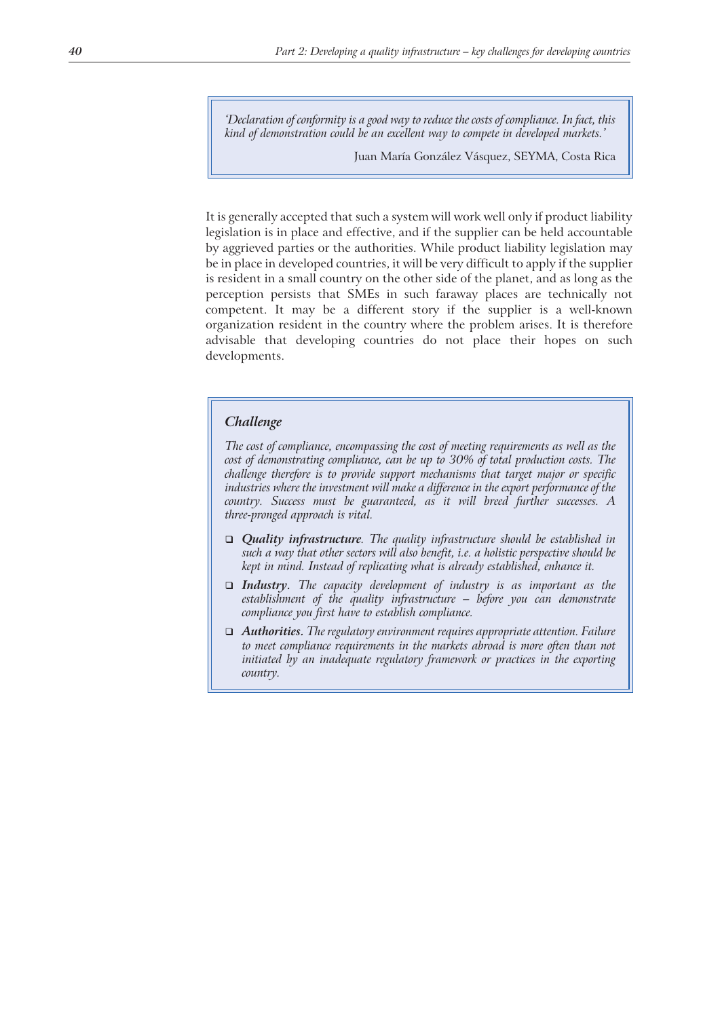*'Declaration of conformity is a good way to reduce the costs of compliance. In fact, this kind of demonstration could be an excellent way to compete in developed markets.'*

Juan María González Vásquez, SEYMA, Costa Rica

It is generally accepted that such a system will work well only if product liability legislation is in place and effective, and if the supplier can be held accountable by aggrieved parties or the authorities. While product liability legislation may be in place in developed countries, it will be very difficult to apply if the supplier is resident in a small country on the other side of the planet, and as long as the perception persists that SMEs in such faraway places are technically not competent. It may be a different story if the supplier is a well-known organization resident in the country where the problem arises. It is therefore advisable that developing countries do not place their hopes on such developments.

#### *Challenge*

*The cost of compliance, encompassing the cost of meeting requirements as well as the cost of demonstrating compliance, can be up to 30% of total production costs. The challenge therefore is to provide support mechanisms that target major or specific industries where the investment will make a difference in the export performance of the country. Success must be guaranteed, as it will breed further successes. A three-pronged approach is vital.*

- *Quality infrastructure. The quality infrastructure should be established in such a way that other sectors will also benefit, i.e. a holistic perspective should be kept in mind. Instead of replicating what is already established, enhance it.*
- *Industry. The capacity development of industry is as important as the establishment of the quality infrastructure – before you can demonstrate compliance you first have to establish compliance.*
- *Authorities. The regulatory environment requires appropriate attention. Failure to meet compliance requirements in the markets abroad is more often than not initiated by an inadequate regulatory framework or practices in the exporting country.*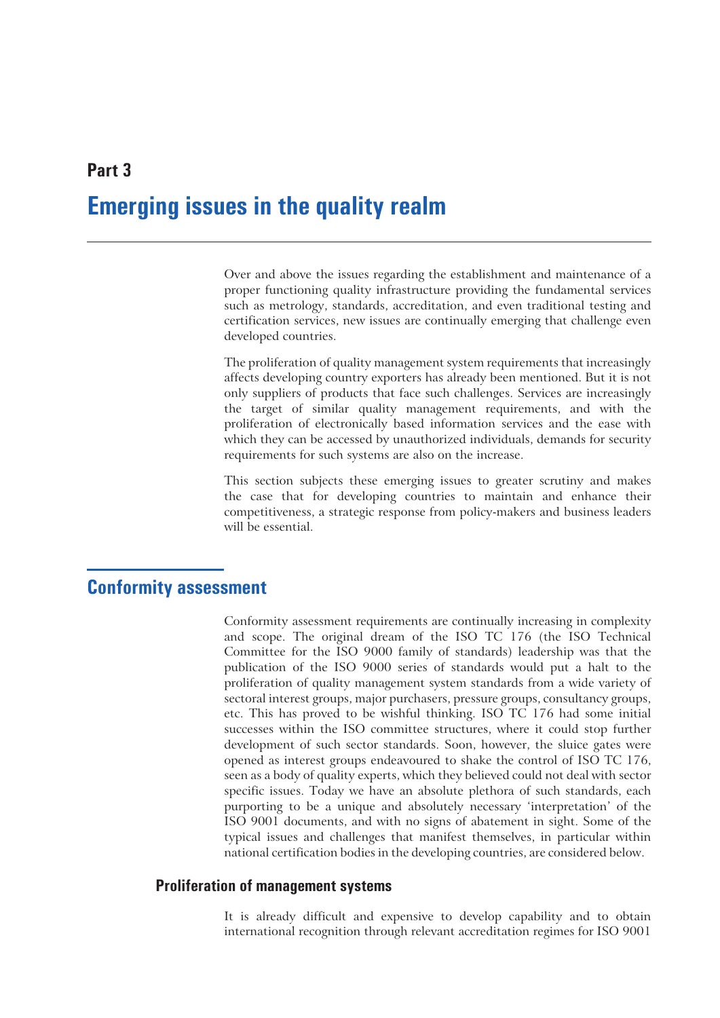# **Emerging issues in the quality realm**

Over and above the issues regarding the establishment and maintenance of a proper functioning quality infrastructure providing the fundamental services such as metrology, standards, accreditation, and even traditional testing and certification services, new issues are continually emerging that challenge even developed countries.

The proliferation of quality management system requirements that increasingly affects developing country exporters has already been mentioned. But it is not only suppliers of products that face such challenges. Services are increasingly the target of similar quality management requirements, and with the proliferation of electronically based information services and the ease with which they can be accessed by unauthorized individuals, demands for security requirements for such systems are also on the increase.

This section subjects these emerging issues to greater scrutiny and makes the case that for developing countries to maintain and enhance their competitiveness, a strategic response from policy-makers and business leaders will be essential.

# **Conformity assessment**

Conformity assessment requirements are continually increasing in complexity and scope. The original dream of the ISO TC 176 (the ISO Technical Committee for the ISO 9000 family of standards) leadership was that the publication of the ISO 9000 series of standards would put a halt to the proliferation of quality management system standards from a wide variety of sectoral interest groups, major purchasers, pressure groups, consultancy groups, etc. This has proved to be wishful thinking. ISO TC 176 had some initial successes within the ISO committee structures, where it could stop further development of such sector standards. Soon, however, the sluice gates were opened as interest groups endeavoured to shake the control of ISO TC 176, seen as a body of quality experts, which they believed could not deal with sector specific issues. Today we have an absolute plethora of such standards, each purporting to be a unique and absolutely necessary 'interpretation' of the ISO 9001 documents, and with no signs of abatement in sight. Some of the typical issues and challenges that manifest themselves, in particular within national certification bodies in the developing countries, are considered below.

# **Proliferation of management systems**

It is already difficult and expensive to develop capability and to obtain international recognition through relevant accreditation regimes for ISO 9001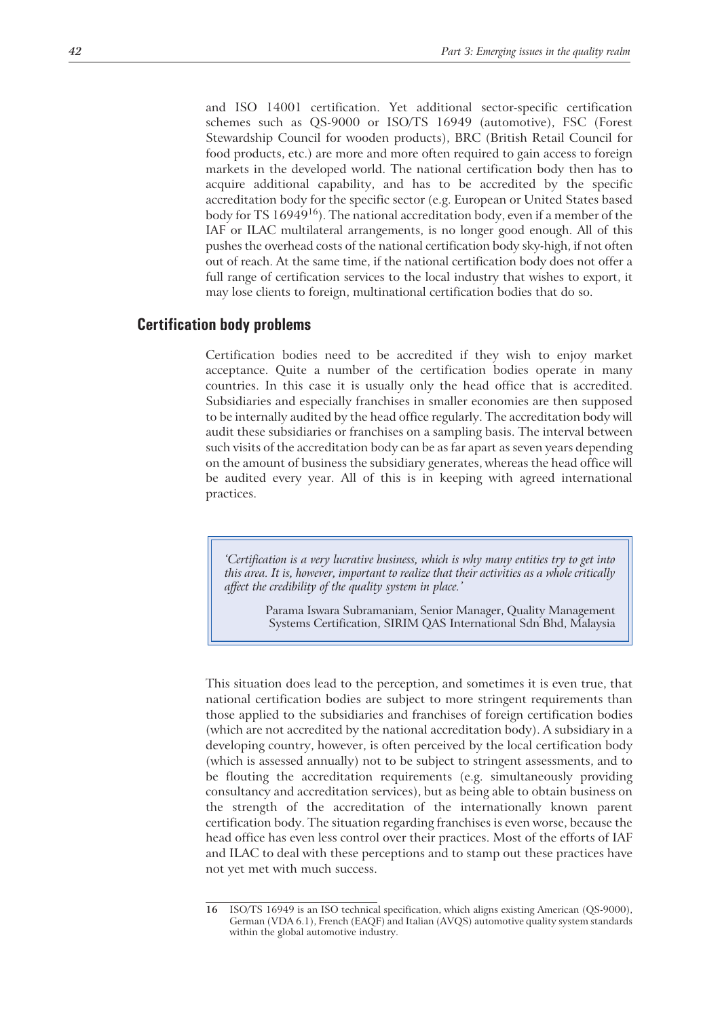and ISO 14001 certification. Yet additional sector-specific certification schemes such as QS-9000 or ISO/TS 16949 (automotive), FSC (Forest Stewardship Council for wooden products), BRC (British Retail Council for food products, etc.) are more and more often required to gain access to foreign markets in the developed world. The national certification body then has to acquire additional capability, and has to be accredited by the specific accreditation body for the specific sector (e.g. European or United States based body for TS 16949<sup>16</sup>). The national accreditation body, even if a member of the IAF or ILAC multilateral arrangements, is no longer good enough. All of this pushes the overhead costs of the national certification body sky-high, if not often out of reach. At the same time, if the national certification body does not offer a full range of certification services to the local industry that wishes to export, it may lose clients to foreign, multinational certification bodies that do so.

#### **Certification body problems**

Certification bodies need to be accredited if they wish to enjoy market acceptance. Quite a number of the certification bodies operate in many countries. In this case it is usually only the head office that is accredited. Subsidiaries and especially franchises in smaller economies are then supposed to be internally audited by the head office regularly. The accreditation body will audit these subsidiaries or franchises on a sampling basis. The interval between such visits of the accreditation body can be as far apart as seven years depending on the amount of business the subsidiary generates, whereas the head office will be audited every year. All of this is in keeping with agreed international practices.

*'Certification is a very lucrative business, which is why many entities try to get into this area. It is, however, important to realize that their activities as a whole critically affect the credibility of the quality system in place.'*

> Parama Iswara Subramaniam, Senior Manager, Quality Management Systems Certification, SIRIM QAS International Sdn Bhd, Malaysia

This situation does lead to the perception, and sometimes it is even true, that national certification bodies are subject to more stringent requirements than those applied to the subsidiaries and franchises of foreign certification bodies (which are not accredited by the national accreditation body). A subsidiary in a developing country, however, is often perceived by the local certification body (which is assessed annually) not to be subject to stringent assessments, and to be flouting the accreditation requirements (e.g. simultaneously providing consultancy and accreditation services), but as being able to obtain business on the strength of the accreditation of the internationally known parent certification body. The situation regarding franchises is even worse, because the head office has even less control over their practices. Most of the efforts of IAF and ILAC to deal with these perceptions and to stamp out these practices have not yet met with much success.

**<sup>16</sup>** ISO/TS 16949 is an ISO technical specification, which aligns existing American (QS-9000), German (VDA 6.1), French (EAQF) and Italian (AVQS) automotive quality system standards within the global automotive industry.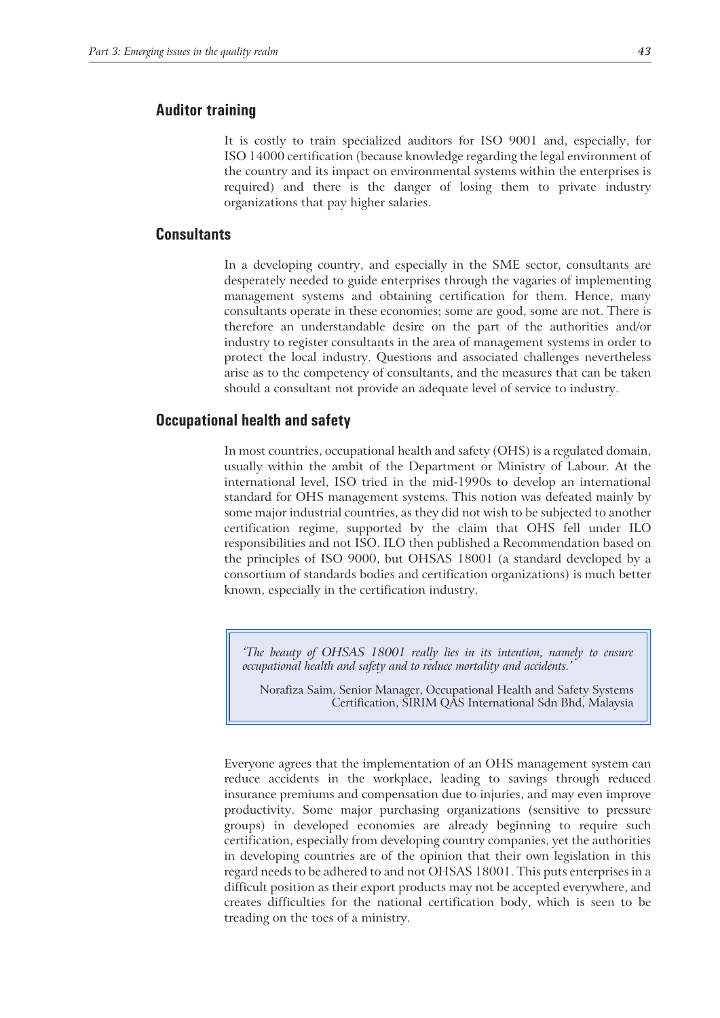# **Auditor training**

It is costly to train specialized auditors for ISO 9001 and, especially, for ISO 14000 certification (because knowledge regarding the legal environment of the country and its impact on environmental systems within the enterprises is required) and there is the danger of losing them to private industry organizations that pay higher salaries.

# **Consultants**

In a developing country, and especially in the SME sector, consultants are desperately needed to guide enterprises through the vagaries of implementing management systems and obtaining certification for them. Hence, many consultants operate in these economies; some are good, some are not. There is therefore an understandable desire on the part of the authorities and/or industry to register consultants in the area of management systems in order to protect the local industry. Questions and associated challenges nevertheless arise as to the competency of consultants, and the measures that can be taken should a consultant not provide an adequate level of service to industry.

## **Occupational health and safety**

In most countries, occupational health and safety (OHS) is a regulated domain, usually within the ambit of the Department or Ministry of Labour. At the international level, ISO tried in the mid-1990s to develop an international standard for OHS management systems. This notion was defeated mainly by some major industrial countries, as they did not wish to be subjected to another certification regime, supported by the claim that OHS fell under ILO responsibilities and not ISO. ILO then published a Recommendation based on the principles of ISO 9000, but OHSAS 18001 (a standard developed by a consortium of standards bodies and certification organizations) is much better known, especially in the certification industry.

*'The beauty of OHSAS 18001 really lies in its intention, namely to ensure occupational health and safety and to reduce mortality and accidents.'*

Norafiza Saim, Senior Manager, Occupational Health and Safety Systems Certification, SIRIM QAS International Sdn Bhd, Malaysia

Everyone agrees that the implementation of an OHS management system can reduce accidents in the workplace, leading to savings through reduced insurance premiums and compensation due to injuries, and may even improve productivity. Some major purchasing organizations (sensitive to pressure groups) in developed economies are already beginning to require such certification, especially from developing country companies, yet the authorities in developing countries are of the opinion that their own legislation in this regard needs to be adhered to and not OHSAS 18001. This puts enterprises in a difficult position as their export products may not be accepted everywhere, and creates difficulties for the national certification body, which is seen to be treading on the toes of a ministry.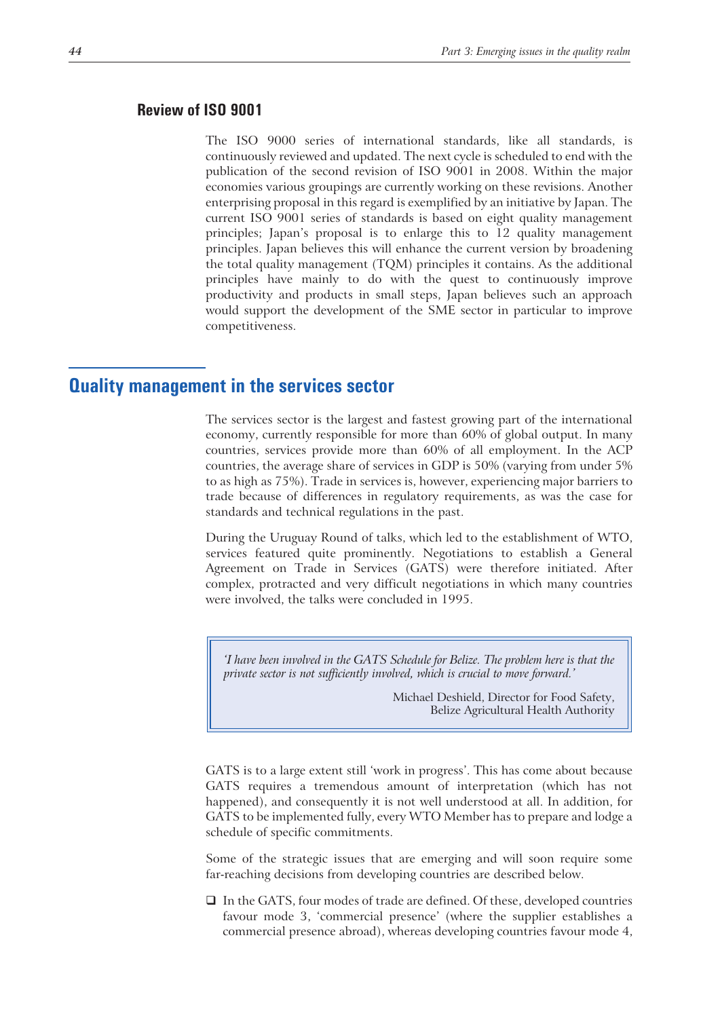#### **Review of ISO 9001**

The ISO 9000 series of international standards, like all standards, is continuously reviewed and updated. The next cycle is scheduled to end with the publication of the second revision of ISO 9001 in 2008. Within the major economies various groupings are currently working on these revisions. Another enterprising proposal in this regard is exemplified by an initiative by Japan. The current ISO 9001 series of standards is based on eight quality management principles; Japan's proposal is to enlarge this to 12 quality management principles. Japan believes this will enhance the current version by broadening the total quality management (TQM) principles it contains. As the additional principles have mainly to do with the quest to continuously improve productivity and products in small steps, Japan believes such an approach would support the development of the SME sector in particular to improve competitiveness.

# **Quality management in the services sector**

The services sector is the largest and fastest growing part of the international economy, currently responsible for more than 60% of global output. In many countries, services provide more than 60% of all employment. In the ACP countries, the average share of services in GDP is 50% (varying from under 5% to as high as 75%). Trade in services is, however, experiencing major barriers to trade because of differences in regulatory requirements, as was the case for standards and technical regulations in the past.

During the Uruguay Round of talks, which led to the establishment of WTO, services featured quite prominently. Negotiations to establish a General Agreement on Trade in Services (GATS) were therefore initiated. After complex, protracted and very difficult negotiations in which many countries were involved, the talks were concluded in 1995.

*'I have been involved in the GATS Schedule for Belize. The problem here is that the private sector is not sufficiently involved, which is crucial to move forward.'*

> Michael Deshield, Director for Food Safety, Belize Agricultural Health Authority

GATS is to a large extent still 'work in progress'. This has come about because GATS requires a tremendous amount of interpretation (which has not happened), and consequently it is not well understood at all. In addition, for GATS to be implemented fully, every WTO Member has to prepare and lodge a schedule of specific commitments.

Some of the strategic issues that are emerging and will soon require some far-reaching decisions from developing countries are described below.

 $\Box$  In the GATS, four modes of trade are defined. Of these, developed countries favour mode 3, 'commercial presence' (where the supplier establishes a commercial presence abroad), whereas developing countries favour mode 4,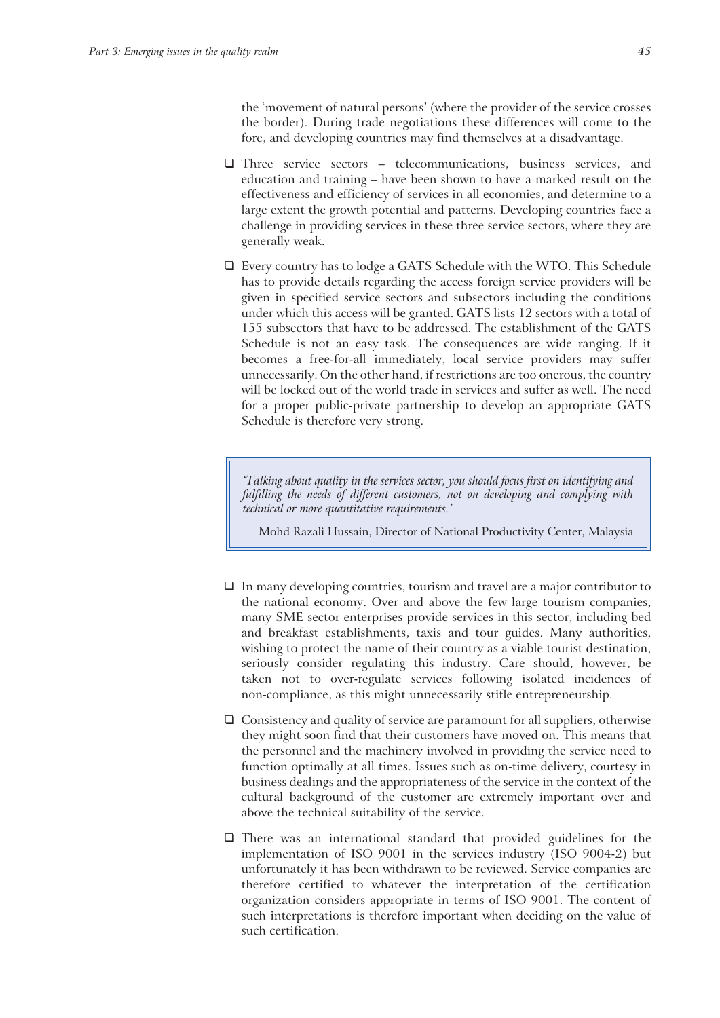the 'movement of natural persons' (where the provider of the service crosses the border). During trade negotiations these differences will come to the fore, and developing countries may find themselves at a disadvantage.

- Three service sectors telecommunications, business services, and education and training – have been shown to have a marked result on the effectiveness and efficiency of services in all economies, and determine to a large extent the growth potential and patterns. Developing countries face a challenge in providing services in these three service sectors, where they are generally weak.
- Every country has to lodge a GATS Schedule with the WTO. This Schedule has to provide details regarding the access foreign service providers will be given in specified service sectors and subsectors including the conditions under which this access will be granted. GATS lists 12 sectors with a total of 155 subsectors that have to be addressed. The establishment of the GATS Schedule is not an easy task. The consequences are wide ranging. If it becomes a free-for-all immediately, local service providers may suffer unnecessarily. On the other hand, if restrictions are too onerous, the country will be locked out of the world trade in services and suffer as well. The need for a proper public-private partnership to develop an appropriate GATS Schedule is therefore very strong.

*'Talking about quality in the services sector, you should focus first on identifying and fulfilling the needs of different customers, not on developing and complying with technical or more quantitative requirements.'*

Mohd Razali Hussain, Director of National Productivity Center, Malaysia

- $\Box$  In many developing countries, tourism and travel are a major contributor to the national economy. Over and above the few large tourism companies, many SME sector enterprises provide services in this sector, including bed and breakfast establishments, taxis and tour guides. Many authorities, wishing to protect the name of their country as a viable tourist destination, seriously consider regulating this industry. Care should, however, be taken not to over-regulate services following isolated incidences of non-compliance, as this might unnecessarily stifle entrepreneurship.
- $\Box$  Consistency and quality of service are paramount for all suppliers, otherwise they might soon find that their customers have moved on. This means that the personnel and the machinery involved in providing the service need to function optimally at all times. Issues such as on-time delivery, courtesy in business dealings and the appropriateness of the service in the context of the cultural background of the customer are extremely important over and above the technical suitability of the service.
- There was an international standard that provided guidelines for the implementation of ISO 9001 in the services industry (ISO 9004-2) but unfortunately it has been withdrawn to be reviewed. Service companies are therefore certified to whatever the interpretation of the certification organization considers appropriate in terms of ISO 9001. The content of such interpretations is therefore important when deciding on the value of such certification.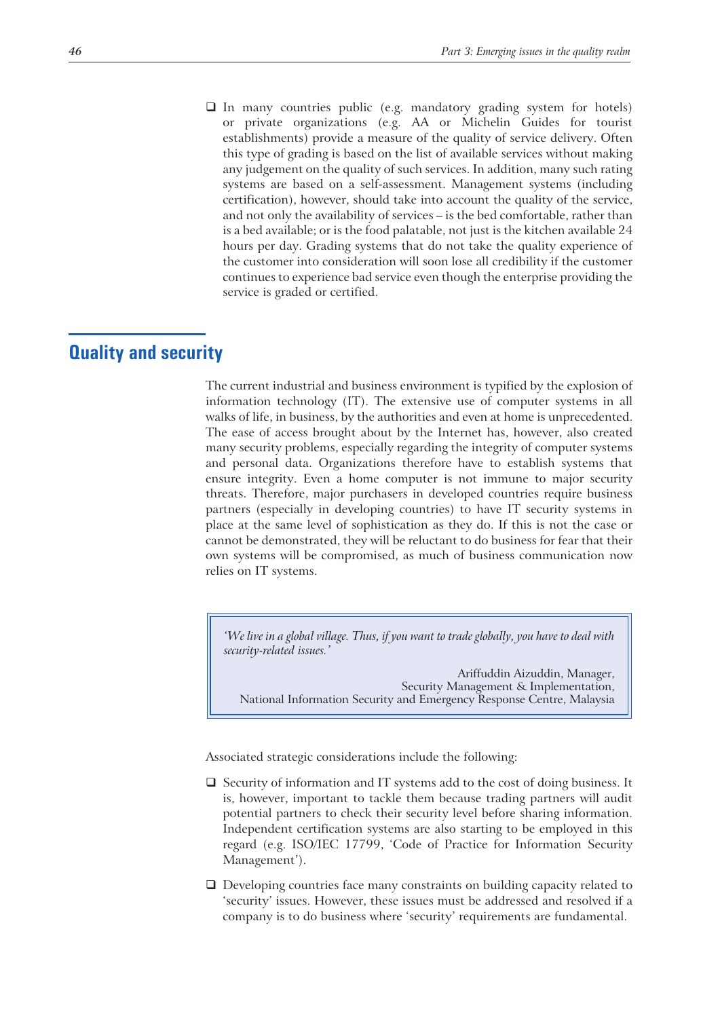$\Box$  In many countries public (e.g. mandatory grading system for hotels) or private organizations (e.g. AA or Michelin Guides for tourist establishments) provide a measure of the quality of service delivery. Often this type of grading is based on the list of available services without making any judgement on the quality of such services. In addition, many such rating systems are based on a self-assessment. Management systems (including certification), however, should take into account the quality of the service, and not only the availability of services – is the bed comfortable, rather than is a bed available; or is the food palatable, not just is the kitchen available 24 hours per day. Grading systems that do not take the quality experience of the customer into consideration will soon lose all credibility if the customer continues to experience bad service even though the enterprise providing the service is graded or certified.

# **Quality and security**

The current industrial and business environment is typified by the explosion of information technology (IT). The extensive use of computer systems in all walks of life, in business, by the authorities and even at home is unprecedented. The ease of access brought about by the Internet has, however, also created many security problems, especially regarding the integrity of computer systems and personal data. Organizations therefore have to establish systems that ensure integrity. Even a home computer is not immune to major security threats. Therefore, major purchasers in developed countries require business partners (especially in developing countries) to have IT security systems in place at the same level of sophistication as they do. If this is not the case or cannot be demonstrated, they will be reluctant to do business for fear that their own systems will be compromised, as much of business communication now relies on IT systems.

*'We live in a global village. Thus, if you want to trade globally, you have to deal with security-related issues.'*

Ariffuddin Aizuddin, Manager, Security Management & Implementation, National Information Security and Emergency Response Centre, Malaysia

Associated strategic considerations include the following:

- $\Box$  Security of information and IT systems add to the cost of doing business. It is, however, important to tackle them because trading partners will audit potential partners to check their security level before sharing information. Independent certification systems are also starting to be employed in this regard (e.g. ISO/IEC 17799, 'Code of Practice for Information Security Management').
- Developing countries face many constraints on building capacity related to 'security' issues. However, these issues must be addressed and resolved if a company is to do business where 'security' requirements are fundamental.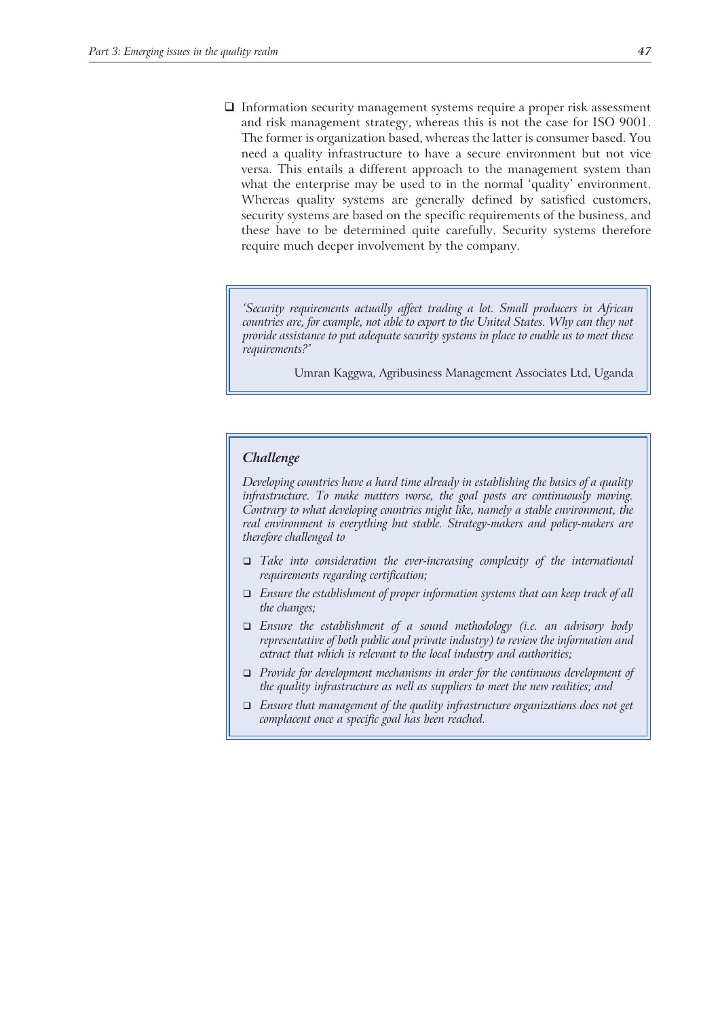$\Box$  Information security management systems require a proper risk assessment and risk management strategy, whereas this is not the case for ISO 9001. The former is organization based, whereas the latter is consumer based. You need a quality infrastructure to have a secure environment but not vice versa. This entails a different approach to the management system than what the enterprise may be used to in the normal 'quality' environment. Whereas quality systems are generally defined by satisfied customers, security systems are based on the specific requirements of the business, and these have to be determined quite carefully. Security systems therefore require much deeper involvement by the company.

*'Security requirements actually affect trading a lot. Small producers in African countries are, for example, not able to export to the United States. Why can they not provide assistance to put adequate security systems in place to enable us to meet these requirements?'*

Umran Kaggwa, Agribusiness Management Associates Ltd, Uganda

#### *Challenge*

*Developing countries have a hard time already in establishing the basics of a quality infrastructure. To make matters worse, the goal posts are continuously moving. Contrary to what developing countries might like, namely a stable environment, the real environment is everything but stable. Strategy-makers and policy-makers are therefore challenged to*

- *Take into consideration the ever-increasing complexity of the international requirements regarding certification;*
- *Ensure the establishment of proper information systems that can keep track of all the changes;*
- *Ensure the establishment of a sound methodology (i.e. an advisory body representative of both public and private industry) to review the information and extract that which is relevant to the local industry and authorities;*
- *Provide for development mechanisms in order for the continuous development of the quality infrastructure as well as suppliers to meet the new realities; and*
- *Ensure that management of the quality infrastructure organizations does not get complacent once a specific goal has been reached.*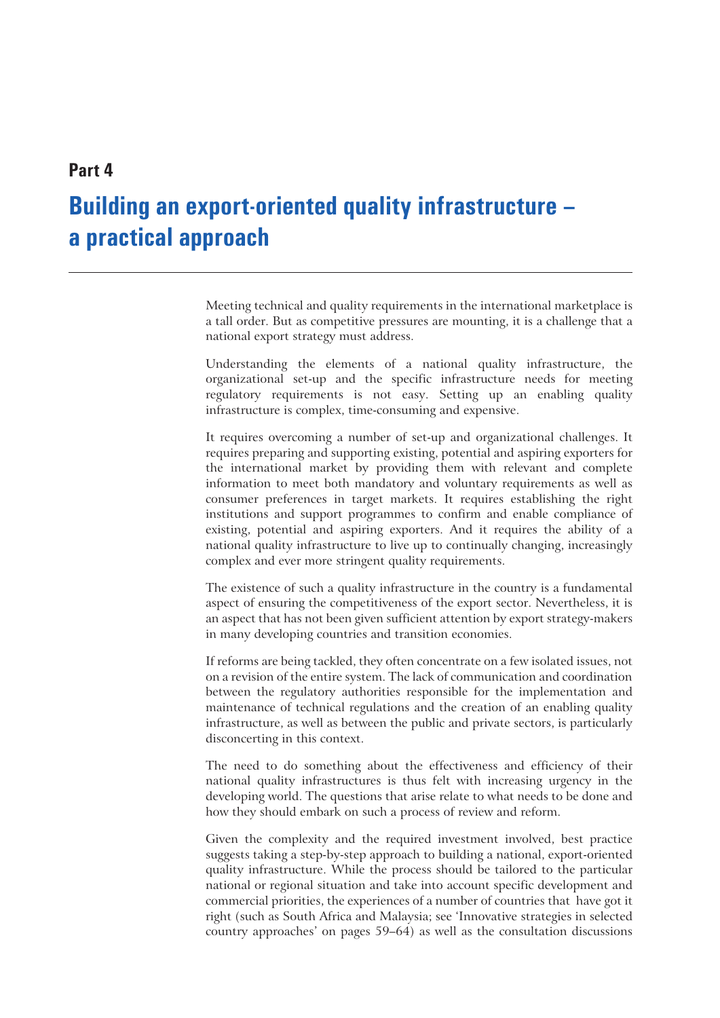# **Part 4**

# **Building an export-oriented quality infrastructure – a practical approach**

Meeting technical and quality requirements in the international marketplace is a tall order. But as competitive pressures are mounting, it is a challenge that a national export strategy must address.

Understanding the elements of a national quality infrastructure, the organizational set-up and the specific infrastructure needs for meeting regulatory requirements is not easy. Setting up an enabling quality infrastructure is complex, time-consuming and expensive.

It requires overcoming a number of set-up and organizational challenges. It requires preparing and supporting existing, potential and aspiring exporters for the international market by providing them with relevant and complete information to meet both mandatory and voluntary requirements as well as consumer preferences in target markets. It requires establishing the right institutions and support programmes to confirm and enable compliance of existing, potential and aspiring exporters. And it requires the ability of a national quality infrastructure to live up to continually changing, increasingly complex and ever more stringent quality requirements.

The existence of such a quality infrastructure in the country is a fundamental aspect of ensuring the competitiveness of the export sector. Nevertheless, it is an aspect that has not been given sufficient attention by export strategy-makers in many developing countries and transition economies.

If reforms are being tackled, they often concentrate on a few isolated issues, not on a revision of the entire system. The lack of communication and coordination between the regulatory authorities responsible for the implementation and maintenance of technical regulations and the creation of an enabling quality infrastructure, as well as between the public and private sectors, is particularly disconcerting in this context.

The need to do something about the effectiveness and efficiency of their national quality infrastructures is thus felt with increasing urgency in the developing world. The questions that arise relate to what needs to be done and how they should embark on such a process of review and reform.

Given the complexity and the required investment involved, best practice suggests taking a step-by-step approach to building a national, export-oriented quality infrastructure. While the process should be tailored to the particular national or regional situation and take into account specific development and commercial priorities, the experiences of a number of countries that have got it right (such as South Africa and Malaysia; see 'Innovative strategies in selected country approaches' on pages 59–64) as well as the consultation discussions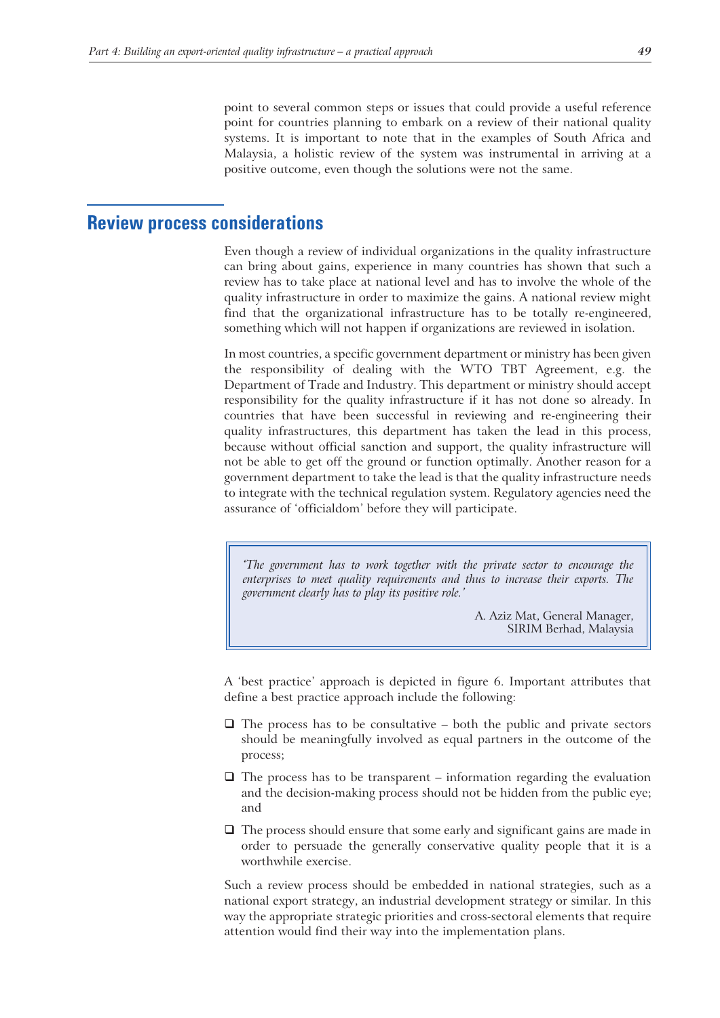point to several common steps or issues that could provide a useful reference point for countries planning to embark on a review of their national quality systems. It is important to note that in the examples of South Africa and Malaysia, a holistic review of the system was instrumental in arriving at a positive outcome, even though the solutions were not the same.

# **Review process considerations**

Even though a review of individual organizations in the quality infrastructure can bring about gains, experience in many countries has shown that such a review has to take place at national level and has to involve the whole of the quality infrastructure in order to maximize the gains. A national review might find that the organizational infrastructure has to be totally re-engineered, something which will not happen if organizations are reviewed in isolation.

In most countries, a specific government department or ministry has been given the responsibility of dealing with the WTO TBT Agreement, e.g. the Department of Trade and Industry. This department or ministry should accept responsibility for the quality infrastructure if it has not done so already. In countries that have been successful in reviewing and re-engineering their quality infrastructures, this department has taken the lead in this process, because without official sanction and support, the quality infrastructure will not be able to get off the ground or function optimally. Another reason for a government department to take the lead is that the quality infrastructure needs to integrate with the technical regulation system. Regulatory agencies need the assurance of 'officialdom' before they will participate.

*'The government has to work together with the private sector to encourage the enterprises to meet quality requirements and thus to increase their exports. The government clearly has to play its positive role.'*

> A. Aziz Mat, General Manager, SIRIM Berhad, Malaysia

A 'best practice' approach is depicted in figure 6. Important attributes that define a best practice approach include the following:

- $\Box$  The process has to be consultative both the public and private sectors should be meaningfully involved as equal partners in the outcome of the process;
- $\Box$  The process has to be transparent information regarding the evaluation and the decision-making process should not be hidden from the public eye; and
- $\Box$  The process should ensure that some early and significant gains are made in order to persuade the generally conservative quality people that it is a worthwhile exercise.

Such a review process should be embedded in national strategies, such as a national export strategy, an industrial development strategy or similar. In this way the appropriate strategic priorities and cross-sectoral elements that require attention would find their way into the implementation plans.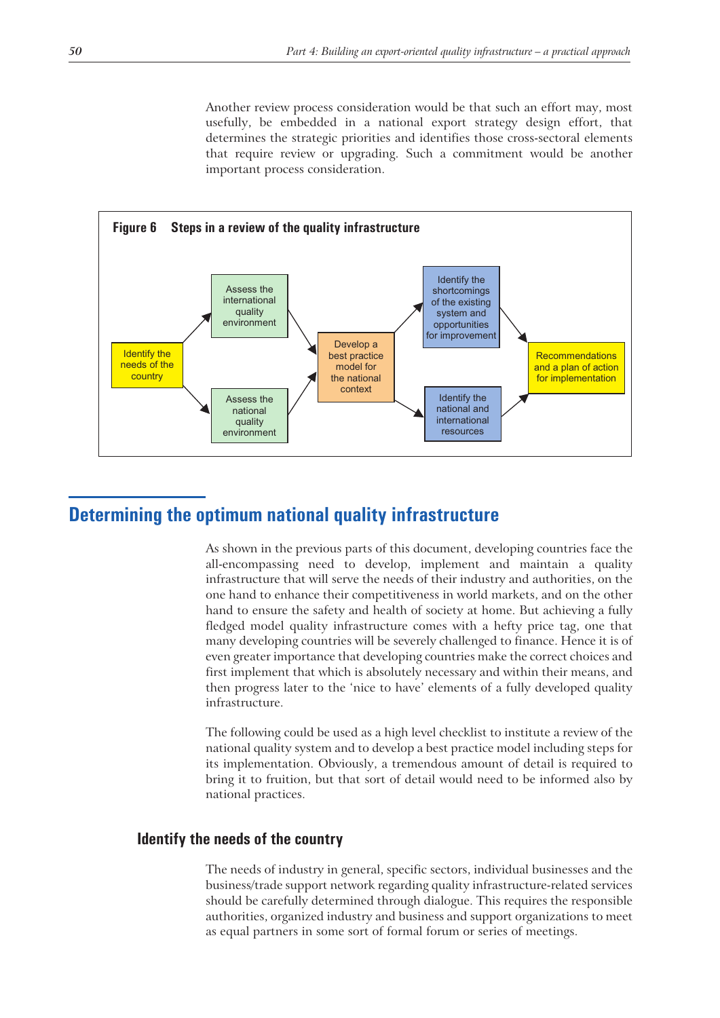Another review process consideration would be that such an effort may, most usefully, be embedded in a national export strategy design effort, that determines the strategic priorities and identifies those cross-sectoral elements that require review or upgrading. Such a commitment would be another important process consideration.



# **Determining the optimum national quality infrastructure**

As shown in the previous parts of this document, developing countries face the all-encompassing need to develop, implement and maintain a quality infrastructure that will serve the needs of their industry and authorities, on the one hand to enhance their competitiveness in world markets, and on the other hand to ensure the safety and health of society at home. But achieving a fully fledged model quality infrastructure comes with a hefty price tag, one that many developing countries will be severely challenged to finance. Hence it is of even greater importance that developing countries make the correct choices and first implement that which is absolutely necessary and within their means, and then progress later to the 'nice to have' elements of a fully developed quality infrastructure.

The following could be used as a high level checklist to institute a review of the national quality system and to develop a best practice model including steps for its implementation. Obviously, a tremendous amount of detail is required to bring it to fruition, but that sort of detail would need to be informed also by national practices.

# **Identify the needs of the country**

The needs of industry in general, specific sectors, individual businesses and the business/trade support network regarding quality infrastructure-related services should be carefully determined through dialogue. This requires the responsible authorities, organized industry and business and support organizations to meet as equal partners in some sort of formal forum or series of meetings.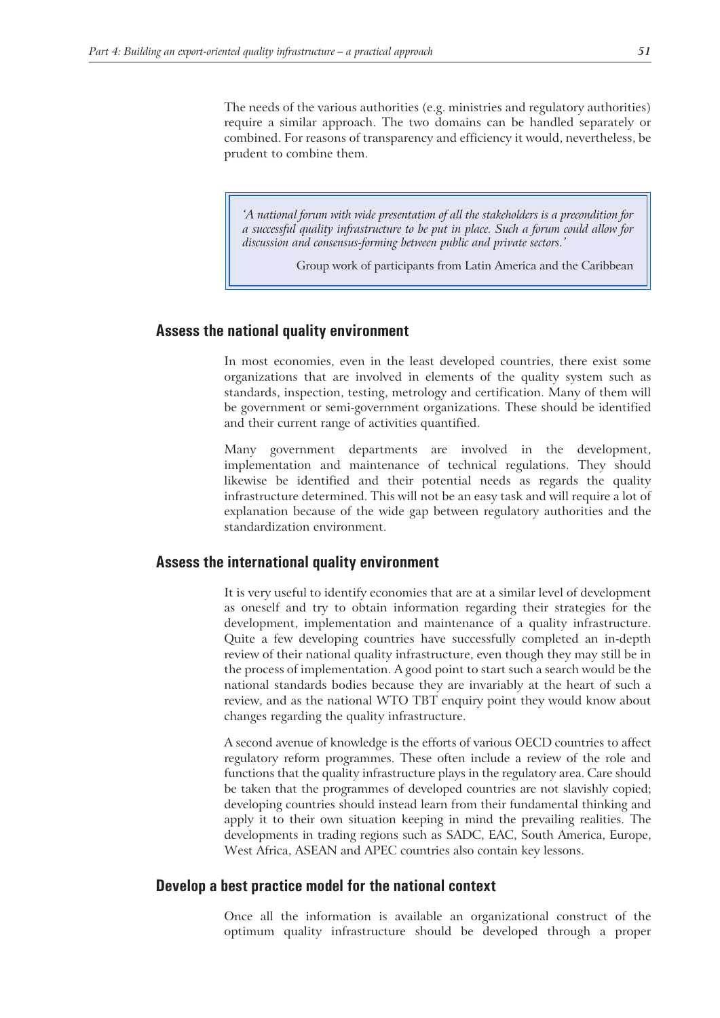The needs of the various authorities (e.g. ministries and regulatory authorities) require a similar approach. The two domains can be handled separately or combined. For reasons of transparency and efficiency it would, nevertheless, be prudent to combine them.

*'A national forum with wide presentation of all the stakeholders is a precondition for a successful quality infrastructure to be put in place. Such a forum could allow for discussion and consensus-forming between public and private sectors.'*

Group work of participants from Latin America and the Caribbean

#### **Assess the national quality environment**

In most economies, even in the least developed countries, there exist some organizations that are involved in elements of the quality system such as standards, inspection, testing, metrology and certification. Many of them will be government or semi-government organizations. These should be identified and their current range of activities quantified.

Many government departments are involved in the development, implementation and maintenance of technical regulations. They should likewise be identified and their potential needs as regards the quality infrastructure determined. This will not be an easy task and will require a lot of explanation because of the wide gap between regulatory authorities and the standardization environment.

#### **Assess the international quality environment**

It is very useful to identify economies that are at a similar level of development as oneself and try to obtain information regarding their strategies for the development, implementation and maintenance of a quality infrastructure. Quite a few developing countries have successfully completed an in-depth review of their national quality infrastructure, even though they may still be in the process of implementation. A good point to start such a search would be the national standards bodies because they are invariably at the heart of such a review, and as the national WTO TBT enquiry point they would know about changes regarding the quality infrastructure.

A second avenue of knowledge is the efforts of various OECD countries to affect regulatory reform programmes. These often include a review of the role and functions that the quality infrastructure plays in the regulatory area. Care should be taken that the programmes of developed countries are not slavishly copied; developing countries should instead learn from their fundamental thinking and apply it to their own situation keeping in mind the prevailing realities. The developments in trading regions such as SADC, EAC, South America, Europe, West Africa, ASEAN and APEC countries also contain key lessons.

## **Develop a best practice model for the national context**

Once all the information is available an organizational construct of the optimum quality infrastructure should be developed through a proper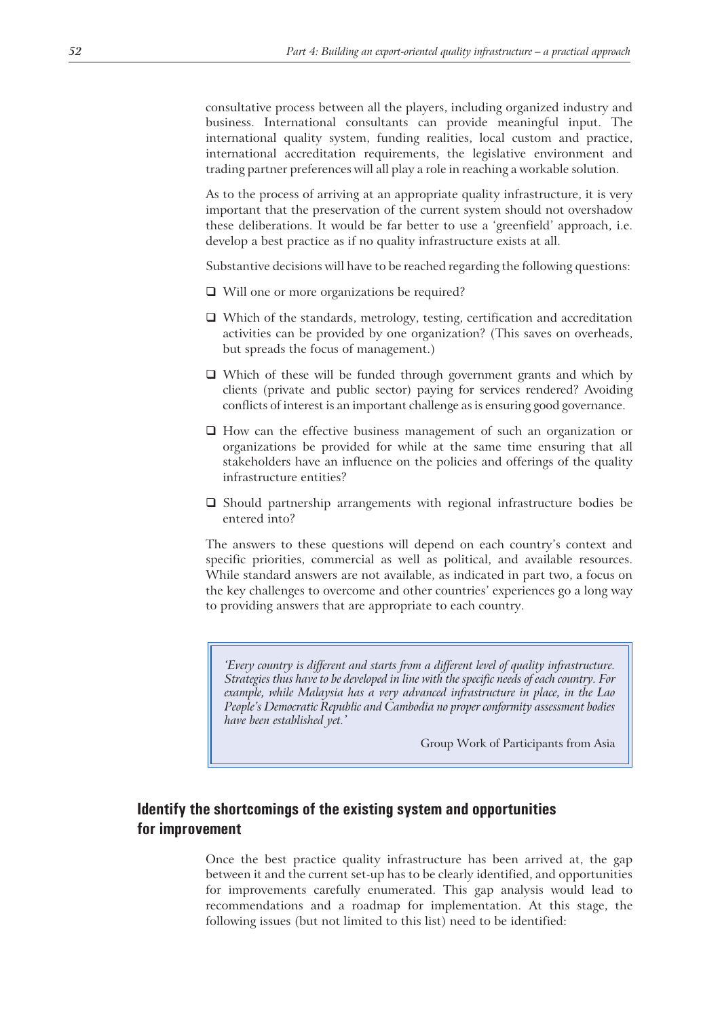consultative process between all the players, including organized industry and business. International consultants can provide meaningful input. The international quality system, funding realities, local custom and practice, international accreditation requirements, the legislative environment and trading partner preferences will all play a role in reaching a workable solution.

As to the process of arriving at an appropriate quality infrastructure, it is very important that the preservation of the current system should not overshadow these deliberations. It would be far better to use a 'greenfield' approach, i.e. develop a best practice as if no quality infrastructure exists at all.

Substantive decisions will have to be reached regarding the following questions:

- □ Will one or more organizations be required?
- $\Box$  Which of the standards, metrology, testing, certification and accreditation activities can be provided by one organization? (This saves on overheads, but spreads the focus of management.)
- □ Which of these will be funded through government grants and which by clients (private and public sector) paying for services rendered? Avoiding conflicts of interest is an important challenge as is ensuring good governance.
- $\Box$  How can the effective business management of such an organization or organizations be provided for while at the same time ensuring that all stakeholders have an influence on the policies and offerings of the quality infrastructure entities?
- Should partnership arrangements with regional infrastructure bodies be entered into?

The answers to these questions will depend on each country's context and specific priorities, commercial as well as political, and available resources. While standard answers are not available, as indicated in part two, a focus on the key challenges to overcome and other countries' experiences go a long way to providing answers that are appropriate to each country.

*'Every country is different and starts from a different level of quality infrastructure. Strategies thus have to be developed in line with the specific needs of each country. For example, while Malaysia has a very advanced infrastructure in place, in the Lao People's Democratic Republic and Cambodia no proper conformity assessment bodies have been established yet.'*

Group Work of Participants from Asia

# **Identify the shortcomings of the existing system and opportunities for improvement**

Once the best practice quality infrastructure has been arrived at, the gap between it and the current set-up has to be clearly identified, and opportunities for improvements carefully enumerated. This gap analysis would lead to recommendations and a roadmap for implementation. At this stage, the following issues (but not limited to this list) need to be identified: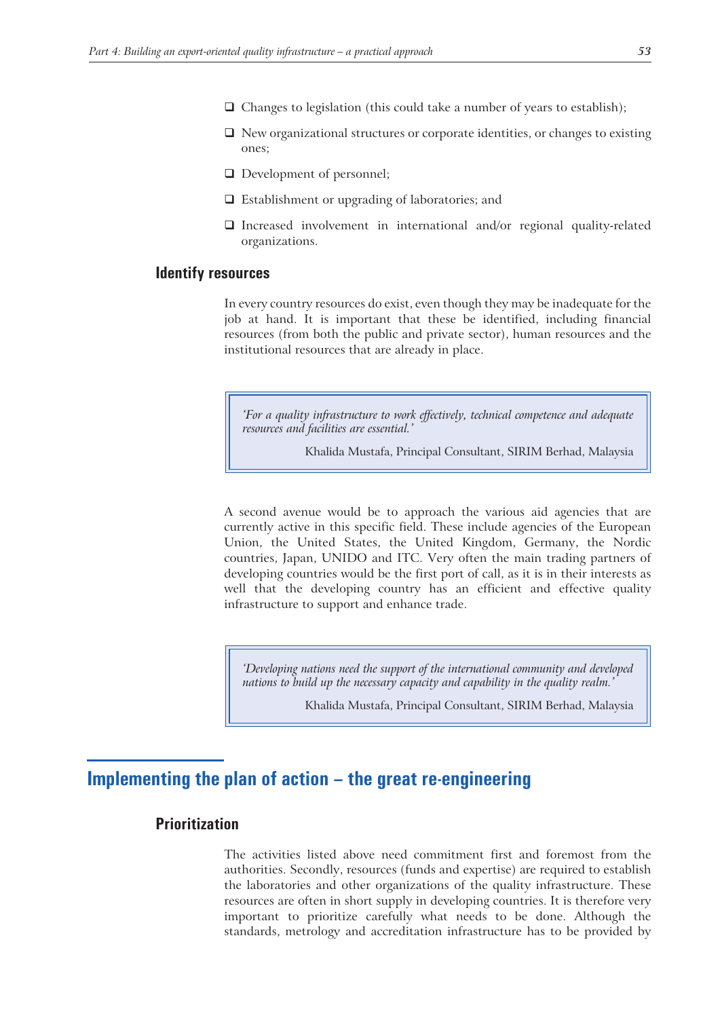- $\Box$  Changes to legislation (this could take a number of years to establish);
- $\Box$  New organizational structures or corporate identities, or changes to existing ones;
- □ Development of personnel;
- Establishment or upgrading of laboratories; and
- $\Box$  Increased involvement in international and/or regional quality-related organizations.

## **Identify resources**

In every country resources do exist, even though they may be inadequate for the job at hand. It is important that these be identified, including financial resources (from both the public and private sector), human resources and the institutional resources that are already in place.

*'For a quality infrastructure to work effectively, technical competence and adequate resources and facilities are essential.'*

Khalida Mustafa, Principal Consultant, SIRIM Berhad, Malaysia

A second avenue would be to approach the various aid agencies that are currently active in this specific field. These include agencies of the European Union, the United States, the United Kingdom, Germany, the Nordic countries, Japan, UNIDO and ITC. Very often the main trading partners of developing countries would be the first port of call, as it is in their interests as well that the developing country has an efficient and effective quality infrastructure to support and enhance trade.

*'Developing nations need the support of the international community and developed nations to build up the necessary capacity and capability in the quality realm.'*

Khalida Mustafa, Principal Consultant, SIRIM Berhad, Malaysia

# **Implementing the plan of action – the great re-engineering**

# **Prioritization**

The activities listed above need commitment first and foremost from the authorities. Secondly, resources (funds and expertise) are required to establish the laboratories and other organizations of the quality infrastructure. These resources are often in short supply in developing countries. It is therefore very important to prioritize carefully what needs to be done. Although the standards, metrology and accreditation infrastructure has to be provided by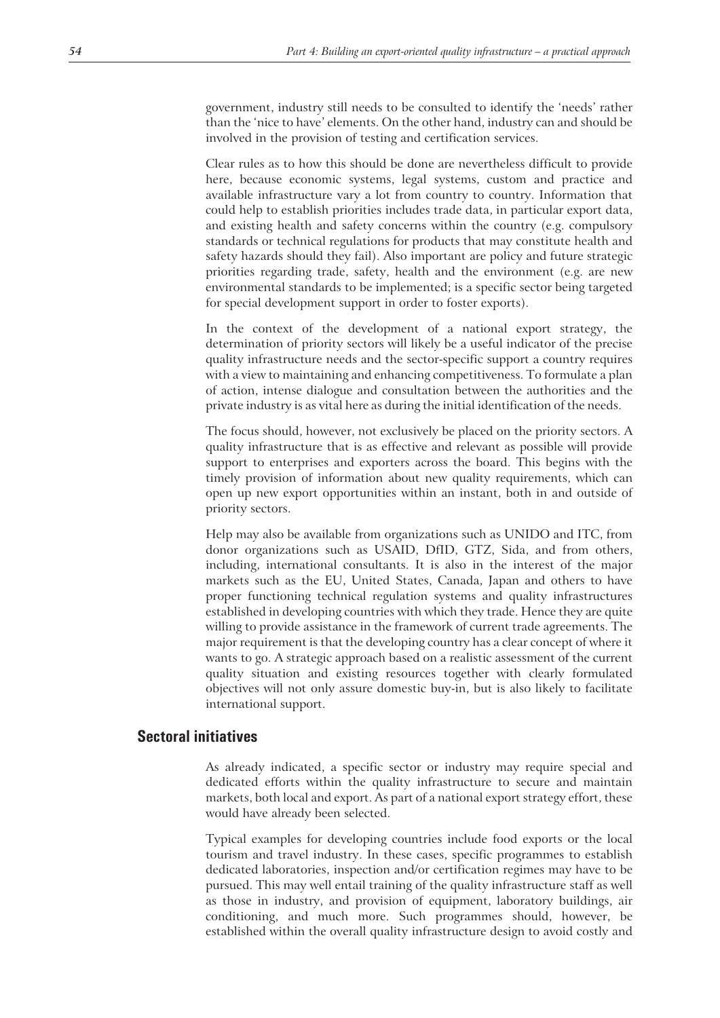government, industry still needs to be consulted to identify the 'needs' rather than the 'nice to have' elements. On the other hand, industry can and should be involved in the provision of testing and certification services.

Clear rules as to how this should be done are nevertheless difficult to provide here, because economic systems, legal systems, custom and practice and available infrastructure vary a lot from country to country. Information that could help to establish priorities includes trade data, in particular export data, and existing health and safety concerns within the country (e.g. compulsory standards or technical regulations for products that may constitute health and safety hazards should they fail). Also important are policy and future strategic priorities regarding trade, safety, health and the environment (e.g. are new environmental standards to be implemented; is a specific sector being targeted for special development support in order to foster exports).

In the context of the development of a national export strategy, the determination of priority sectors will likely be a useful indicator of the precise quality infrastructure needs and the sector-specific support a country requires with a view to maintaining and enhancing competitiveness. To formulate a plan of action, intense dialogue and consultation between the authorities and the private industry is as vital here as during the initial identification of the needs.

The focus should, however, not exclusively be placed on the priority sectors. A quality infrastructure that is as effective and relevant as possible will provide support to enterprises and exporters across the board. This begins with the timely provision of information about new quality requirements, which can open up new export opportunities within an instant, both in and outside of priority sectors.

Help may also be available from organizations such as UNIDO and ITC, from donor organizations such as USAID, DfID, GTZ, Sida, and from others, including, international consultants. It is also in the interest of the major markets such as the EU, United States, Canada, Japan and others to have proper functioning technical regulation systems and quality infrastructures established in developing countries with which they trade. Hence they are quite willing to provide assistance in the framework of current trade agreements. The major requirement is that the developing country has a clear concept of where it wants to go. A strategic approach based on a realistic assessment of the current quality situation and existing resources together with clearly formulated objectives will not only assure domestic buy-in, but is also likely to facilitate international support.

## **Sectoral initiatives**

As already indicated, a specific sector or industry may require special and dedicated efforts within the quality infrastructure to secure and maintain markets, both local and export. As part of a national export strategy effort, these would have already been selected.

Typical examples for developing countries include food exports or the local tourism and travel industry. In these cases, specific programmes to establish dedicated laboratories, inspection and/or certification regimes may have to be pursued. This may well entail training of the quality infrastructure staff as well as those in industry, and provision of equipment, laboratory buildings, air conditioning, and much more. Such programmes should, however, be established within the overall quality infrastructure design to avoid costly and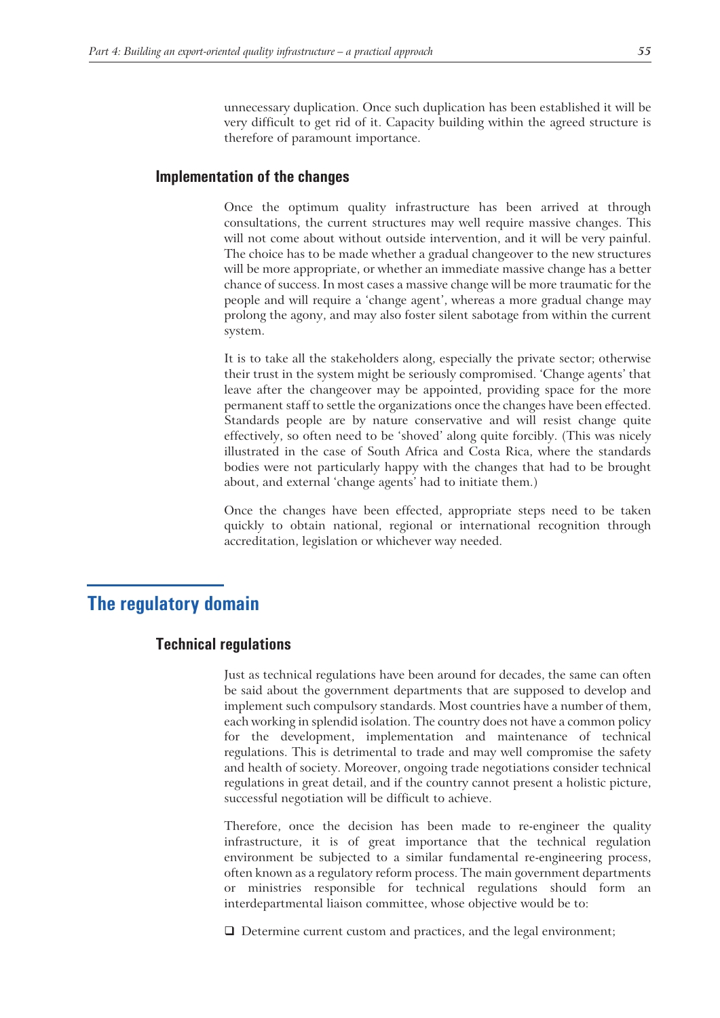unnecessary duplication. Once such duplication has been established it will be very difficult to get rid of it. Capacity building within the agreed structure is therefore of paramount importance.

## **Implementation of the changes**

Once the optimum quality infrastructure has been arrived at through consultations, the current structures may well require massive changes. This will not come about without outside intervention, and it will be very painful. The choice has to be made whether a gradual changeover to the new structures will be more appropriate, or whether an immediate massive change has a better chance of success. In most cases a massive change will be more traumatic for the people and will require a 'change agent', whereas a more gradual change may prolong the agony, and may also foster silent sabotage from within the current system.

It is to take all the stakeholders along, especially the private sector; otherwise their trust in the system might be seriously compromised. 'Change agents' that leave after the changeover may be appointed, providing space for the more permanent staff to settle the organizations once the changes have been effected. Standards people are by nature conservative and will resist change quite effectively, so often need to be 'shoved' along quite forcibly. (This was nicely illustrated in the case of South Africa and Costa Rica, where the standards bodies were not particularly happy with the changes that had to be brought about, and external 'change agents' had to initiate them.)

Once the changes have been effected, appropriate steps need to be taken quickly to obtain national, regional or international recognition through accreditation, legislation or whichever way needed.

# **The regulatory domain**

## **Technical regulations**

Just as technical regulations have been around for decades, the same can often be said about the government departments that are supposed to develop and implement such compulsory standards. Most countries have a number of them, each working in splendid isolation. The country does not have a common policy for the development, implementation and maintenance of technical regulations. This is detrimental to trade and may well compromise the safety and health of society. Moreover, ongoing trade negotiations consider technical regulations in great detail, and if the country cannot present a holistic picture, successful negotiation will be difficult to achieve.

Therefore, once the decision has been made to re-engineer the quality infrastructure, it is of great importance that the technical regulation environment be subjected to a similar fundamental re-engineering process, often known as a regulatory reform process. The main government departments or ministries responsible for technical regulations should form an interdepartmental liaison committee, whose objective would be to:

□ Determine current custom and practices, and the legal environment;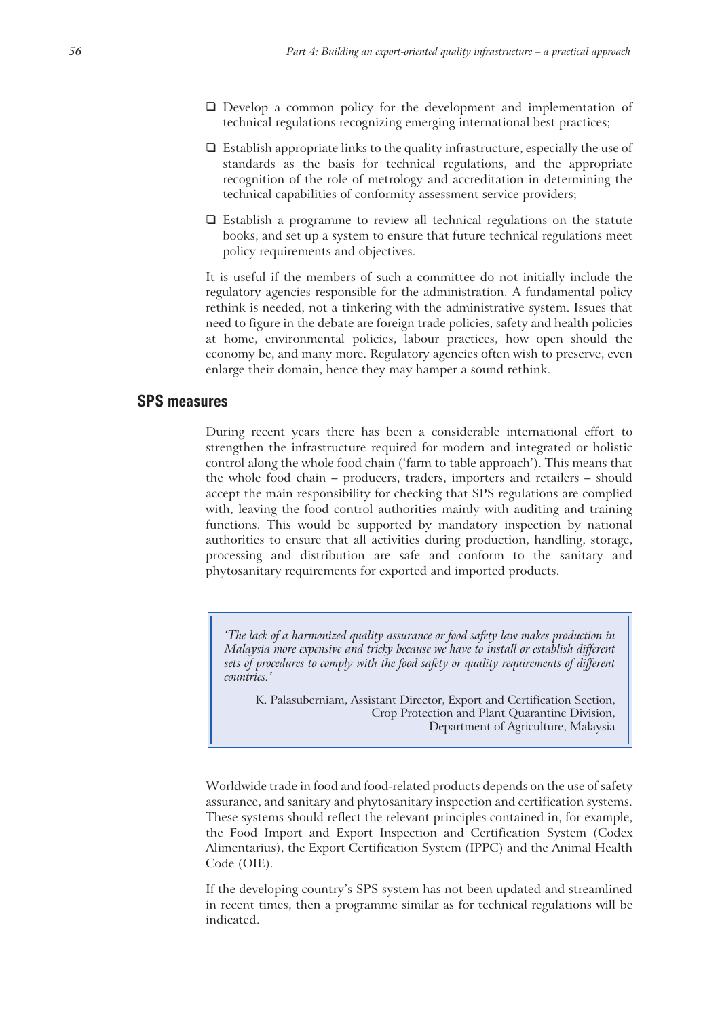- Develop a common policy for the development and implementation of technical regulations recognizing emerging international best practices;
- $\Box$  Establish appropriate links to the quality infrastructure, especially the use of standards as the basis for technical regulations, and the appropriate recognition of the role of metrology and accreditation in determining the technical capabilities of conformity assessment service providers;
- $\Box$  Establish a programme to review all technical regulations on the statute books, and set up a system to ensure that future technical regulations meet policy requirements and objectives.

It is useful if the members of such a committee do not initially include the regulatory agencies responsible for the administration. A fundamental policy rethink is needed, not a tinkering with the administrative system. Issues that need to figure in the debate are foreign trade policies, safety and health policies at home, environmental policies, labour practices, how open should the economy be, and many more. Regulatory agencies often wish to preserve, even enlarge their domain, hence they may hamper a sound rethink.

### **SPS measures**

During recent years there has been a considerable international effort to strengthen the infrastructure required for modern and integrated or holistic control along the whole food chain ('farm to table approach'). This means that the whole food chain – producers, traders, importers and retailers – should accept the main responsibility for checking that SPS regulations are complied with, leaving the food control authorities mainly with auditing and training functions. This would be supported by mandatory inspection by national authorities to ensure that all activities during production, handling, storage, processing and distribution are safe and conform to the sanitary and phytosanitary requirements for exported and imported products.

*'The lack of a harmonized quality assurance or food safety law makes production in Malaysia more expensive and tricky because we have to install or establish different sets of procedures to comply with the food safety or quality requirements of different countries.'*

K. Palasuberniam, Assistant Director, Export and Certification Section, Crop Protection and Plant Quarantine Division, Department of Agriculture, Malaysia

Worldwide trade in food and food-related products depends on the use of safety assurance, and sanitary and phytosanitary inspection and certification systems. These systems should reflect the relevant principles contained in, for example, the Food Import and Export Inspection and Certification System (Codex Alimentarius), the Export Certification System (IPPC) and the Animal Health Code (OIE).

If the developing country's SPS system has not been updated and streamlined in recent times, then a programme similar as for technical regulations will be indicated.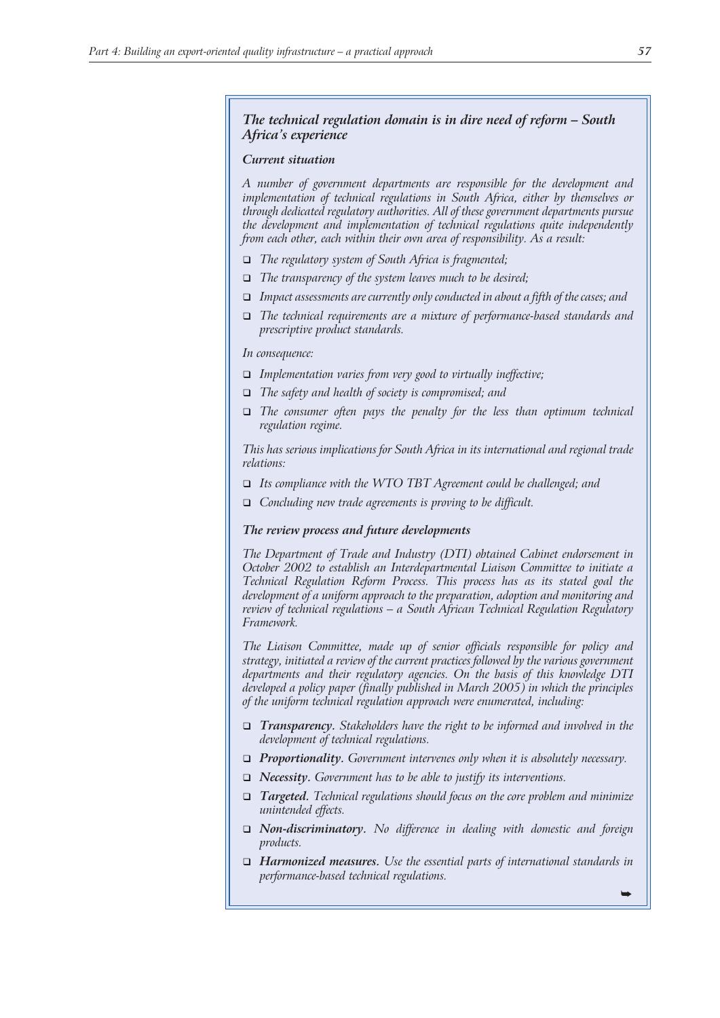#### *The technical regulation domain is in dire need of reform – South Africa's experience*

#### *Current situation*

*A number of government departments are responsible for the development and implementation of technical regulations in South Africa, either by themselves or through dedicated regulatory authorities. All of these government departments pursue the development and implementation of technical regulations quite independently from each other, each within their own area of responsibility. As a result:*

- *The regulatory system of South Africa is fragmented;*
- *The transparency of the system leaves much to be desired;*
- *Impact assessments are currently only conducted in about a fifth of the cases; and*
- *The technical requirements are a mixture of performance-based standards and prescriptive product standards.*

*In consequence:*

- *Implementation varies from very good to virtually ineffective;*
- *The safety and health of society is compromised; and*
- *The consumer often pays the penalty for the less than optimum technical regulation regime.*

*This has serious implications for South Africa in its international and regional trade relations:*

- *Its compliance with the WTO TBT Agreement could be challenged; and*
- *Concluding new trade agreements is proving to be difficult.*

#### *The review process and future developments*

*The Department of Trade and Industry (DTI) obtained Cabinet endorsement in October 2002 to establish an Interdepartmental Liaison Committee to initiate a Technical Regulation Reform Process. This process has as its stated goal the development of a uniform approach to the preparation, adoption and monitoring and review of technical regulations – a South African Technical Regulation Regulatory Framework.*

*The Liaison Committee, made up of senior officials responsible for policy and strategy, initiated a review of the current practices followed by the various government departments and their regulatory agencies. On the basis of this knowledge DTI developed a policy paper (finally published in March 2005) in which the principles of the uniform technical regulation approach were enumerated, including:*

- *Transparency. Stakeholders have the right to be informed and involved in the development of technical regulations.*
- *Proportionality. Government intervenes only when it is absolutely necessary.*
- *Necessity. Government has to be able to justify its interventions.*
- *Targeted. Technical regulations should focus on the core problem and minimize unintended effects.*
- *Non-discriminatory. No difference in dealing with domestic and foreign products.*
- *Harmonized measures. Use the essential parts of international standards in performance-based technical regulations.*

 $\blacksquare$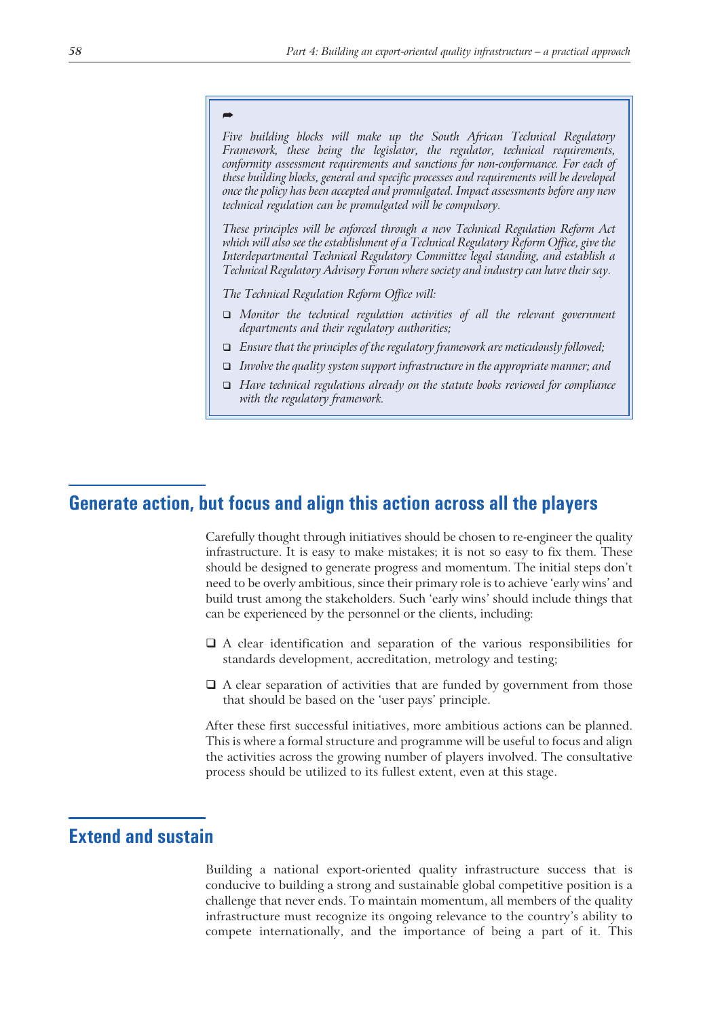# *-*

*Five building blocks will make up the South African Technical Regulatory Framework, these being the legislator, the regulator, technical requirements, conformity assessment requirements and sanctions for non-conformance. For each of these building blocks, general and specific processes and requirements will be developed once the policy has been accepted and promulgated. Impact assessments before any new technical regulation can be promulgated will be compulsory.*

*These principles will be enforced through a new Technical Regulation Reform Act which will also see the establishment of a Technical Regulatory Reform Office, give the Interdepartmental Technical Regulatory Committee legal standing, and establish a Technical Regulatory Advisory Forum where society and industry can have their say.*

*The Technical Regulation Reform Office will:*

- *Monitor the technical regulation activities of all the relevant government departments and their regulatory authorities;*
- *Ensure that the principles of the regulatory framework are meticulously followed;*
- *Involve the quality system support infrastructure in the appropriate manner; and*
- *Have technical regulations already on the statute books reviewed for compliance with the regulatory framework.*

# **Generate action, but focus and align this action across all the players**

Carefully thought through initiatives should be chosen to re-engineer the quality infrastructure. It is easy to make mistakes; it is not so easy to fix them. These should be designed to generate progress and momentum. The initial steps don't need to be overly ambitious, since their primary role is to achieve 'early wins' and build trust among the stakeholders. Such 'early wins' should include things that can be experienced by the personnel or the clients, including:

- A clear identification and separation of the various responsibilities for standards development, accreditation, metrology and testing;
- $\Box$  A clear separation of activities that are funded by government from those that should be based on the 'user pays' principle.

After these first successful initiatives, more ambitious actions can be planned. This is where a formal structure and programme will be useful to focus and align the activities across the growing number of players involved. The consultative process should be utilized to its fullest extent, even at this stage.

# **Extend and sustain**

Building a national export-oriented quality infrastructure success that is conducive to building a strong and sustainable global competitive position is a challenge that never ends. To maintain momentum, all members of the quality infrastructure must recognize its ongoing relevance to the country's ability to compete internationally, and the importance of being a part of it. This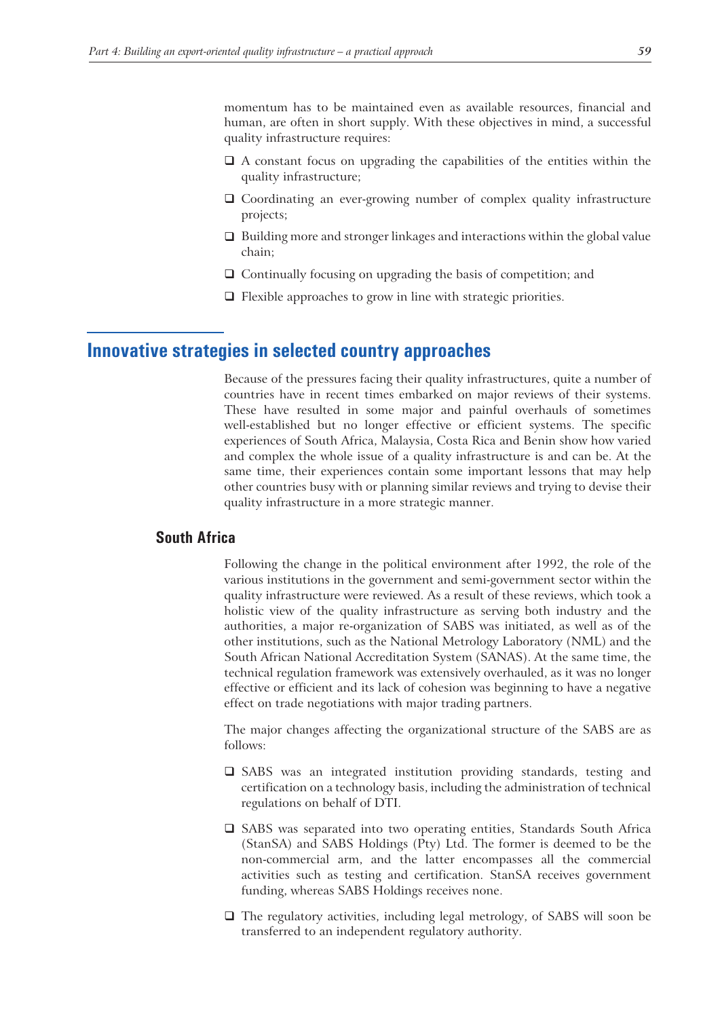momentum has to be maintained even as available resources, financial and human, are often in short supply. With these objectives in mind, a successful quality infrastructure requires:

- A constant focus on upgrading the capabilities of the entities within the quality infrastructure;
- Coordinating an ever-growing number of complex quality infrastructure projects;
- $\Box$  Building more and stronger linkages and interactions within the global value chain;
- $\Box$  Continually focusing on upgrading the basis of competition; and
- $\Box$  Flexible approaches to grow in line with strategic priorities.

# **Innovative strategies in selected country approaches**

Because of the pressures facing their quality infrastructures, quite a number of countries have in recent times embarked on major reviews of their systems. These have resulted in some major and painful overhauls of sometimes well-established but no longer effective or efficient systems. The specific experiences of South Africa, Malaysia, Costa Rica and Benin show how varied and complex the whole issue of a quality infrastructure is and can be. At the same time, their experiences contain some important lessons that may help other countries busy with or planning similar reviews and trying to devise their quality infrastructure in a more strategic manner.

# **South Africa**

Following the change in the political environment after 1992, the role of the various institutions in the government and semi-government sector within the quality infrastructure were reviewed. As a result of these reviews, which took a holistic view of the quality infrastructure as serving both industry and the authorities, a major re-organization of SABS was initiated, as well as of the other institutions, such as the National Metrology Laboratory (NML) and the South African National Accreditation System (SANAS). At the same time, the technical regulation framework was extensively overhauled, as it was no longer effective or efficient and its lack of cohesion was beginning to have a negative effect on trade negotiations with major trading partners.

The major changes affecting the organizational structure of the SABS are as follows:

- SABS was an integrated institution providing standards, testing and certification on a technology basis, including the administration of technical regulations on behalf of DTI.
- SABS was separated into two operating entities, Standards South Africa (StanSA) and SABS Holdings (Pty) Ltd. The former is deemed to be the non-commercial arm, and the latter encompasses all the commercial activities such as testing and certification. StanSA receives government funding, whereas SABS Holdings receives none.
- The regulatory activities, including legal metrology, of SABS will soon be transferred to an independent regulatory authority.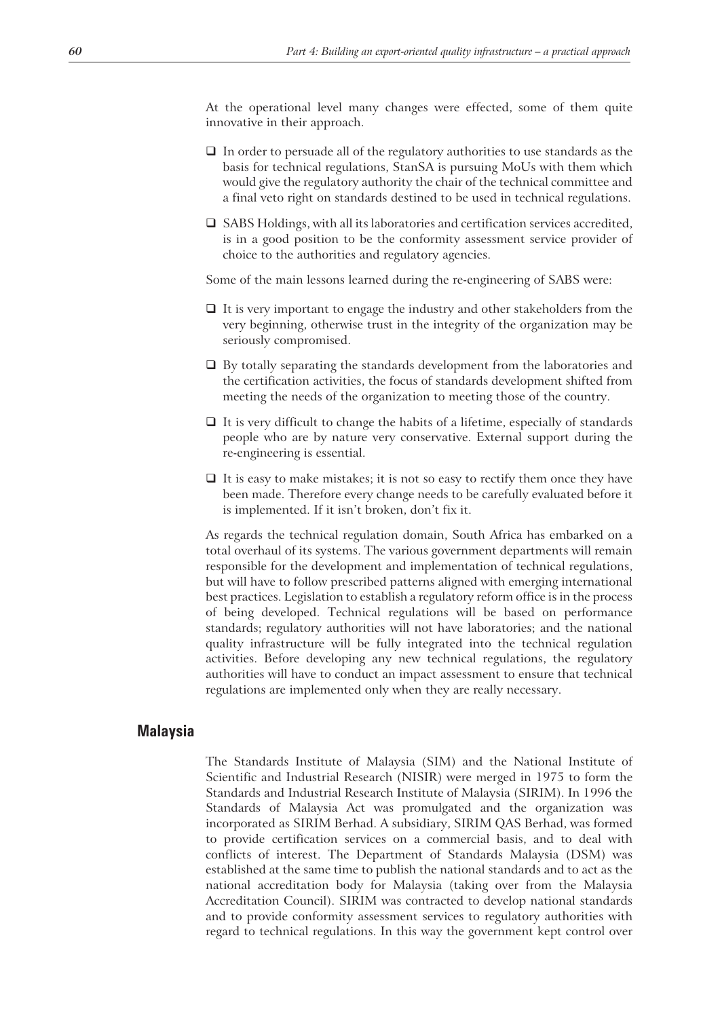At the operational level many changes were effected, some of them quite innovative in their approach.

- $\Box$  In order to persuade all of the regulatory authorities to use standards as the basis for technical regulations, StanSA is pursuing MoUs with them which would give the regulatory authority the chair of the technical committee and a final veto right on standards destined to be used in technical regulations.
- SABS Holdings, with all its laboratories and certification services accredited, is in a good position to be the conformity assessment service provider of choice to the authorities and regulatory agencies.

Some of the main lessons learned during the re-engineering of SABS were:

- $\Box$  It is very important to engage the industry and other stakeholders from the very beginning, otherwise trust in the integrity of the organization may be seriously compromised.
- $\Box$  By totally separating the standards development from the laboratories and the certification activities, the focus of standards development shifted from meeting the needs of the organization to meeting those of the country.
- $\Box$  It is very difficult to change the habits of a lifetime, especially of standards people who are by nature very conservative. External support during the re-engineering is essential.
- $\Box$  It is easy to make mistakes; it is not so easy to rectify them once they have been made. Therefore every change needs to be carefully evaluated before it is implemented. If it isn't broken, don't fix it.

As regards the technical regulation domain, South Africa has embarked on a total overhaul of its systems. The various government departments will remain responsible for the development and implementation of technical regulations, but will have to follow prescribed patterns aligned with emerging international best practices. Legislation to establish a regulatory reform office is in the process of being developed. Technical regulations will be based on performance standards; regulatory authorities will not have laboratories; and the national quality infrastructure will be fully integrated into the technical regulation activities. Before developing any new technical regulations, the regulatory authorities will have to conduct an impact assessment to ensure that technical regulations are implemented only when they are really necessary.

#### **Malaysia**

The Standards Institute of Malaysia (SIM) and the National Institute of Scientific and Industrial Research (NISIR) were merged in 1975 to form the Standards and Industrial Research Institute of Malaysia (SIRIM). In 1996 the Standards of Malaysia Act was promulgated and the organization was incorporated as SIRIM Berhad. A subsidiary, SIRIM QAS Berhad, was formed to provide certification services on a commercial basis, and to deal with conflicts of interest. The Department of Standards Malaysia (DSM) was established at the same time to publish the national standards and to act as the national accreditation body for Malaysia (taking over from the Malaysia Accreditation Council). SIRIM was contracted to develop national standards and to provide conformity assessment services to regulatory authorities with regard to technical regulations. In this way the government kept control over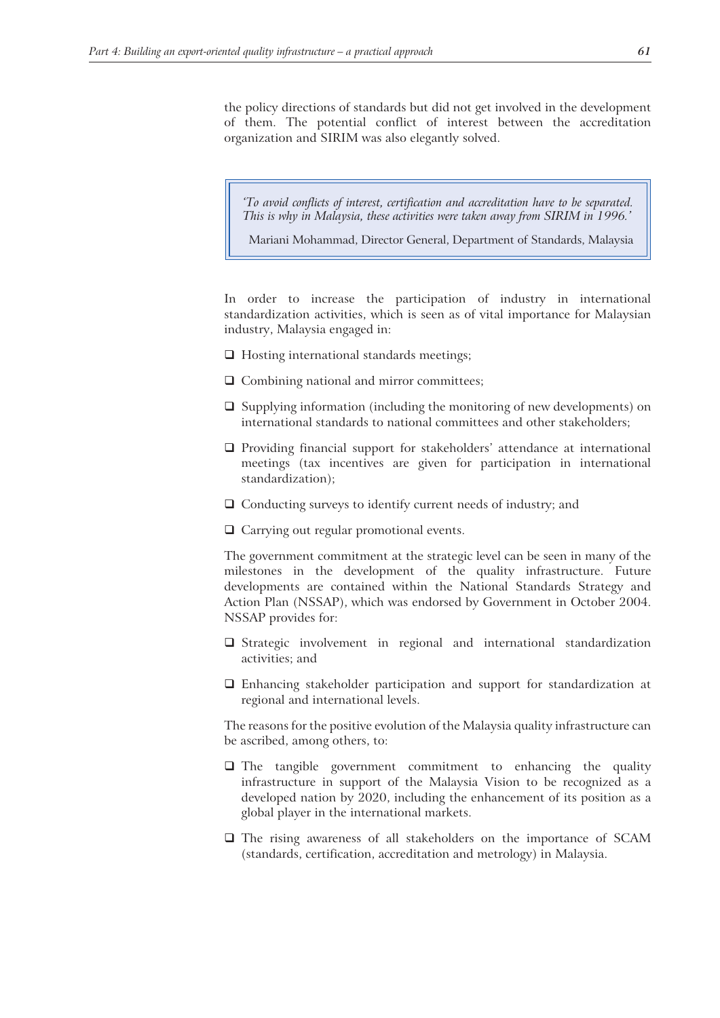the policy directions of standards but did not get involved in the development of them. The potential conflict of interest between the accreditation organization and SIRIM was also elegantly solved.

*'To avoid conflicts of interest, certification and accreditation have to be separated. This is why in Malaysia, these activities were taken away from SIRIM in 1996.'*

Mariani Mohammad, Director General, Department of Standards, Malaysia

In order to increase the participation of industry in international standardization activities, which is seen as of vital importance for Malaysian industry, Malaysia engaged in:

- $\Box$  Hosting international standards meetings;
- $\Box$  Combining national and mirror committees;
- $\Box$  Supplying information (including the monitoring of new developments) on international standards to national committees and other stakeholders;
- $\Box$  Providing financial support for stakeholders' attendance at international meetings (tax incentives are given for participation in international standardization);
- □ Conducting surveys to identify current needs of industry; and
- □ Carrying out regular promotional events.

The government commitment at the strategic level can be seen in many of the milestones in the development of the quality infrastructure. Future developments are contained within the National Standards Strategy and Action Plan (NSSAP), which was endorsed by Government in October 2004. NSSAP provides for:

- $\square$  Strategic involvement in regional and international standardization activities; and
- Enhancing stakeholder participation and support for standardization at regional and international levels.

The reasons for the positive evolution of the Malaysia quality infrastructure can be ascribed, among others, to:

- The tangible government commitment to enhancing the quality infrastructure in support of the Malaysia Vision to be recognized as a developed nation by 2020, including the enhancement of its position as a global player in the international markets.
- The rising awareness of all stakeholders on the importance of SCAM (standards, certification, accreditation and metrology) in Malaysia.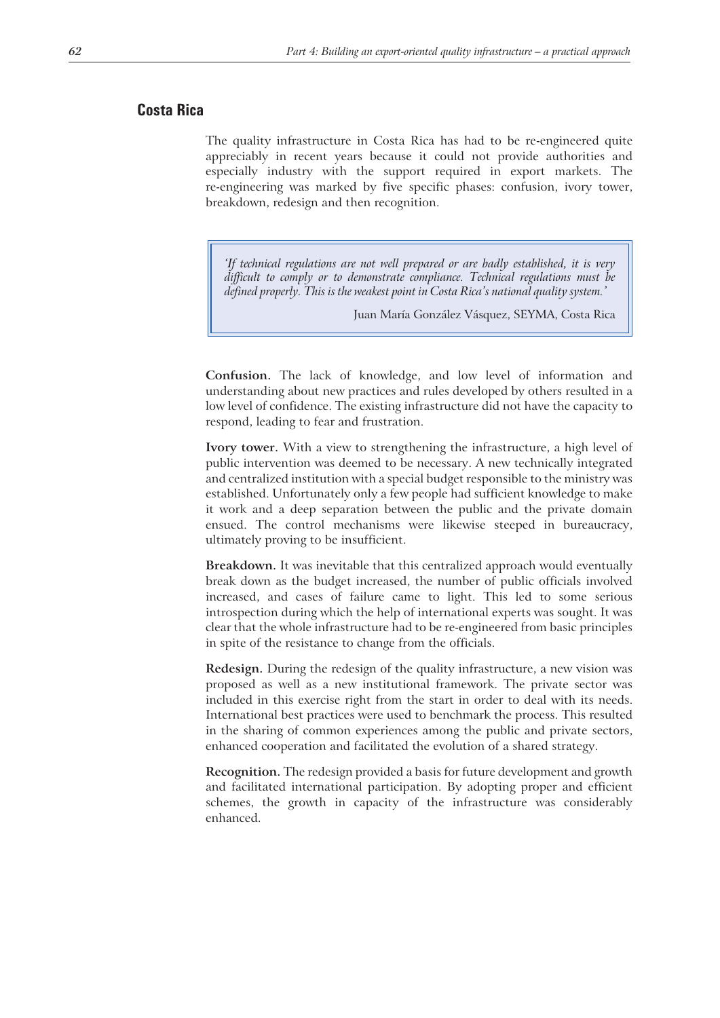#### **Costa Rica**

The quality infrastructure in Costa Rica has had to be re-engineered quite appreciably in recent years because it could not provide authorities and especially industry with the support required in export markets. The re-engineering was marked by five specific phases: confusion, ivory tower, breakdown, redesign and then recognition.

*'If technical regulations are not well prepared or are badly established, it is very difficult to comply or to demonstrate compliance. Technical regulations must be defined properly. This is the weakest point in Costa Rica's national quality system.'*

Juan María González Vásquez, SEYMA, Costa Rica

**Confusion.** The lack of knowledge, and low level of information and understanding about new practices and rules developed by others resulted in a low level of confidence. The existing infrastructure did not have the capacity to respond, leading to fear and frustration.

**Ivory tower.** With a view to strengthening the infrastructure, a high level of public intervention was deemed to be necessary. A new technically integrated and centralized institution with a special budget responsible to the ministry was established. Unfortunately only a few people had sufficient knowledge to make it work and a deep separation between the public and the private domain ensued. The control mechanisms were likewise steeped in bureaucracy, ultimately proving to be insufficient.

**Breakdown.** It was inevitable that this centralized approach would eventually break down as the budget increased, the number of public officials involved increased, and cases of failure came to light. This led to some serious introspection during which the help of international experts was sought. It was clear that the whole infrastructure had to be re-engineered from basic principles in spite of the resistance to change from the officials.

**Redesign.** During the redesign of the quality infrastructure, a new vision was proposed as well as a new institutional framework. The private sector was included in this exercise right from the start in order to deal with its needs. International best practices were used to benchmark the process. This resulted in the sharing of common experiences among the public and private sectors, enhanced cooperation and facilitated the evolution of a shared strategy.

**Recognition.** The redesign provided a basis for future development and growth and facilitated international participation. By adopting proper and efficient schemes, the growth in capacity of the infrastructure was considerably enhanced.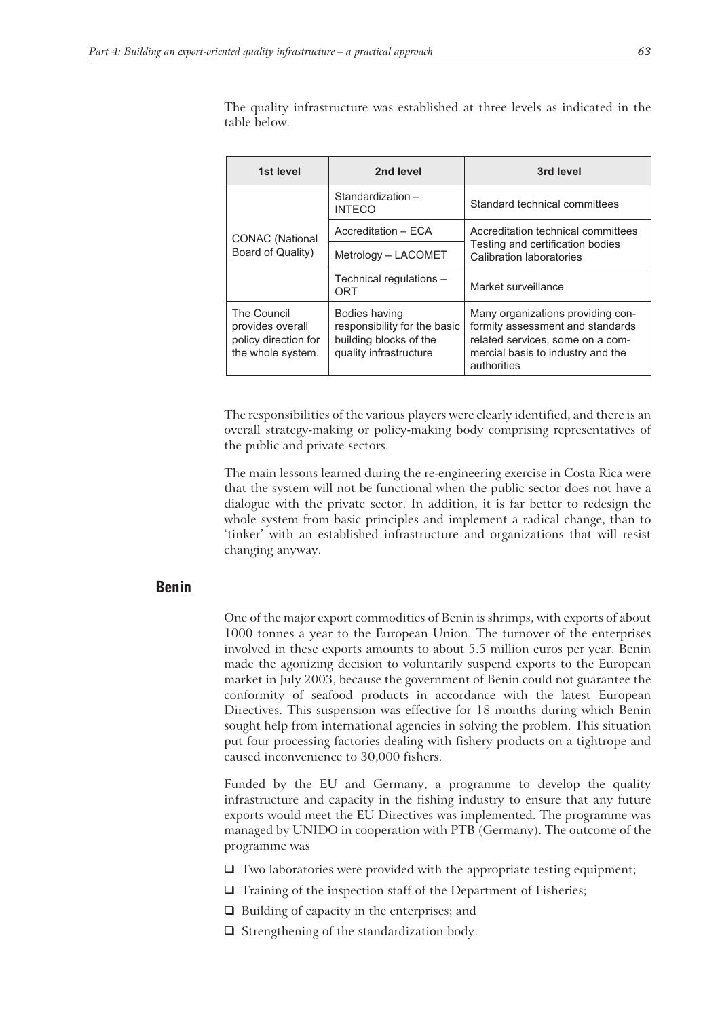The quality infrastructure was established at three levels as indicated in the table below.

| 1st level                                                                    | 2nd level                                                                                         | 3rd level                                                                                                                                                     |  |
|------------------------------------------------------------------------------|---------------------------------------------------------------------------------------------------|---------------------------------------------------------------------------------------------------------------------------------------------------------------|--|
| <b>CONAC</b> (National<br>Board of Quality)                                  | Standardization -<br><b>INTECO</b>                                                                | Standard technical committees                                                                                                                                 |  |
|                                                                              | Accreditation - ECA                                                                               | Accreditation technical committees<br>Testing and certification bodies<br>Calibration laboratories                                                            |  |
|                                                                              | Metrology - LACOMET                                                                               |                                                                                                                                                               |  |
|                                                                              | Technical regulations -<br>ORT                                                                    | Market surveillance                                                                                                                                           |  |
| The Council<br>provides overall<br>policy direction for<br>the whole system. | Bodies having<br>responsibility for the basic<br>building blocks of the<br>quality infrastructure | Many organizations providing con-<br>formity assessment and standards<br>related services, some on a com-<br>mercial basis to industry and the<br>authorities |  |

The responsibilities of the various players were clearly identified, and there is an overall strategy-making or policy-making body comprising representatives of the public and private sectors.

The main lessons learned during the re-engineering exercise in Costa Rica were that the system will not be functional when the public sector does not have a dialogue with the private sector. In addition, it is far better to redesign the whole system from basic principles and implement a radical change, than to 'tinker' with an established infrastructure and organizations that will resist changing anyway.

#### **Benin**

One of the major export commodities of Benin is shrimps, with exports of about 1000 tonnes a year to the European Union. The turnover of the enterprises involved in these exports amounts to about 5.5 million euros per year. Benin made the agonizing decision to voluntarily suspend exports to the European market in July 2003, because the government of Benin could not guarantee the conformity of seafood products in accordance with the latest European Directives. This suspension was effective for 18 months during which Benin sought help from international agencies in solving the problem. This situation put four processing factories dealing with fishery products on a tightrope and caused inconvenience to 30,000 fishers.

Funded by the EU and Germany, a programme to develop the quality infrastructure and capacity in the fishing industry to ensure that any future exports would meet the EU Directives was implemented. The programme was managed by UNIDO in cooperation with PTB (Germany). The outcome of the programme was

- $\Box$  Two laboratories were provided with the appropriate testing equipment;
- $\Box$  Training of the inspection staff of the Department of Fisheries;
- $\Box$  Building of capacity in the enterprises; and
- $\Box$  Strengthening of the standardization body.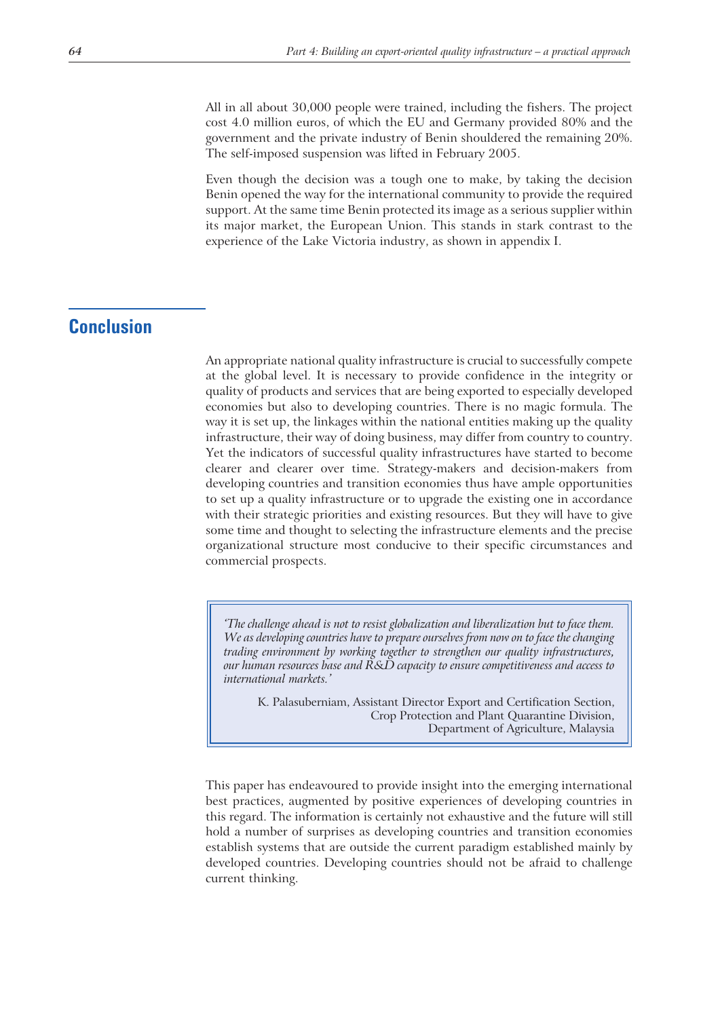All in all about 30,000 people were trained, including the fishers. The project cost 4.0 million euros, of which the EU and Germany provided 80% and the government and the private industry of Benin shouldered the remaining 20%. The self-imposed suspension was lifted in February 2005.

Even though the decision was a tough one to make, by taking the decision Benin opened the way for the international community to provide the required support. At the same time Benin protected its image as a serious supplier within its major market, the European Union. This stands in stark contrast to the experience of the Lake Victoria industry, as shown in appendix I.

### **Conclusion**

An appropriate national quality infrastructure is crucial to successfully compete at the global level. It is necessary to provide confidence in the integrity or quality of products and services that are being exported to especially developed economies but also to developing countries. There is no magic formula. The way it is set up, the linkages within the national entities making up the quality infrastructure, their way of doing business, may differ from country to country. Yet the indicators of successful quality infrastructures have started to become clearer and clearer over time. Strategy-makers and decision-makers from developing countries and transition economies thus have ample opportunities to set up a quality infrastructure or to upgrade the existing one in accordance with their strategic priorities and existing resources. But they will have to give some time and thought to selecting the infrastructure elements and the precise organizational structure most conducive to their specific circumstances and commercial prospects.

*'The challenge ahead is not to resist globalization and liberalization but to face them. We as developing countries have to prepare ourselves from now on to face the changing trading environment by working together to strengthen our quality infrastructures, our human resources base and R&D capacity to ensure competitiveness and access to international markets.'*

K. Palasuberniam, Assistant Director Export and Certification Section, Crop Protection and Plant Quarantine Division, Department of Agriculture, Malaysia

This paper has endeavoured to provide insight into the emerging international best practices, augmented by positive experiences of developing countries in this regard. The information is certainly not exhaustive and the future will still hold a number of surprises as developing countries and transition economies establish systems that are outside the current paradigm established mainly by developed countries. Developing countries should not be afraid to challenge current thinking.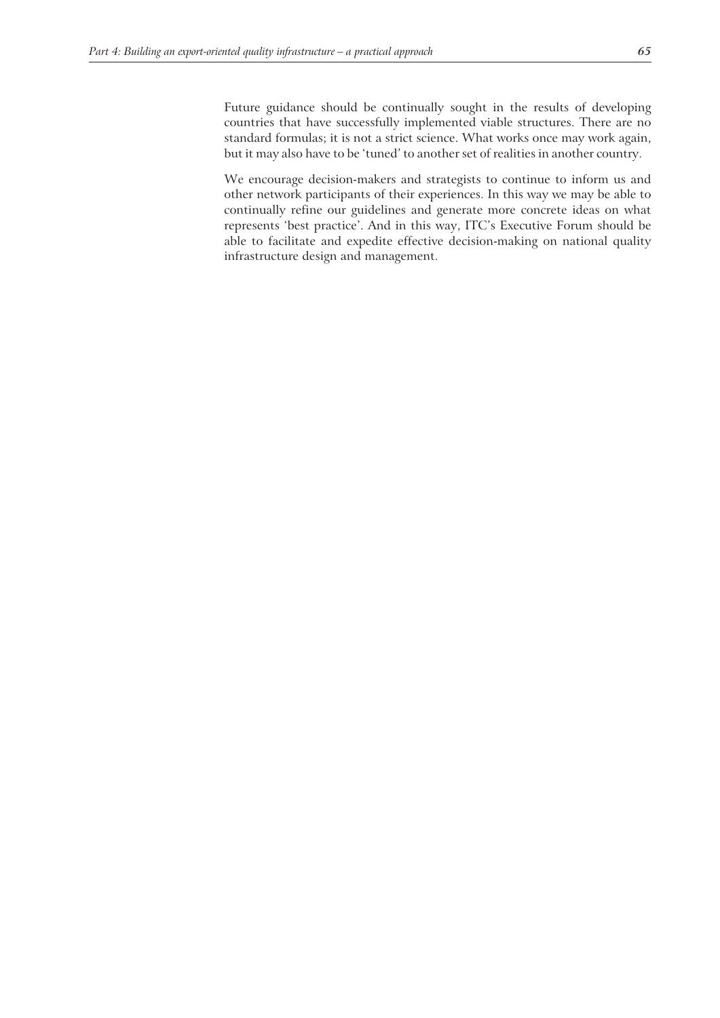Future guidance should be continually sought in the results of developing countries that have successfully implemented viable structures. There are no standard formulas; it is not a strict science. What works once may work again, but it may also have to be 'tuned' to another set of realities in another country.

We encourage decision-makers and strategists to continue to inform us and other network participants of their experiences. In this way we may be able to continually refine our guidelines and generate more concrete ideas on what represents 'best practice'. And in this way, ITC's Executive Forum should be able to facilitate and expedite effective decision-making on national quality infrastructure design and management.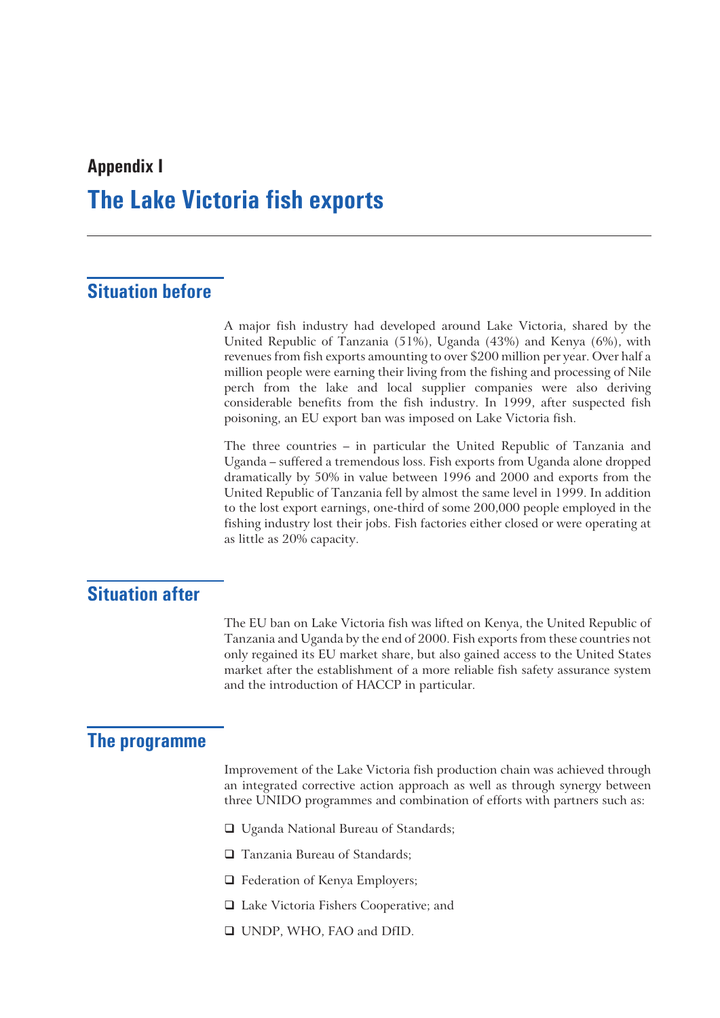## **Appendix I The Lake Victoria fish exports**

## **Situation before**

A major fish industry had developed around Lake Victoria, shared by the United Republic of Tanzania (51%), Uganda (43%) and Kenya (6%), with revenues from fish exports amounting to over \$200 million per year. Over half a million people were earning their living from the fishing and processing of Nile perch from the lake and local supplier companies were also deriving considerable benefits from the fish industry. In 1999, after suspected fish poisoning, an EU export ban was imposed on Lake Victoria fish.

The three countries – in particular the United Republic of Tanzania and Uganda – suffered a tremendous loss. Fish exports from Uganda alone dropped dramatically by 50% in value between 1996 and 2000 and exports from the United Republic of Tanzania fell by almost the same level in 1999. In addition to the lost export earnings, one-third of some 200,000 people employed in the fishing industry lost their jobs. Fish factories either closed or were operating at as little as 20% capacity.

### **Situation after**

The EU ban on Lake Victoria fish was lifted on Kenya, the United Republic of Tanzania and Uganda by the end of 2000. Fish exports from these countries not only regained its EU market share, but also gained access to the United States market after the establishment of a more reliable fish safety assurance system and the introduction of HACCP in particular.

### **The programme**

Improvement of the Lake Victoria fish production chain was achieved through an integrated corrective action approach as well as through synergy between three UNIDO programmes and combination of efforts with partners such as:

- □ Uganda National Bureau of Standards;
- □ Tanzania Bureau of Standards;
- $\Box$  Federation of Kenya Employers;
- Lake Victoria Fishers Cooperative; and
- UNDP, WHO, FAO and DfID.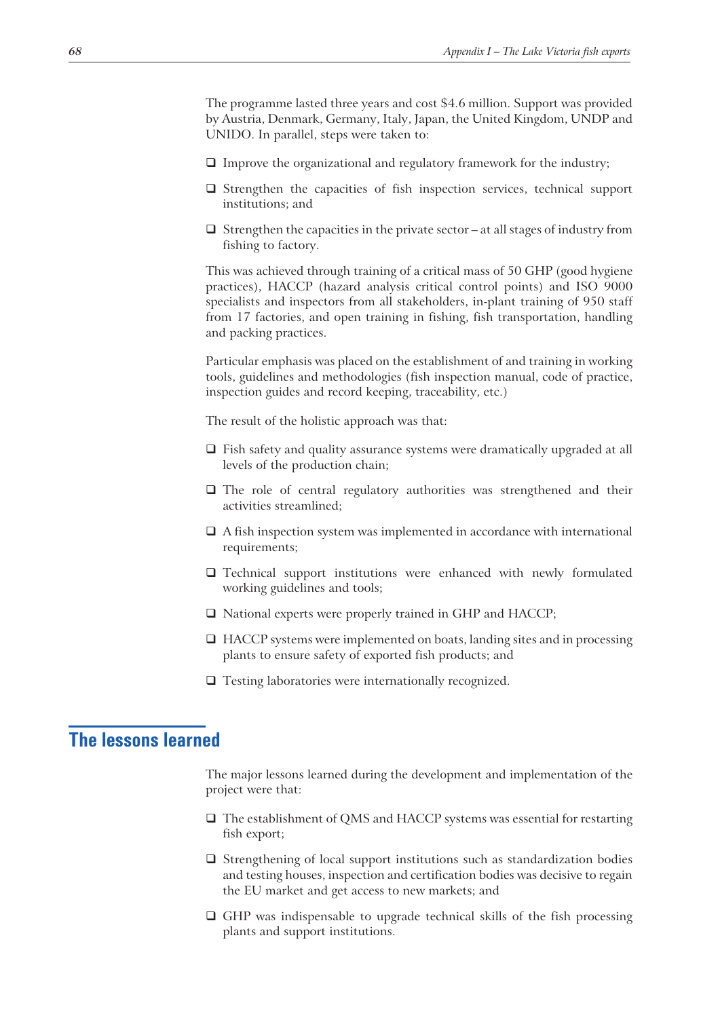The programme lasted three years and cost \$4.6 million. Support was provided by Austria, Denmark, Germany, Italy, Japan, the United Kingdom, UNDP and UNIDO. In parallel, steps were taken to:

- $\Box$  Improve the organizational and regulatory framework for the industry;
- $\Box$  Strengthen the capacities of fish inspection services, technical support institutions; and
- $\square$  Strengthen the capacities in the private sector at all stages of industry from fishing to factory.

This was achieved through training of a critical mass of 50 GHP (good hygiene practices), HACCP (hazard analysis critical control points) and ISO 9000 specialists and inspectors from all stakeholders, in-plant training of 950 staff from 17 factories, and open training in fishing, fish transportation, handling and packing practices.

Particular emphasis was placed on the establishment of and training in working tools, guidelines and methodologies (fish inspection manual, code of practice, inspection guides and record keeping, traceability, etc.)

The result of the holistic approach was that:

- $\Box$  Fish safety and quality assurance systems were dramatically upgraded at all levels of the production chain;
- □ The role of central regulatory authorities was strengthened and their activities streamlined;
- $\Box$  A fish inspection system was implemented in accordance with international requirements;
- Technical support institutions were enhanced with newly formulated working guidelines and tools;
- □ National experts were properly trained in GHP and HACCP;
- □ HACCP systems were implemented on boats, landing sites and in processing plants to ensure safety of exported fish products; and
- $\Box$  Testing laboratories were internationally recognized.

## **The lessons learned**

The major lessons learned during the development and implementation of the project were that:

- The establishment of QMS and HACCP systems was essential for restarting fish export;
- $\square$  Strengthening of local support institutions such as standardization bodies and testing houses, inspection and certification bodies was decisive to regain the EU market and get access to new markets; and
- $\Box$  GHP was indispensable to upgrade technical skills of the fish processing plants and support institutions.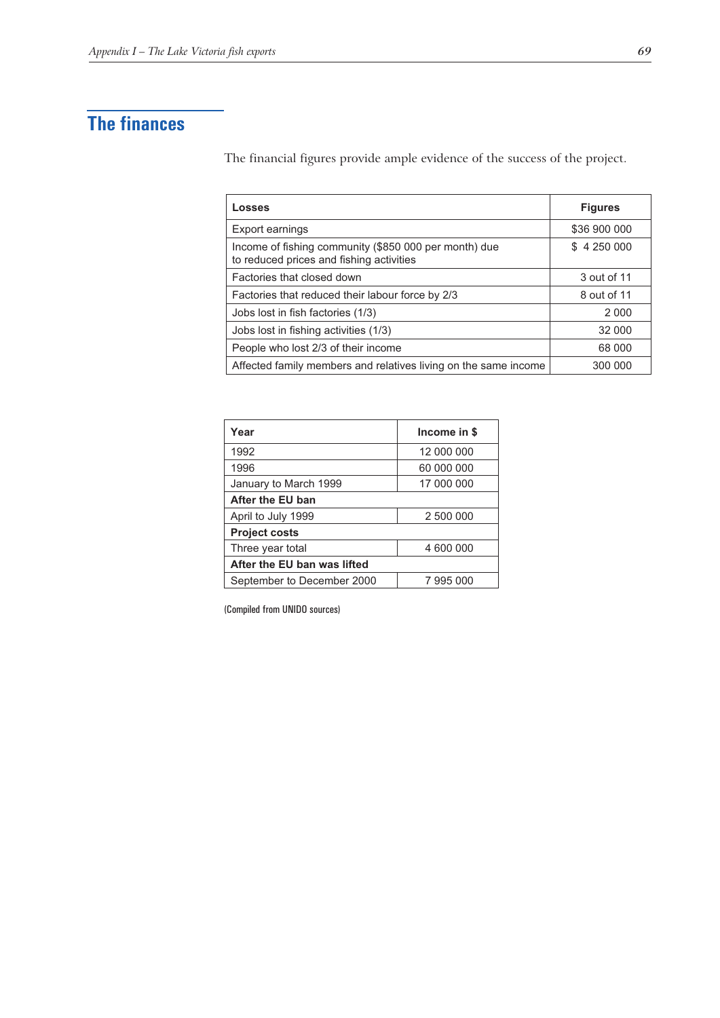## **The finances**

The financial figures provide ample evidence of the success of the project.

| Losses                                                                                            | <b>Figures</b> |
|---------------------------------------------------------------------------------------------------|----------------|
| Export earnings                                                                                   | \$36 900 000   |
| Income of fishing community (\$850 000 per month) due<br>to reduced prices and fishing activities | \$4250000      |
| Factories that closed down                                                                        | 3 out of 11    |
| Factories that reduced their labour force by 2/3                                                  | 8 out of 11    |
| Jobs lost in fish factories (1/3)                                                                 | 2 0 0 0        |
| Jobs lost in fishing activities (1/3)                                                             | 32 000         |
| People who lost 2/3 of their income                                                               | 68 000         |
| Affected family members and relatives living on the same income                                   | 300 000        |

| Year                        | Income in \$ |  |
|-----------------------------|--------------|--|
| 1992                        | 12 000 000   |  |
| 1996                        | 60 000 000   |  |
| January to March 1999       | 17 000 000   |  |
| After the EU ban            |              |  |
| April to July 1999          | 2 500 000    |  |
| <b>Project costs</b>        |              |  |
| Three year total            | 4 600 000    |  |
| After the EU ban was lifted |              |  |
| September to December 2000  | 7995000      |  |

(Compiled from UNIDO sources)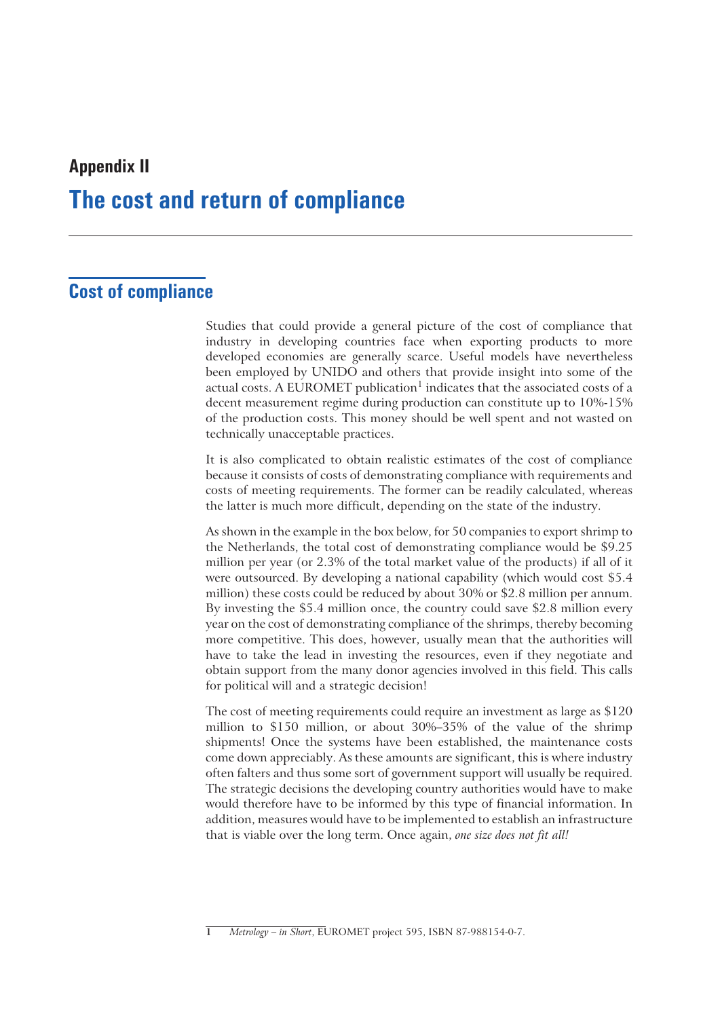## **Appendix II The cost and return of compliance**

## **Cost of compliance**

Studies that could provide a general picture of the cost of compliance that industry in developing countries face when exporting products to more developed economies are generally scarce. Useful models have nevertheless been employed by UNIDO and others that provide insight into some of the actual costs. A EUROMET publication<sup>1</sup> indicates that the associated costs of a decent measurement regime during production can constitute up to 10%-15% of the production costs. This money should be well spent and not wasted on technically unacceptable practices.

It is also complicated to obtain realistic estimates of the cost of compliance because it consists of costs of demonstrating compliance with requirements and costs of meeting requirements. The former can be readily calculated, whereas the latter is much more difficult, depending on the state of the industry.

As shown in the example in the box below, for 50 companies to export shrimp to the Netherlands, the total cost of demonstrating compliance would be \$9.25 million per year (or 2.3% of the total market value of the products) if all of it were outsourced. By developing a national capability (which would cost \$5.4 million) these costs could be reduced by about 30% or \$2.8 million per annum. By investing the \$5.4 million once, the country could save \$2.8 million every year on the cost of demonstrating compliance of the shrimps, thereby becoming more competitive. This does, however, usually mean that the authorities will have to take the lead in investing the resources, even if they negotiate and obtain support from the many donor agencies involved in this field. This calls for political will and a strategic decision!

The cost of meeting requirements could require an investment as large as \$120 million to \$150 million, or about 30%–35% of the value of the shrimp shipments! Once the systems have been established, the maintenance costs come down appreciably. As these amounts are significant, this is where industry often falters and thus some sort of government support will usually be required. The strategic decisions the developing country authorities would have to make would therefore have to be informed by this type of financial information. In addition, measures would have to be implemented to establish an infrastructure that is viable over the long term. Once again, *one size does not fit all!*

**<sup>1</sup>** *Metrology – in Short*, EUROMET project 595, ISBN 87-988154-0-7.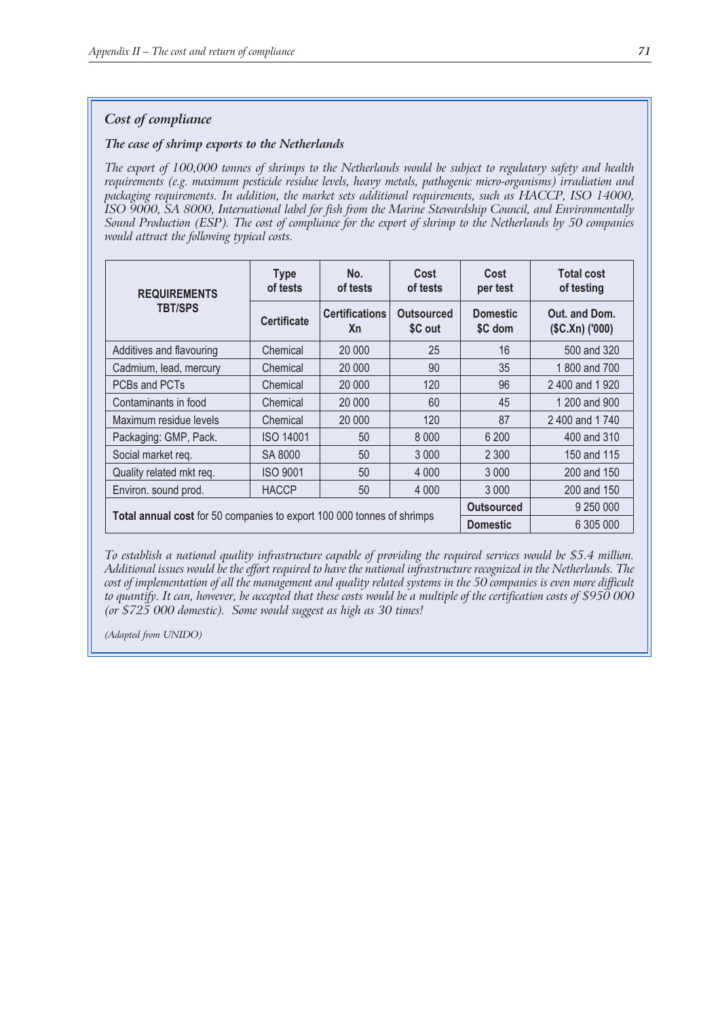#### *Cost of compliance*

#### *The case of shrimp exports to the Netherlands*

*The export of 100,000 tonnes of shrimps to the Netherlands would be subject to regulatory safety and health requirements (e.g. maximum pesticide residue levels, heavy metals, pathogenic micro-organisms) irradiation and packaging requirements. In addition, the market sets additional requirements, such as HACCP, ISO 14000, ISO 9000, SA 8000, International label for fish from the Marine Stewardship Council, and Environmentally Sound Production (ESP). The cost of compliance for the export of shrimp to the Netherlands by 50 companies would attract the following typical costs.*

| <b>REQUIREMENTS</b><br><b>TBT/SPS</b>                                  | <b>Type</b><br>of tests | No.<br>of tests                    | Cost<br>of tests             | Cost<br>per test           | <b>Total cost</b><br>of testing   |
|------------------------------------------------------------------------|-------------------------|------------------------------------|------------------------------|----------------------------|-----------------------------------|
|                                                                        | <b>Certificate</b>      | <b>Certifications</b><br><b>Xn</b> | <b>Outsourced</b><br>\$C out | <b>Domestic</b><br>\$C dom | Out. and Dom.<br>$(SC.Xn)$ ('000) |
| Additives and flavouring                                               | Chemical                | 20 000                             | 25                           | 16                         | 500 and 320                       |
| Cadmium, lead, mercury                                                 | Chemical                | 20 000                             | 90                           | 35                         | 1800 and 700                      |
| PCBs and PCTs                                                          | Chemical                | 20 000                             | 120                          | 96                         | 2400 and 1920                     |
| Contaminants in food                                                   | Chemical                | 20 000                             | 60                           | 45                         | 1 200 and 900                     |
| Maximum residue levels                                                 | Chemical                | 20 000                             | 120                          | 87                         | 2400 and 1740                     |
| Packaging: GMP, Pack.                                                  | <b>ISO 14001</b>        | 50                                 | 8 0 0 0                      | 6 200                      | 400 and 310                       |
| Social market req.                                                     | SA 8000                 | 50                                 | 3 0 0 0                      | 2 3 0 0                    | 150 and 115                       |
| Quality related mkt req.                                               | <b>ISO 9001</b>         | 50                                 | 4 0 0 0                      | 3 0 0 0                    | 200 and 150                       |
| Environ. sound prod.                                                   | <b>HACCP</b>            | 50                                 | 4 0 0 0                      | 3 0 0 0                    | 200 and 150                       |
|                                                                        |                         |                                    |                              | <b>Outsourced</b>          | 9 250 000                         |
| Total annual cost for 50 companies to export 100 000 tonnes of shrimps |                         |                                    |                              | <b>Domestic</b>            | 6 305 000                         |

*To establish a national quality infrastructure capable of providing the required services would be \$5.4 million. Additional issues would be the effort required to have the national infrastructure recognized in the Netherlands. The cost of implementation of all the management and quality related systems in the 50 companies is even more difficult to quantify. It can, however, be accepted that these costs would be a multiple of the certification costs of \$950 000 (or \$725 000 domestic). Some would suggest as high as 30 times!*

*(Adapted from UNIDO)*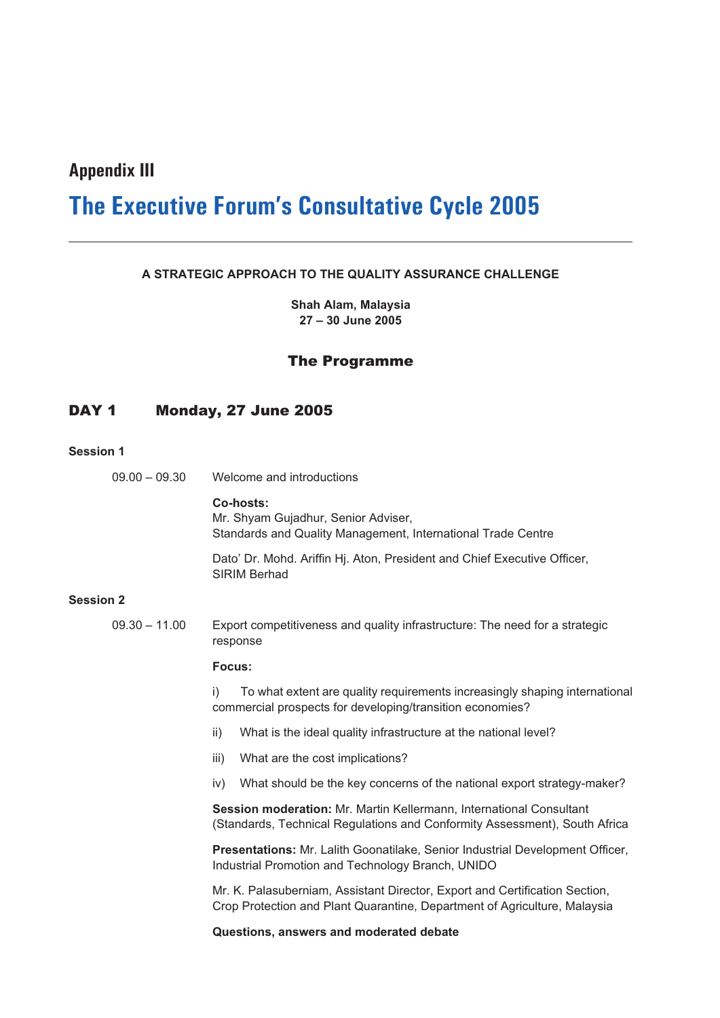### **Appendix III**

## **The Executive Forum's Consultative Cycle 2005**

#### **A STRATEGIC APPROACH TO THE QUALITY ASSURANCE CHALLENGE**

**Shah Alam, Malaysia 27 – 30 June 2005**

#### The Programme

#### DAY 1 Monday, 27 June 2005

#### **Session 1**

| $09.00 - 09.30$ | Welcome and introductions |
|-----------------|---------------------------|
|                 |                           |

**Co-hosts:** Mr. Shyam Gujadhur, Senior Adviser, Standards and Quality Management, International Trade Centre

Dato' Dr. Mohd. Ariffin Hj. Aton, President and Chief Executive Officer, SIRIM Berhad

#### **Session 2**

09.30 – 11.00 Export competitiveness and quality infrastructure: The need for a strategic response

#### **Focus:**

i) To what extent are quality requirements increasingly shaping international commercial prospects for developing/transition economies?

- ii) What is the ideal quality infrastructure at the national level?
- iii) What are the cost implications?
- iv) What should be the key concerns of the national export strategy-maker?

**Session moderation:** Mr. Martin Kellermann, International Consultant (Standards, Technical Regulations and Conformity Assessment), South Africa

**Presentations:** Mr. Lalith Goonatilake, Senior Industrial Development Officer, Industrial Promotion and Technology Branch, UNIDO

Mr. K. Palasuberniam, Assistant Director, Export and Certification Section, Crop Protection and Plant Quarantine, Department of Agriculture, Malaysia

**Questions, answers and moderated debate**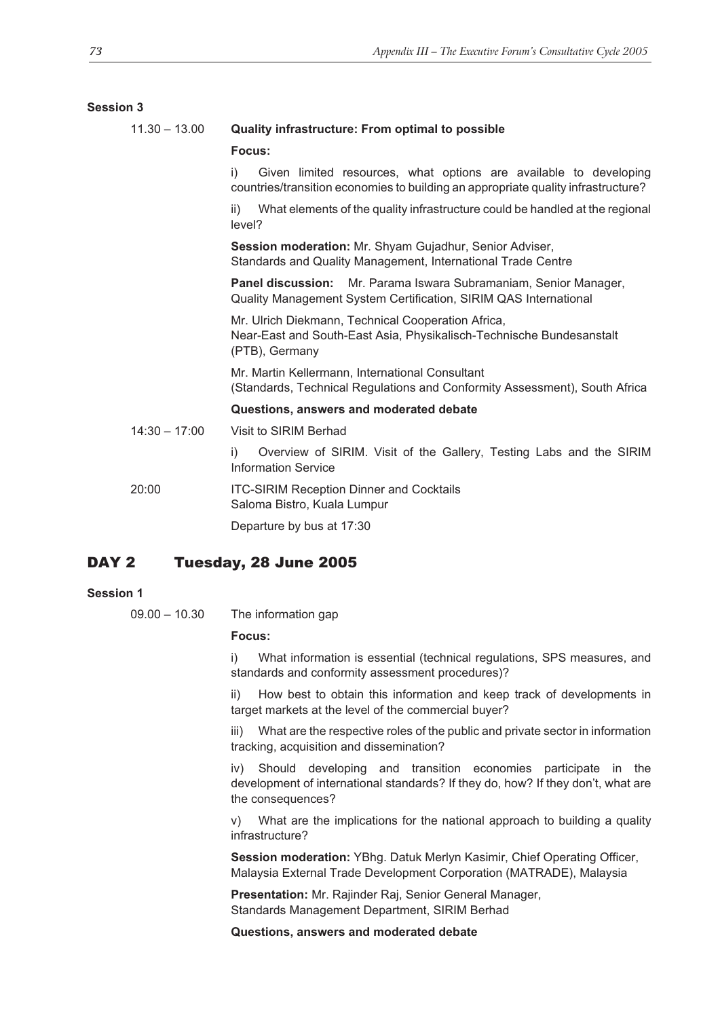| <b>Session 3</b> |                                                                                                                                                              |  |  |
|------------------|--------------------------------------------------------------------------------------------------------------------------------------------------------------|--|--|
| $11.30 - 13.00$  | <b>Quality infrastructure: From optimal to possible</b>                                                                                                      |  |  |
|                  | Focus:                                                                                                                                                       |  |  |
|                  | i)<br>Given limited resources, what options are available to developing<br>countries/transition economies to building an appropriate quality infrastructure? |  |  |
|                  | What elements of the quality infrastructure could be handled at the regional<br>ii)<br>level?                                                                |  |  |
|                  | Session moderation: Mr. Shyam Gujadhur, Senior Adviser,<br>Standards and Quality Management, International Trade Centre                                      |  |  |
|                  | <b>Panel discussion:</b><br>Mr. Parama Iswara Subramaniam, Senior Manager,<br>Quality Management System Certification, SIRIM QAS International               |  |  |
|                  | Mr. Ulrich Diekmann, Technical Cooperation Africa,<br>Near-East and South-East Asia, Physikalisch-Technische Bundesanstalt<br>(PTB), Germany                 |  |  |
|                  | Mr. Martin Kellermann, International Consultant<br>(Standards, Technical Regulations and Conformity Assessment), South Africa                                |  |  |
|                  | Questions, answers and moderated debate                                                                                                                      |  |  |
| $14:30 - 17:00$  | Visit to SIRIM Berhad                                                                                                                                        |  |  |
|                  | Overview of SIRIM. Visit of the Gallery, Testing Labs and the SIRIM<br>i)<br><b>Information Service</b>                                                      |  |  |
| 20:00            | <b>ITC-SIRIM Reception Dinner and Cocktails</b><br>Saloma Bistro, Kuala Lumpur                                                                               |  |  |
|                  | Departure by bus at 17:30                                                                                                                                    |  |  |
|                  |                                                                                                                                                              |  |  |

#### DAY 2 Tuesday, 28 June 2005

#### **Session 1**

09.00 – 10.30 The information gap

#### **Focus:**

i) What information is essential (technical regulations, SPS measures, and standards and conformity assessment procedures)?

ii) How best to obtain this information and keep track of developments in target markets at the level of the commercial buyer?

iii) What are the respective roles of the public and private sector in information tracking, acquisition and dissemination?

iv) Should developing and transition economies participate in the development of international standards? If they do, how? If they don't, what are the consequences?

v) What are the implications for the national approach to building a quality infrastructure?

**Session moderation:** YBhg. Datuk Merlyn Kasimir, Chief Operating Officer, Malaysia External Trade Development Corporation (MATRADE), Malaysia

**Presentation:** Mr. Rajinder Raj, Senior General Manager, Standards Management Department, SIRIM Berhad

**Questions, answers and moderated debate**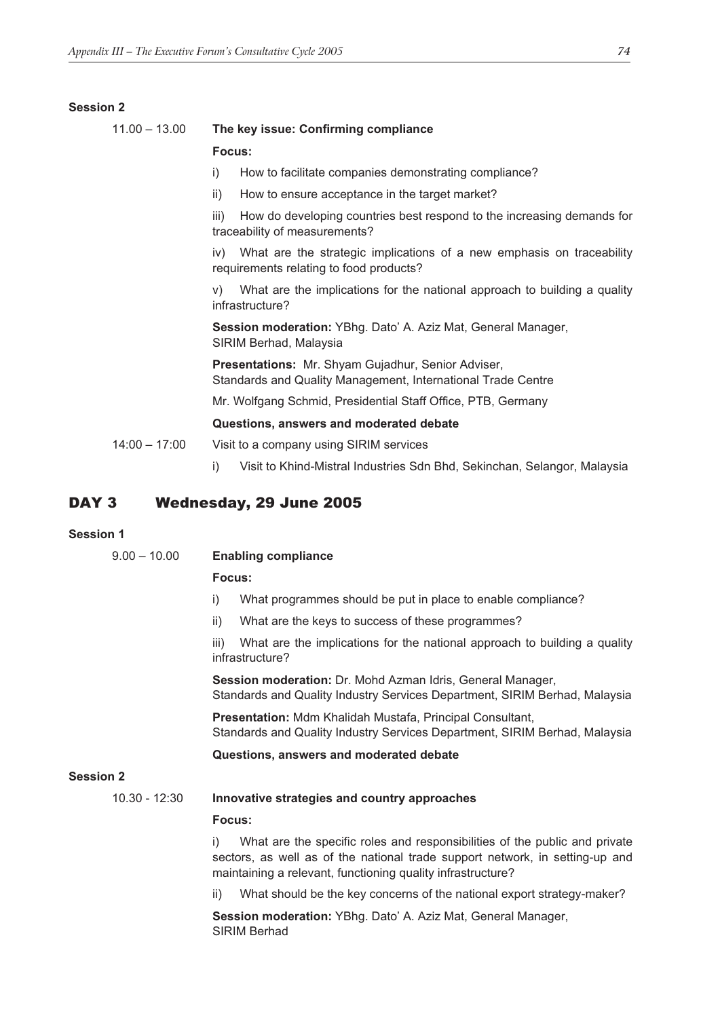#### **Session 2**

### 11.00 – 13.00 **The key issue: Confirming compliance Focus:**

- i) How to facilitate companies demonstrating compliance?
- ii) How to ensure acceptance in the target market?

iii) How do developing countries best respond to the increasing demands for traceability of measurements?

iv) What are the strategic implications of a new emphasis on traceability requirements relating to food products?

v) What are the implications for the national approach to building a quality infrastructure?

**Session moderation:** YBhg. Dato' A. Aziz Mat, General Manager, SIRIM Berhad, Malaysia

**Presentations:** Mr. Shyam Gujadhur, Senior Adviser, Standards and Quality Management, International Trade Centre

Mr. Wolfgang Schmid, Presidential Staff Office, PTB, Germany

#### **Questions, answers and moderated debate**

14:00 – 17:00 Visit to a company using SIRIM services

i) Visit to Khind-Mistral Industries Sdn Bhd, Sekinchan, Selangor, Malaysia

#### DAY 3 Wednesday, 29 June 2005

#### **Session 1**

| $9.00 - 10.00$   | <b>Enabling compliance</b>                                                                                                                                                                                                      |  |  |  |
|------------------|---------------------------------------------------------------------------------------------------------------------------------------------------------------------------------------------------------------------------------|--|--|--|
|                  | Focus:                                                                                                                                                                                                                          |  |  |  |
|                  | What programmes should be put in place to enable compliance?<br>i)                                                                                                                                                              |  |  |  |
|                  | ii)<br>What are the keys to success of these programmes?                                                                                                                                                                        |  |  |  |
|                  | What are the implications for the national approach to building a quality<br>iii)<br>infrastructure?                                                                                                                            |  |  |  |
|                  | Session moderation: Dr. Mohd Azman Idris, General Manager,<br>Standards and Quality Industry Services Department, SIRIM Berhad, Malaysia                                                                                        |  |  |  |
|                  | Presentation: Mdm Khalidah Mustafa, Principal Consultant,<br>Standards and Quality Industry Services Department, SIRIM Berhad, Malaysia                                                                                         |  |  |  |
|                  | Questions, answers and moderated debate                                                                                                                                                                                         |  |  |  |
| <b>Session 2</b> |                                                                                                                                                                                                                                 |  |  |  |
| $10.30 - 12:30$  | Innovative strategies and country approaches                                                                                                                                                                                    |  |  |  |
|                  | Focus:                                                                                                                                                                                                                          |  |  |  |
|                  | What are the specific roles and responsibilities of the public and private<br>i)<br>sectors, as well as of the national trade support network, in setting-up and<br>maintaining a relevant, functioning quality infrastructure? |  |  |  |
|                  | What should be the key concerns of the national export strategy-maker?<br>ii)                                                                                                                                                   |  |  |  |
|                  | Session moderation: YBhg. Dato' A. Aziz Mat, General Manager,                                                                                                                                                                   |  |  |  |

SIRIM Berhad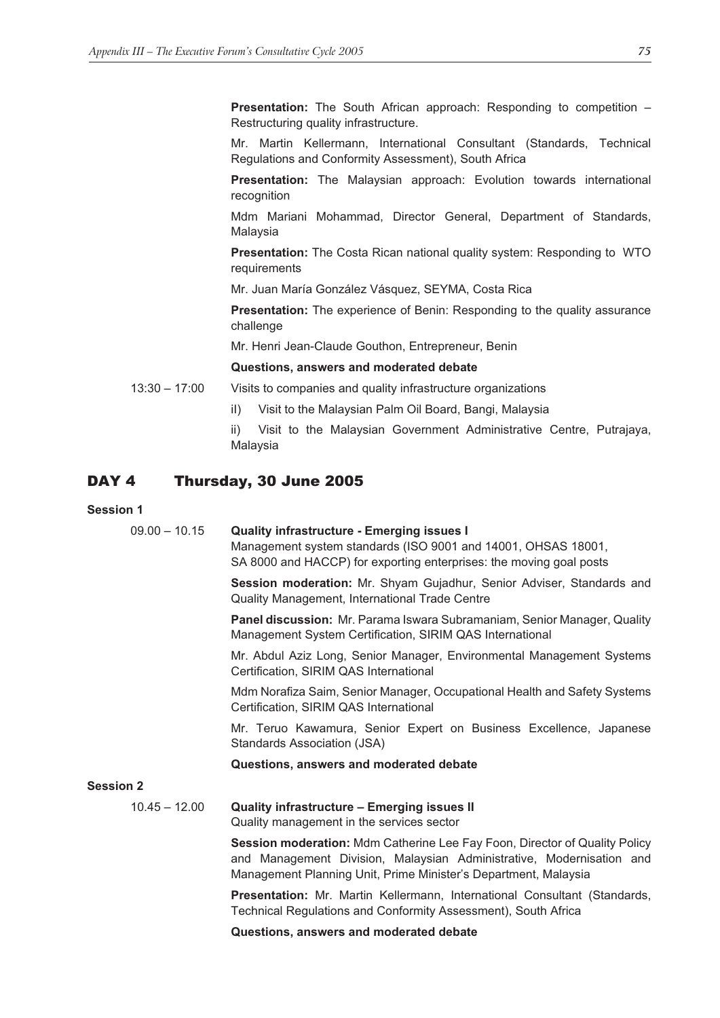**Presentation:** The South African approach: Responding to competition – Restructuring quality infrastructure.

Mr. Martin Kellermann, International Consultant (Standards, Technical Regulations and Conformity Assessment), South Africa

**Presentation:** The Malaysian approach: Evolution towards international recognition

Mdm Mariani Mohammad, Director General, Department of Standards, Malaysia

**Presentation:** The Costa Rican national quality system: Responding to WTO requirements

Mr. Juan María González Vásquez, SEYMA, Costa Rica

**Presentation:** The experience of Benin: Responding to the quality assurance challenge

Mr. Henri Jean-Claude Gouthon, Entrepreneur, Benin

#### **Questions, answers and moderated debate**

13:30 – 17:00 Visits to companies and quality infrastructure organizations

iI) Visit to the Malaysian Palm Oil Board, Bangi, Malaysia

ii) Visit to the Malaysian Government Administrative Centre, Putrajaya, Malaysia

#### DAY 4 Thursday, 30 June 2005

#### **Session 1**

09.00 – 10.15 **Quality infrastructure - Emerging issues I**

Management system standards (ISO 9001 and 14001, OHSAS 18001, SA 8000 and HACCP) for exporting enterprises: the moving goal posts

**Session moderation:** Mr. Shyam Gujadhur, Senior Adviser, Standards and Quality Management, International Trade Centre

**Panel discussion:** Mr. Parama Iswara Subramaniam, Senior Manager, Quality Management System Certification, SIRIM QAS International

Mr. Abdul Aziz Long, Senior Manager, Environmental Management Systems Certification, SIRIM QAS International

Mdm Norafiza Saim, Senior Manager, Occupational Health and Safety Systems Certification, SIRIM QAS International

Mr. Teruo Kawamura, Senior Expert on Business Excellence, Japanese Standards Association (JSA)

#### **Questions, answers and moderated debate**

#### **Session 2**

#### 10.45 – 12.00 **Quality infrastructure – Emerging issues II**

Quality management in the services sector

**Session moderation:** Mdm Catherine Lee Fay Foon, Director of Quality Policy and Management Division, Malaysian Administrative, Modernisation and Management Planning Unit, Prime Minister's Department, Malaysia

**Presentation:** Mr. Martin Kellermann, International Consultant (Standards, Technical Regulations and Conformity Assessment), South Africa

**Questions, answers and moderated debate**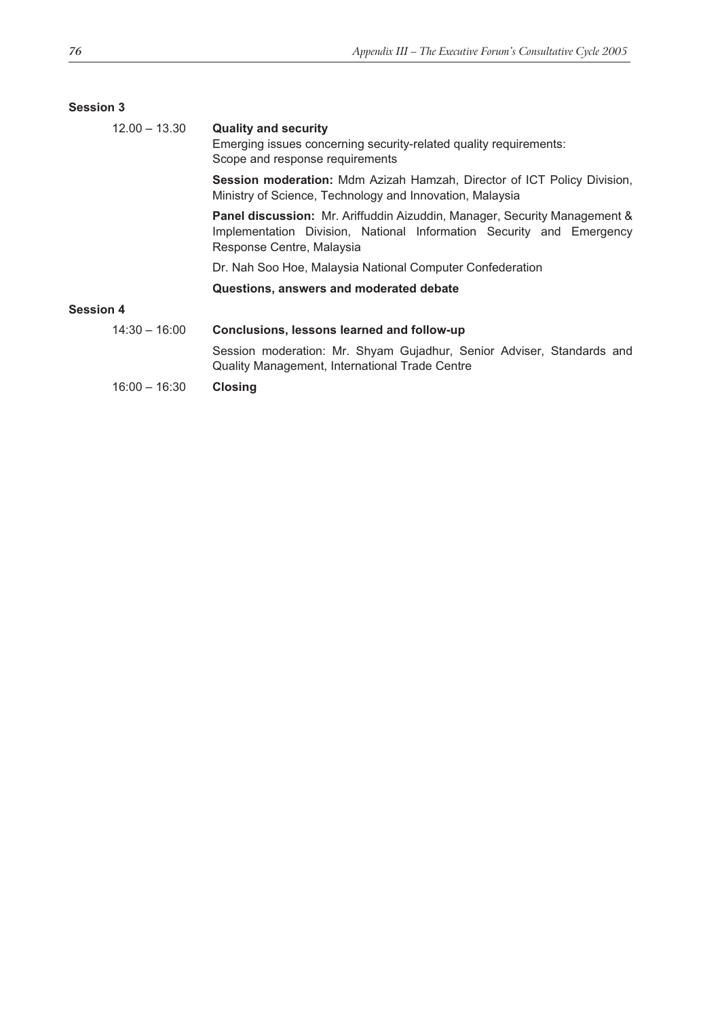#### **Session 3**

| $12.00 - 13.30$  | <b>Quality and security</b><br>Emerging issues concerning security-related quality requirements:<br>Scope and response requirements                                                   |  |
|------------------|---------------------------------------------------------------------------------------------------------------------------------------------------------------------------------------|--|
|                  | Session moderation: Mdm Azizah Hamzah, Director of ICT Policy Division,<br>Ministry of Science, Technology and Innovation, Malaysia                                                   |  |
|                  | <b>Panel discussion:</b> Mr. Ariffuddin Aizuddin, Manager, Security Management &<br>Implementation Division, National Information Security and Emergency<br>Response Centre, Malaysia |  |
|                  | Dr. Nah Soo Hoe, Malaysia National Computer Confederation                                                                                                                             |  |
|                  | Questions, answers and moderated debate                                                                                                                                               |  |
| <b>Session 4</b> |                                                                                                                                                                                       |  |
| $14:30 - 16:00$  | Conclusions, lessons learned and follow-up                                                                                                                                            |  |
|                  | Session moderation: Mr. Shyam Gujadhur, Senior Adviser, Standards and<br>Quality Management, International Trade Centre                                                               |  |
| $16:00 - 16:30$  | <b>Closing</b>                                                                                                                                                                        |  |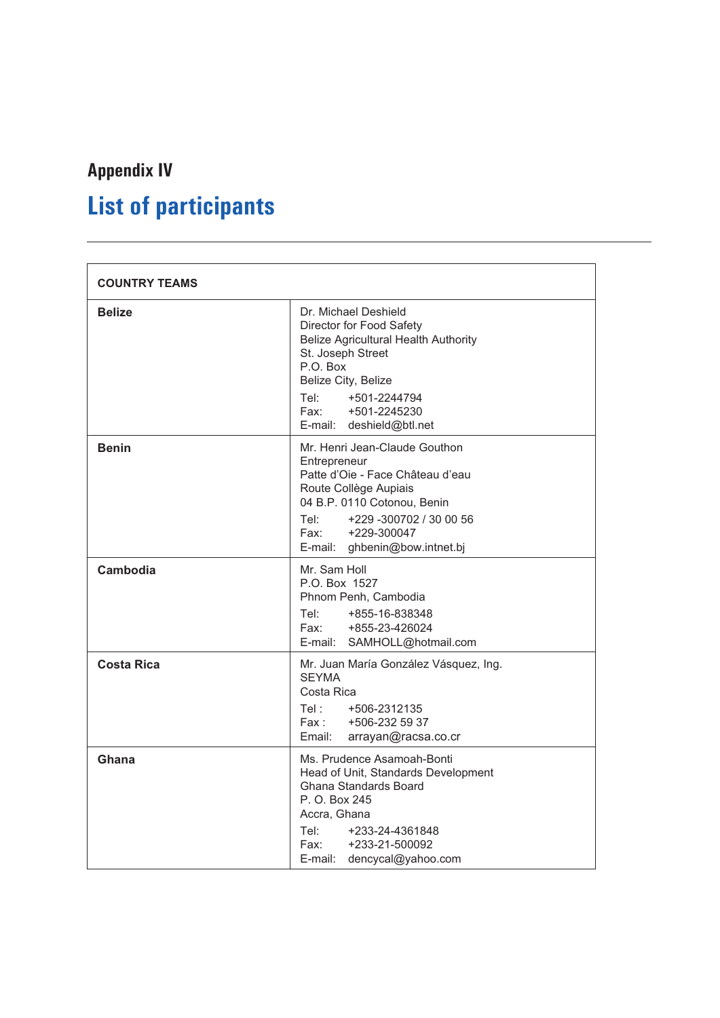# **Appendix IV List of participants**

| <b>COUNTRY TEAMS</b> |                                                                                                                                                                                                                                        |  |
|----------------------|----------------------------------------------------------------------------------------------------------------------------------------------------------------------------------------------------------------------------------------|--|
| <b>Belize</b>        | Dr. Michael Deshield<br>Director for Food Safety<br><b>Belize Agricultural Health Authority</b><br>St. Joseph Street<br>P.O. Box<br>Belize City, Belize<br>Tel:<br>+501-2244794<br>Fax:<br>+501-2245230<br>E-mail: deshield@btl.net    |  |
| <b>Benin</b>         | Mr. Henri Jean-Claude Gouthon<br>Entrepreneur<br>Patte d'Oie - Face Château d'eau<br>Route Collège Aupiais<br>04 B.P. 0110 Cotonou, Benin<br>+229 -300702 / 30 00 56<br>Tel:<br>Fax: F<br>+229-300047<br>E-mail: ghbenin@bow.intnet.bj |  |
| Cambodia             | Mr. Sam Holl<br>P.O. Box 1527<br>Phnom Penh, Cambodia<br>Tel:<br>+855-16-838348<br>Fax:<br>+855-23-426024<br>E-mail: SAMHOLL@hotmail.com                                                                                               |  |
| Costa Rica           | Mr. Juan María González Vásquez, Ing.<br><b>SEYMA</b><br>Costa Rica<br>Tel:<br>+506-2312135<br>Fax :<br>+506-232 59 37<br>Email:<br>arrayan@racsa.co.cr                                                                                |  |
| Ghana                | Ms. Prudence Asamoah-Bonti<br>Head of Unit, Standards Development<br>Ghana Standards Board<br>P. O. Box 245<br>Accra, Ghana<br>Tel:<br>+233-24-4361848<br>Fax:<br>+233-21-500092<br>E-mail:<br>dencycal@yahoo.com                      |  |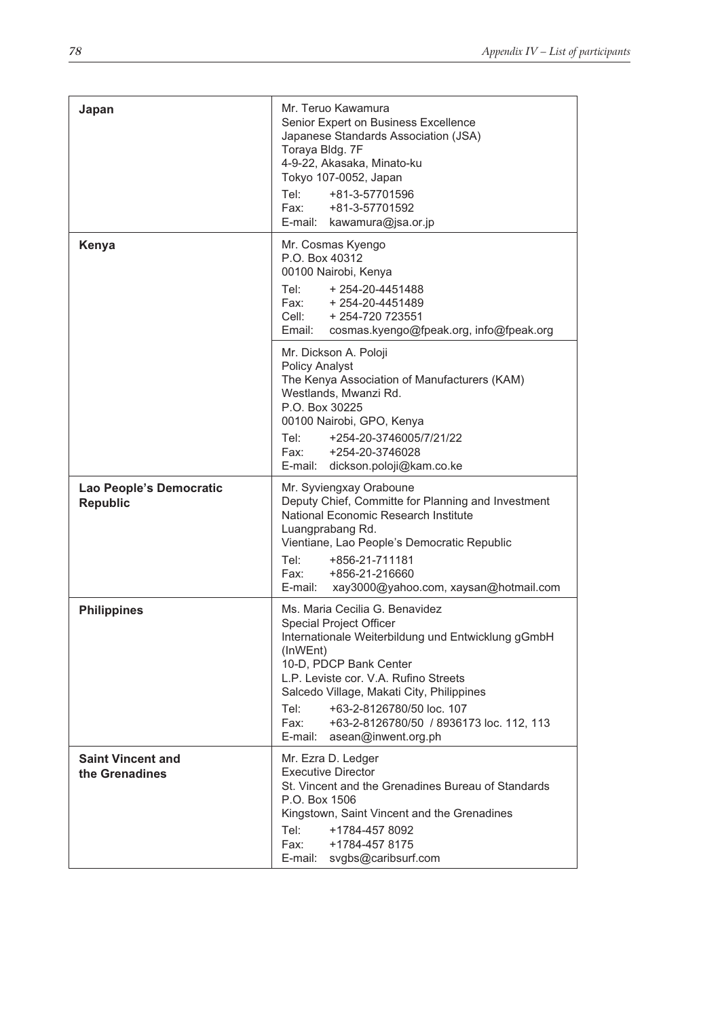| Japan                                      | Mr. Teruo Kawamura<br>Senior Expert on Business Excellence<br>Japanese Standards Association (JSA)<br>Toraya Bldg. 7F<br>4-9-22, Akasaka, Minato-ku<br>Tokyo 107-0052, Japan<br>Tel:<br>+81-3-57701596<br>Fax:<br>+81-3-57701592<br>E-mail: kawamura@jsa.or.jp                                                                                                                |
|--------------------------------------------|-------------------------------------------------------------------------------------------------------------------------------------------------------------------------------------------------------------------------------------------------------------------------------------------------------------------------------------------------------------------------------|
| Kenya                                      | Mr. Cosmas Kyengo<br>P.O. Box 40312<br>00100 Nairobi, Kenya<br>Tel: + 254-20-4451488<br>Fax: +254-20-4451489<br>Cell:<br>+ 254-720 723551<br>Email:<br>cosmas.kyengo@fpeak.org, info@fpeak.org                                                                                                                                                                                |
|                                            | Mr. Dickson A. Poloji<br><b>Policy Analyst</b><br>The Kenya Association of Manufacturers (KAM)<br>Westlands, Mwanzi Rd.<br>P.O. Box 30225<br>00100 Nairobi, GPO, Kenya<br>Tel:<br>+254-20-3746005/7/21/22<br>Fax:<br>+254-20-3746028<br>E-mail: dickson.poloji@kam.co.ke                                                                                                      |
| Lao People's Democratic<br><b>Republic</b> | Mr. Syviengxay Oraboune<br>Deputy Chief, Committe for Planning and Investment<br>National Economic Research Institute<br>Luangprabang Rd.<br>Vientiane, Lao People's Democratic Republic<br>Tel: Tel<br>+856-21-711181<br>+856-21-216660<br>Fax: F<br>E-mail:<br>xay3000@yahoo.com, xaysan@hotmail.com                                                                        |
| <b>Philippines</b>                         | Ms. Maria Cecilia G. Benavidez<br><b>Special Project Officer</b><br>Internationale Weiterbildung und Entwicklung gGmbH<br>(InWEnt)<br>10-D, PDCP Bank Center<br>L.P. Leviste cor. V.A. Rufino Streets<br>Salcedo Village, Makati City, Philippines<br>+63-2-8126780/50 loc. 107<br>Tel:<br>Fax:<br>+63-2-8126780/50 / 8936173 loc. 112, 113<br>E-mail:<br>asean@inwent.org.ph |
| <b>Saint Vincent and</b><br>the Grenadines | Mr. Ezra D. Ledger<br>Executive Director<br>St. Vincent and the Grenadines Bureau of Standards<br>P.O. Box 1506<br>Kingstown, Saint Vincent and the Grenadines<br>Tel:<br>+1784-457 8092<br>Fax: F<br>+1784-457 8175<br>E-mail:<br>svgbs@caribsurf.com                                                                                                                        |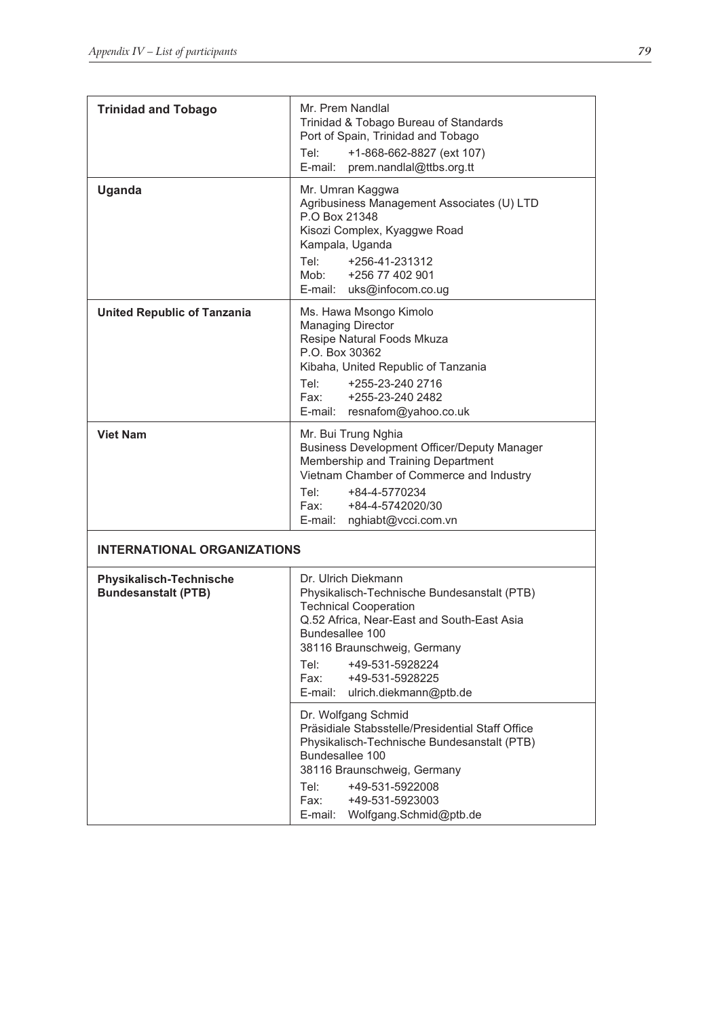| <b>Trinidad and Tobago</b>                                   | Mr. Prem Nandlal<br>Trinidad & Tobago Bureau of Standards<br>Port of Spain, Trinidad and Tobago<br>Tel:<br>+1-868-662-8827 (ext 107)<br>E-mail:<br>prem.nandlal@ttbs.org.tt                                                                                                                   |
|--------------------------------------------------------------|-----------------------------------------------------------------------------------------------------------------------------------------------------------------------------------------------------------------------------------------------------------------------------------------------|
| <b>Uganda</b>                                                | Mr. Umran Kaggwa<br>Agribusiness Management Associates (U) LTD<br>P.O Box 21348<br>Kisozi Complex, Kyaggwe Road<br>Kampala, Uganda<br>Tel:<br>+256-41-231312<br>Mob:<br>+256 77 402 901<br>E-mail: uks@infocom.co.ug                                                                          |
| <b>United Republic of Tanzania</b>                           | Ms. Hawa Msongo Kimolo<br><b>Managing Director</b><br>Resipe Natural Foods Mkuza<br>P.O. Box 30362<br>Kibaha, United Republic of Tanzania<br>Tel: Tel<br>+255-23-240 2716<br>Fax:<br>+255-23-240 2482<br>resnafom@yahoo.co.uk<br>E-mail:                                                      |
| <b>Viet Nam</b>                                              | Mr. Bui Trung Nghia<br><b>Business Development Officer/Deputy Manager</b><br>Membership and Training Department<br>Vietnam Chamber of Commerce and Industry<br>+84-4-5770234<br>Tel: Tel<br>Fax:<br>+84-4-5742020/30<br>nghiabt@vcci.com.vn<br>E-mail:                                        |
| <b>INTERNATIONAL ORGANIZATIONS</b>                           |                                                                                                                                                                                                                                                                                               |
| <b>Physikalisch-Technische</b><br><b>Bundesanstalt (PTB)</b> | Dr. Ulrich Diekmann<br>Physikalisch-Technische Bundesanstalt (PTB)<br><b>Technical Cooperation</b><br>Q.52 Africa, Near-East and South-East Asia<br>Bundesallee 100<br>38116 Braunschweig, Germany<br>+49-531-5928224<br>Tel:<br>Fax:<br>+49-531-5928225<br>E-mail:<br>ulrich.diekmann@ptb.de |
|                                                              | Dr. Wolfgang Schmid<br>Präsidiale Stabsstelle/Presidential Staff Office<br>Physikalisch-Technische Bundesanstalt (PTB)<br>Bundesallee 100<br>38116 Braunschweig, Germany<br>+49-531-5922008<br>Tel:<br>Fax:<br>+49-531-5923003<br>E-mail:<br>Wolfgang.Schmid@ptb.de                           |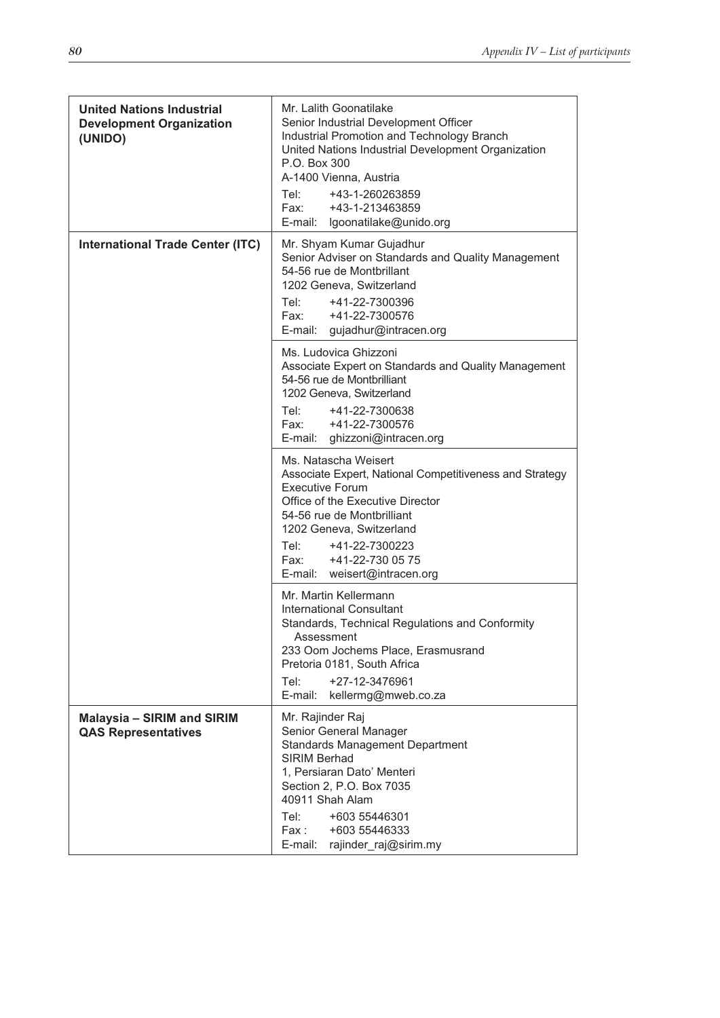| <b>United Nations Industrial</b><br><b>Development Organization</b><br>(UNIDO) | Mr. Lalith Goonatilake<br>Senior Industrial Development Officer<br>Industrial Promotion and Technology Branch<br>United Nations Industrial Development Organization<br>P.O. Box 300<br>A-1400 Vienna, Austria<br>+43-1-260263859<br>Tel: Tel<br>Fax:<br>+43-1-213463859<br>E-mail:<br>lgoonatilake@unido.org |
|--------------------------------------------------------------------------------|--------------------------------------------------------------------------------------------------------------------------------------------------------------------------------------------------------------------------------------------------------------------------------------------------------------|
| <b>International Trade Center (ITC)</b>                                        | Mr. Shyam Kumar Gujadhur<br>Senior Adviser on Standards and Quality Management<br>54-56 rue de Montbrillant<br>1202 Geneva, Switzerland<br>Tel: Tel<br>+41-22-7300396<br>Fax:<br>+41-22-7300576<br>gujadhur@intracen.org<br>E-mail:                                                                          |
|                                                                                | Ms. Ludovica Ghizzoni<br>Associate Expert on Standards and Quality Management<br>54-56 rue de Montbrilliant<br>1202 Geneva, Switzerland<br>+41-22-7300638<br>Tel: T<br>Fax: F<br>+41-22-7300576<br>E-mail: ghizzoni@intracen.org                                                                             |
|                                                                                | Ms. Natascha Weisert<br>Associate Expert, National Competitiveness and Strategy<br><b>Executive Forum</b><br>Office of the Executive Director<br>54-56 rue de Montbrilliant<br>1202 Geneva, Switzerland<br>Tel: Tel<br>+41-22-7300223<br>Fax:<br>+41-22-730 05 75<br>E-mail:                                 |
|                                                                                | weisert@intracen.org<br>Mr. Martin Kellermann<br><b>International Consultant</b><br>Standards, Technical Regulations and Conformity<br>Assessment<br>233 Oom Jochems Place, Erasmusrand<br>Pretoria 0181, South Africa<br>Tel:<br>+27-12-3476961<br>E-mail:<br>kellermg@mweb.co.za                           |
| <b>Malaysia - SIRIM and SIRIM</b><br><b>QAS Representatives</b>                | Mr. Rajinder Raj<br>Senior General Manager<br><b>Standards Management Department</b><br><b>SIRIM Berhad</b><br>1, Persiaran Dato' Menteri<br>Section 2, P.O. Box 7035<br>40911 Shah Alam<br>Tel:<br>+603 55446301<br>+603 55446333<br>Fax :<br>rajinder_raj@sirim.my<br>E-mail:                              |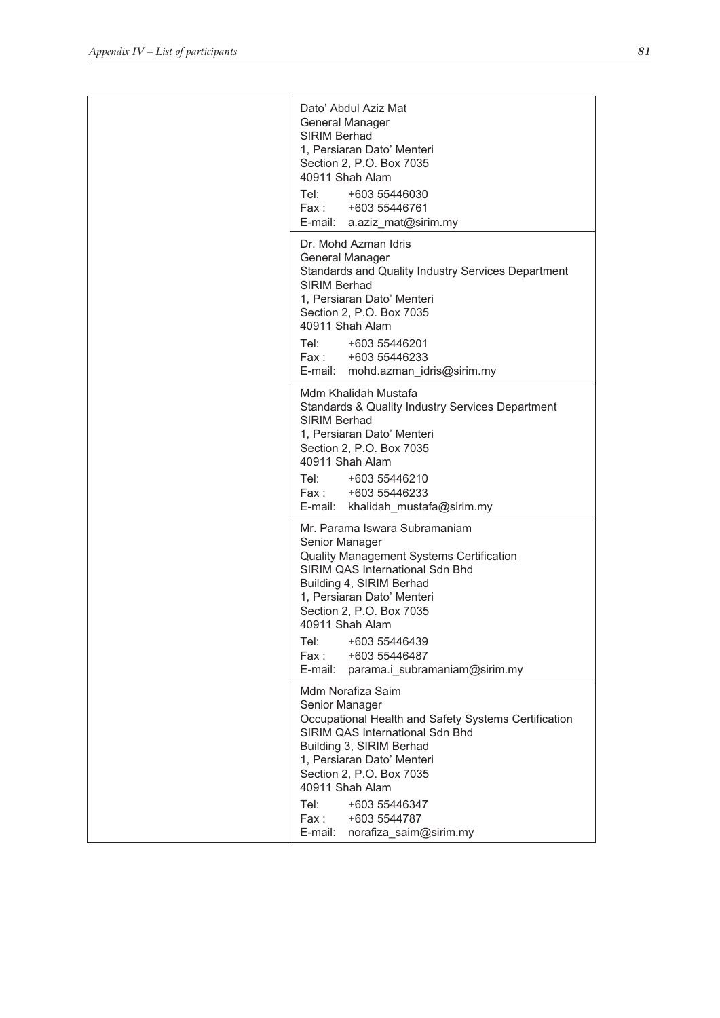| Dato' Abdul Aziz Mat<br>General Manager<br>SIRIM Berhad<br>1, Persiaran Dato' Menteri<br>Section 2, P.O. Box 7035<br>40911 Shah Alam<br>Tel: +603 55446030<br>Fax: +603 55446761<br>E-mail: a.aziz_mat@sirim.my                                                                                                                        |
|----------------------------------------------------------------------------------------------------------------------------------------------------------------------------------------------------------------------------------------------------------------------------------------------------------------------------------------|
| Dr. Mohd Azman Idris<br>General Manager<br>Standards and Quality Industry Services Department<br>SIRIM Berhad<br>1, Persiaran Dato' Menteri<br>Section 2, P.O. Box 7035<br>40911 Shah Alam<br>Tel:<br>+603 55446201<br>Fax: +603 55446233<br>E-mail:<br>mohd.azman_idris@sirim.my                                                      |
| Mdm Khalidah Mustafa<br><b>Standards &amp; Quality Industry Services Department</b><br>SIRIM Berhad<br>1, Persiaran Dato' Menteri<br>Section 2, P.O. Box 7035<br>40911 Shah Alam<br>Tel: +603 55446210<br>Fax: +603 55446233<br>E-mail: khalidah_mustafa@sirim.my                                                                      |
| Mr. Parama Iswara Subramaniam<br>Senior Manager<br>Quality Management Systems Certification<br>SIRIM QAS International Sdn Bhd<br>Building 4, SIRIM Berhad<br>1, Persiaran Dato' Menteri<br>Section 2, P.O. Box 7035<br>40911 Shah Alam<br>Tel:<br>+603 55446439<br>Fax :<br>+603 55446487<br>E-mail:<br>parama.i subramaniam@sirim.my |
| Mdm Norafiza Saim<br>Senior Manager<br>Occupational Health and Safety Systems Certification<br>SIRIM QAS International Sdn Bhd<br>Building 3, SIRIM Berhad<br>1, Persiaran Dato' Menteri<br>Section 2, P.O. Box 7035<br>40911 Shah Alam<br>+603 55446347<br>Tel:<br>Fax:<br>+603 5544787<br>E-mail:<br>norafiza_saim@sirim.my          |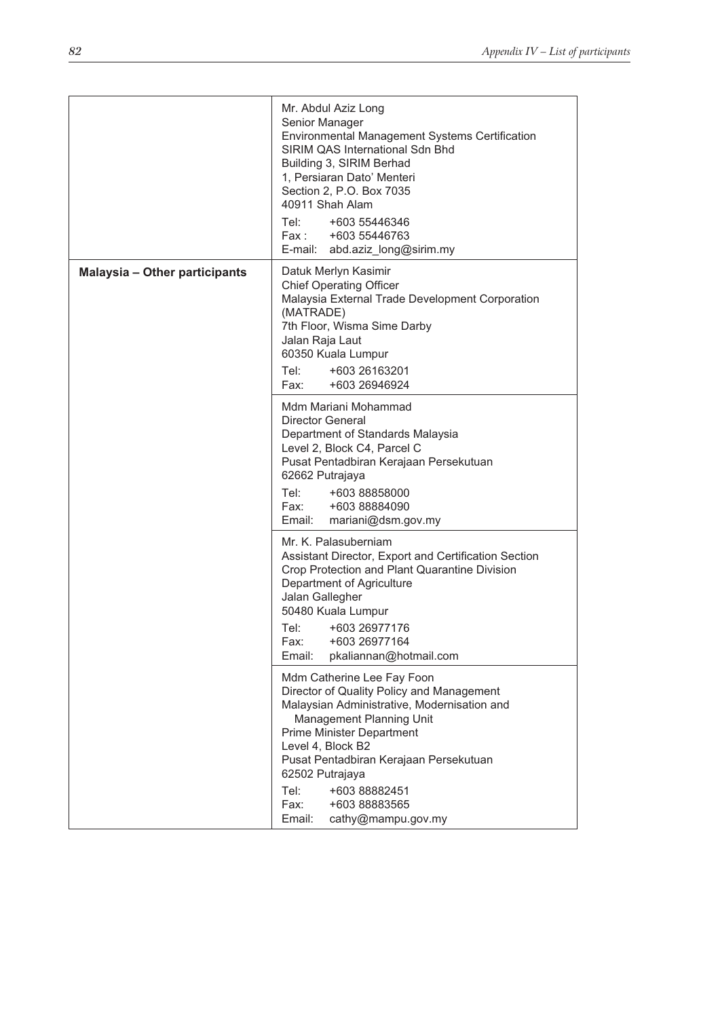|                               | Mr. Abdul Aziz Long<br>Senior Manager<br>Environmental Management Systems Certification<br>SIRIM QAS International Sdn Bhd<br>Building 3, SIRIM Berhad<br>1, Persiaran Dato' Menteri<br>Section 2, P.O. Box 7035<br>40911 Shah Alam<br>+603 55446346<br>Tel: Tel<br>Fax:<br>+603 55446763<br>E-mail: abd.aziz_long@sirim.my |
|-------------------------------|-----------------------------------------------------------------------------------------------------------------------------------------------------------------------------------------------------------------------------------------------------------------------------------------------------------------------------|
| Malaysia - Other participants | Datuk Merlyn Kasimir<br><b>Chief Operating Officer</b><br>Malaysia External Trade Development Corporation<br>(MATRADE)<br>7th Floor, Wisma Sime Darby<br>Jalan Raja Laut<br>60350 Kuala Lumpur<br>Tel: Tel<br>+603 26163201<br>Fax:<br>+603 26946924                                                                        |
|                               | Mdm Mariani Mohammad<br><b>Director General</b><br>Department of Standards Malaysia<br>Level 2, Block C4, Parcel C<br>Pusat Pentadbiran Kerajaan Persekutuan<br>62662 Putrajaya<br>Tel: Tel<br>+603 88858000<br>Fax:<br>+603 88884090<br>Email:<br>mariani@dsm.gov.my                                                       |
|                               | Mr. K. Palasuberniam<br>Assistant Director, Export and Certification Section<br>Crop Protection and Plant Quarantine Division<br>Department of Agriculture<br>Jalan Gallegher<br>50480 Kuala Lumpur<br>+603 26977176<br>Tel:<br>+603 26977164<br>Fax:<br>pkaliannan@hotmail.com<br>Email:                                   |
|                               | Mdm Catherine Lee Fay Foon<br>Director of Quality Policy and Management<br>Malaysian Administrative, Modernisation and<br>Management Planning Unit<br><b>Prime Minister Department</b><br>Level 4, Block B2<br>Pusat Pentadbiran Kerajaan Persekutuan<br>62502 Putrajaya<br>Tel:<br>+603 88882451                           |
|                               | Fax:<br>+603 88883565<br>Email:<br>cathy@mampu.gov.my                                                                                                                                                                                                                                                                       |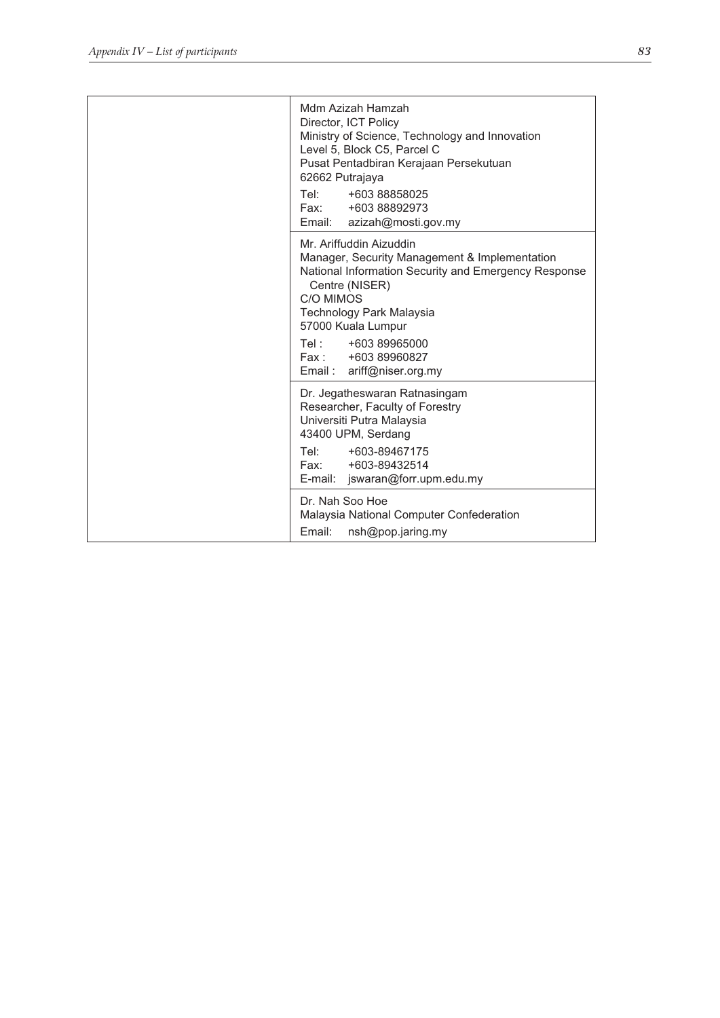| Mdm Azizah Hamzah<br>Director, ICT Policy<br>Ministry of Science, Technology and Innovation<br>Level 5, Block C5, Parcel C<br>Pusat Pentadbiran Kerajaan Persekutuan<br>62662 Putrajaya<br>Tel: Tel<br>+603 88858025<br>Fax: +603 88892973<br>Email: azizah@mosti.gov.my                   |
|--------------------------------------------------------------------------------------------------------------------------------------------------------------------------------------------------------------------------------------------------------------------------------------------|
| Mr. Ariffuddin Aizuddin<br>Manager, Security Management & Implementation<br>National Information Security and Emergency Response<br>Centre (NISER)<br>C/O MIMOS<br>Technology Park Malaysia<br>57000 Kuala Lumpur<br>Tel: +603 89965000<br>Fax: +603 89960827<br>Email: ariff@niser.org.my |
| Dr. Jegatheswaran Ratnasingam<br>Researcher, Faculty of Forestry<br>Universiti Putra Malaysia<br>43400 UPM, Serdang<br>Tel: Tel<br>+603-89467175<br>Fax: +603-89432514<br>E-mail: jswaran@forr.upm.edu.my                                                                                  |
| Dr. Nah Soo Hoe<br>Malaysia National Computer Confederation<br>Email:<br>nsh@pop.jaring.my                                                                                                                                                                                                 |